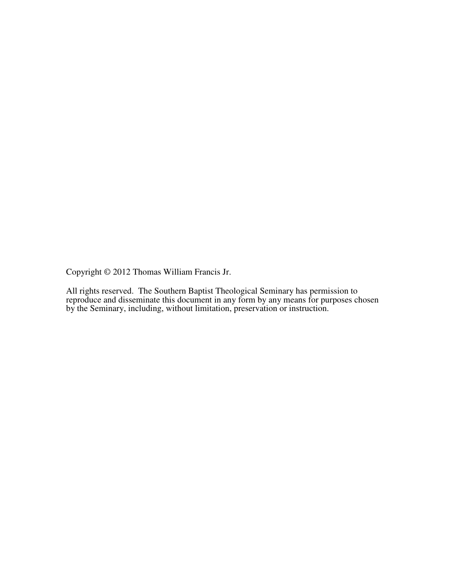Copyright © 2012 Thomas William Francis Jr.

All rights reserved. The Southern Baptist Theological Seminary has permission to reproduce and disseminate this document in any form by any means for purposes chosen by the Seminary, including, without limitation, preservation or instruction.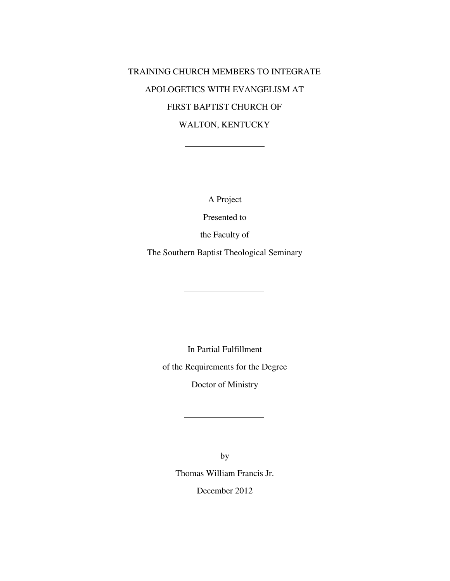## TRAINING CHURCH MEMBERS TO INTEGRATE APOLOGETICS WITH EVANGELISM AT FIRST BAPTIST CHURCH OF WALTON, KENTUCKY

A Project

Presented to

the Faculty of

The Southern Baptist Theological Seminary

In Partial Fulfillment

of the Requirements for the Degree

Doctor of Ministry

by Thomas William Francis Jr.

December 2012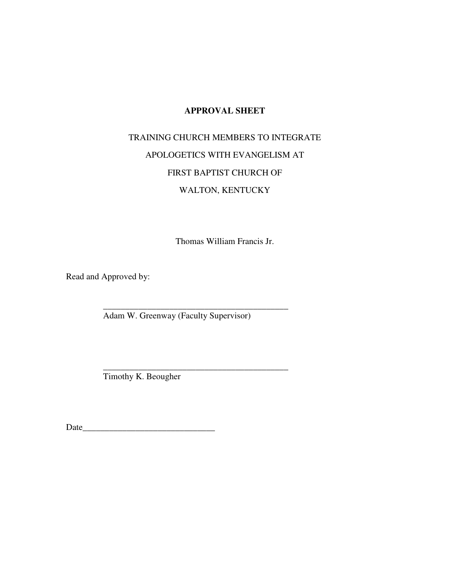## **APPROVAL SHEET**

# TRAINING CHURCH MEMBERS TO INTEGRATE APOLOGETICS WITH EVANGELISM AT FIRST BAPTIST CHURCH OF WALTON, KENTUCKY

Thomas William Francis Jr.

Read and Approved by:

Adam W. Greenway (Faculty Supervisor)

\_\_\_\_\_\_\_\_\_\_\_\_\_\_\_\_\_\_\_\_\_\_\_\_\_\_\_\_\_\_\_\_\_\_\_\_\_\_\_\_\_\_

\_\_\_\_\_\_\_\_\_\_\_\_\_\_\_\_\_\_\_\_\_\_\_\_\_\_\_\_\_\_\_\_\_\_\_\_\_\_\_\_\_\_

Timothy K. Beougher

Date\_\_\_\_\_\_\_\_\_\_\_\_\_\_\_\_\_\_\_\_\_\_\_\_\_\_\_\_\_\_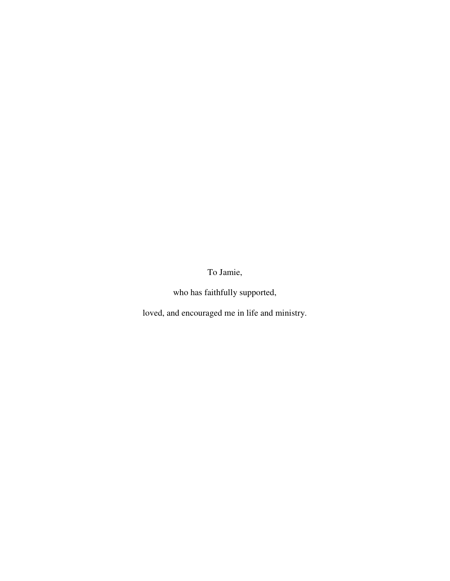To Jamie,

who has faithfully supported,

loved, and encouraged me in life and ministry.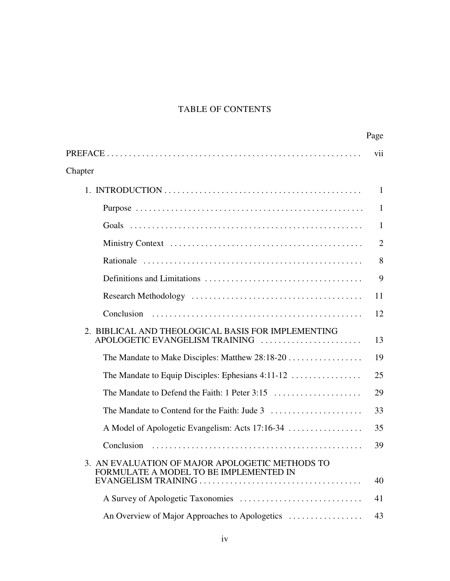## TABLE OF CONTENTS

|                                                                                           | Page           |
|-------------------------------------------------------------------------------------------|----------------|
|                                                                                           | vii            |
| Chapter                                                                                   |                |
|                                                                                           | 1              |
|                                                                                           | 1              |
|                                                                                           | 1              |
|                                                                                           | $\overline{2}$ |
|                                                                                           | 8              |
|                                                                                           | 9              |
|                                                                                           | 11             |
| Conclusion                                                                                | 12             |
| 2. BIBLICAL AND THEOLOGICAL BASIS FOR IMPLEMENTING<br>APOLOGETIC EVANGELISM TRAINING      | 13             |
| The Mandate to Make Disciples: Matthew 28:18-20                                           | 19             |
| The Mandate to Equip Disciples: Ephesians 4:11-12                                         | 25             |
|                                                                                           | 29             |
|                                                                                           | 33             |
| A Model of Apologetic Evangelism: Acts 17:16-34                                           | 35             |
| Conclusion                                                                                | 39             |
| 3. AN EVALUATION OF MAJOR APOLOGETIC METHODS TO<br>FORMULATE A MODEL TO BE IMPLEMENTED IN | 40             |
|                                                                                           | 41             |
| An Overview of Major Approaches to Apologetics                                            | 43             |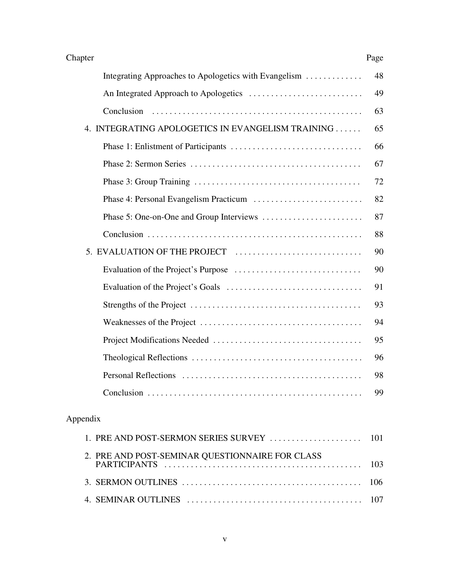| Chapter                                               | Page |  |  |  |
|-------------------------------------------------------|------|--|--|--|
| Integrating Approaches to Apologetics with Evangelism | 48   |  |  |  |
|                                                       | 49   |  |  |  |
| Conclusion                                            | 63   |  |  |  |
| 4. INTEGRATING APOLOGETICS IN EVANGELISM TRAINING     | 65   |  |  |  |
|                                                       | 66   |  |  |  |
|                                                       | 67   |  |  |  |
|                                                       | 72   |  |  |  |
|                                                       | 82   |  |  |  |
|                                                       | 87   |  |  |  |
|                                                       | 88   |  |  |  |
| 5. EVALUATION OF THE PROJECT                          | 90   |  |  |  |
|                                                       | 90   |  |  |  |
|                                                       | 91   |  |  |  |
|                                                       | 93   |  |  |  |
|                                                       | 94   |  |  |  |
|                                                       | 95   |  |  |  |
|                                                       | 96   |  |  |  |
|                                                       | 98   |  |  |  |
|                                                       | 99   |  |  |  |
|                                                       |      |  |  |  |
| Appendix                                              |      |  |  |  |
| 1. PRE AND POST-SERMON SERIES SURVEY                  | 101  |  |  |  |

| 2. PRE AND POST-SEMINAR QUESTIONNAIRE FOR CLASS |  |
|-------------------------------------------------|--|
|                                                 |  |
|                                                 |  |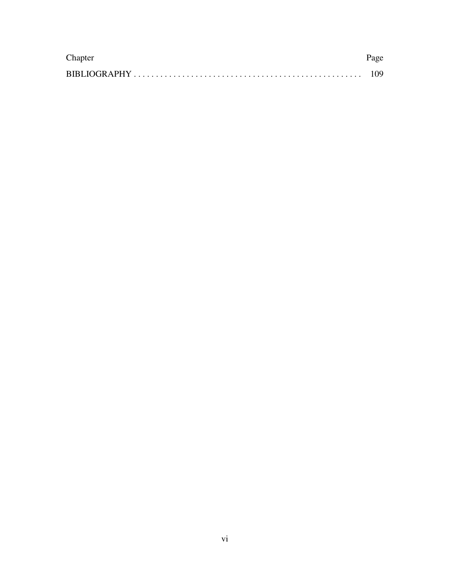| Chapter | Page |
|---------|------|
|         |      |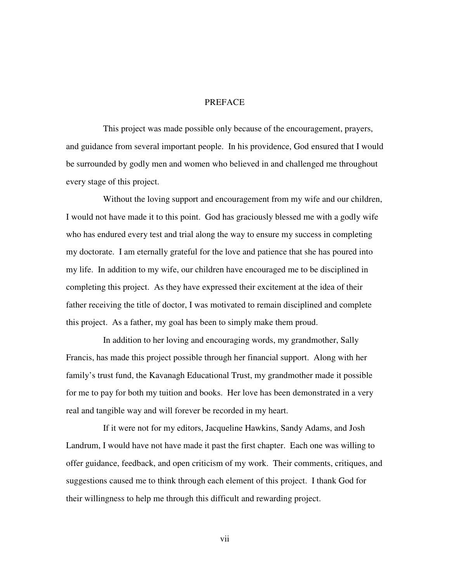## PREFACE

This project was made possible only because of the encouragement, prayers, and guidance from several important people. In his providence, God ensured that I would be surrounded by godly men and women who believed in and challenged me throughout every stage of this project.

Without the loving support and encouragement from my wife and our children, I would not have made it to this point. God has graciously blessed me with a godly wife who has endured every test and trial along the way to ensure my success in completing my doctorate. I am eternally grateful for the love and patience that she has poured into my life. In addition to my wife, our children have encouraged me to be disciplined in completing this project. As they have expressed their excitement at the idea of their father receiving the title of doctor, I was motivated to remain disciplined and complete this project. As a father, my goal has been to simply make them proud.

In addition to her loving and encouraging words, my grandmother, Sally Francis, has made this project possible through her financial support. Along with her family's trust fund, the Kavanagh Educational Trust, my grandmother made it possible for me to pay for both my tuition and books. Her love has been demonstrated in a very real and tangible way and will forever be recorded in my heart.

If it were not for my editors, Jacqueline Hawkins, Sandy Adams, and Josh Landrum, I would have not have made it past the first chapter. Each one was willing to offer guidance, feedback, and open criticism of my work. Their comments, critiques, and suggestions caused me to think through each element of this project. I thank God for their willingness to help me through this difficult and rewarding project.

vii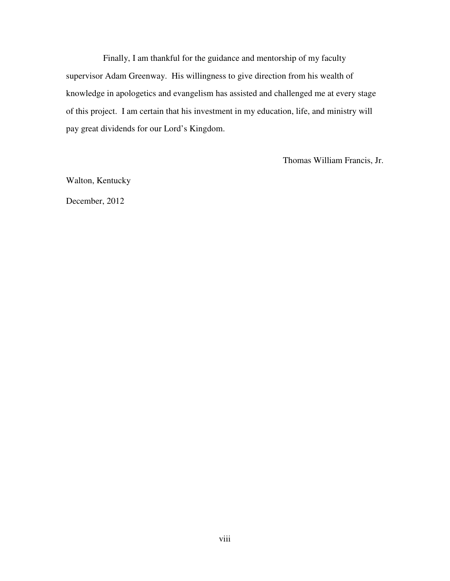Finally, I am thankful for the guidance and mentorship of my faculty supervisor Adam Greenway. His willingness to give direction from his wealth of knowledge in apologetics and evangelism has assisted and challenged me at every stage of this project. I am certain that his investment in my education, life, and ministry will pay great dividends for our Lord's Kingdom.

Thomas William Francis, Jr.

Walton, Kentucky

December, 2012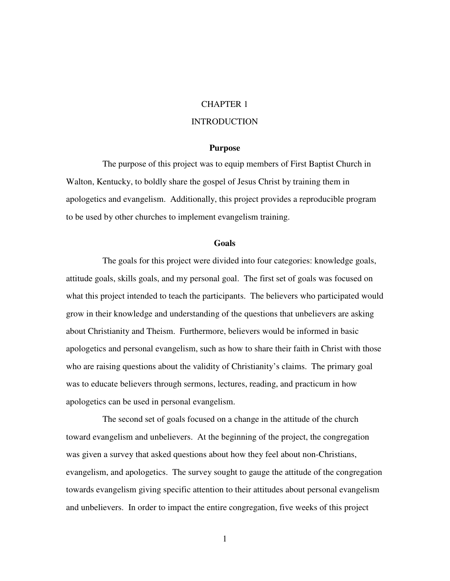### CHAPTER 1

## **INTRODUCTION**

## **Purpose**

The purpose of this project was to equip members of First Baptist Church in Walton, Kentucky, to boldly share the gospel of Jesus Christ by training them in apologetics and evangelism. Additionally, this project provides a reproducible program to be used by other churches to implement evangelism training.

#### **Goals**

The goals for this project were divided into four categories: knowledge goals, attitude goals, skills goals, and my personal goal. The first set of goals was focused on what this project intended to teach the participants. The believers who participated would grow in their knowledge and understanding of the questions that unbelievers are asking about Christianity and Theism. Furthermore, believers would be informed in basic apologetics and personal evangelism, such as how to share their faith in Christ with those who are raising questions about the validity of Christianity's claims. The primary goal was to educate believers through sermons, lectures, reading, and practicum in how apologetics can be used in personal evangelism.

The second set of goals focused on a change in the attitude of the church toward evangelism and unbelievers. At the beginning of the project, the congregation was given a survey that asked questions about how they feel about non-Christians, evangelism, and apologetics. The survey sought to gauge the attitude of the congregation towards evangelism giving specific attention to their attitudes about personal evangelism and unbelievers. In order to impact the entire congregation, five weeks of this project

1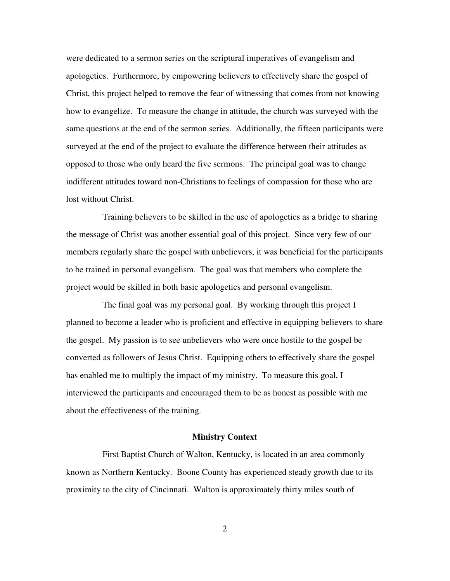were dedicated to a sermon series on the scriptural imperatives of evangelism and apologetics. Furthermore, by empowering believers to effectively share the gospel of Christ, this project helped to remove the fear of witnessing that comes from not knowing how to evangelize. To measure the change in attitude, the church was surveyed with the same questions at the end of the sermon series. Additionally, the fifteen participants were surveyed at the end of the project to evaluate the difference between their attitudes as opposed to those who only heard the five sermons. The principal goal was to change indifferent attitudes toward non-Christians to feelings of compassion for those who are lost without Christ.

Training believers to be skilled in the use of apologetics as a bridge to sharing the message of Christ was another essential goal of this project. Since very few of our members regularly share the gospel with unbelievers, it was beneficial for the participants to be trained in personal evangelism. The goal was that members who complete the project would be skilled in both basic apologetics and personal evangelism.

The final goal was my personal goal. By working through this project I planned to become a leader who is proficient and effective in equipping believers to share the gospel. My passion is to see unbelievers who were once hostile to the gospel be converted as followers of Jesus Christ. Equipping others to effectively share the gospel has enabled me to multiply the impact of my ministry. To measure this goal, I interviewed the participants and encouraged them to be as honest as possible with me about the effectiveness of the training.

#### **Ministry Context**

First Baptist Church of Walton, Kentucky, is located in an area commonly known as Northern Kentucky. Boone County has experienced steady growth due to its proximity to the city of Cincinnati. Walton is approximately thirty miles south of

2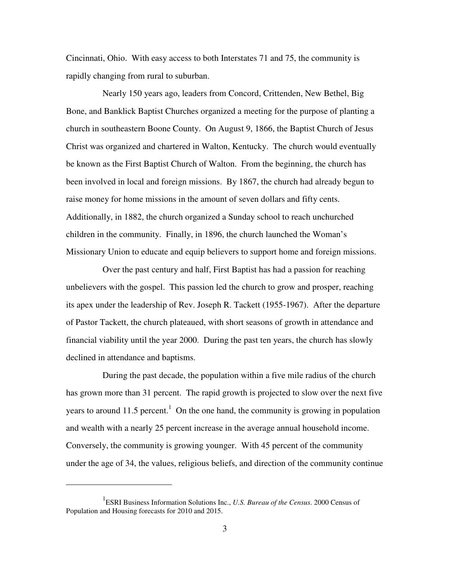Cincinnati, Ohio. With easy access to both Interstates 71 and 75, the community is rapidly changing from rural to suburban.

Nearly 150 years ago, leaders from Concord, Crittenden, New Bethel, Big Bone, and Banklick Baptist Churches organized a meeting for the purpose of planting a church in southeastern Boone County. On August 9, 1866, the Baptist Church of Jesus Christ was organized and chartered in Walton, Kentucky. The church would eventually be known as the First Baptist Church of Walton. From the beginning, the church has been involved in local and foreign missions. By 1867, the church had already begun to raise money for home missions in the amount of seven dollars and fifty cents. Additionally, in 1882, the church organized a Sunday school to reach unchurched children in the community. Finally, in 1896, the church launched the Woman's Missionary Union to educate and equip believers to support home and foreign missions.

Over the past century and half, First Baptist has had a passion for reaching unbelievers with the gospel. This passion led the church to grow and prosper, reaching its apex under the leadership of Rev. Joseph R. Tackett (1955-1967). After the departure of Pastor Tackett, the church plateaued, with short seasons of growth in attendance and financial viability until the year 2000. During the past ten years, the church has slowly declined in attendance and baptisms.

During the past decade, the population within a five mile radius of the church has grown more than 31 percent. The rapid growth is projected to slow over the next five years to around 11.5 percent.<sup>1</sup> On the one hand, the community is growing in population and wealth with a nearly 25 percent increase in the average annual household income. Conversely, the community is growing younger. With 45 percent of the community under the age of 34, the values, religious beliefs, and direction of the community continue

<sup>1</sup> ESRI Business Information Solutions Inc., *U.S. Bureau of the Census*. 2000 Census of Population and Housing forecasts for 2010 and 2015.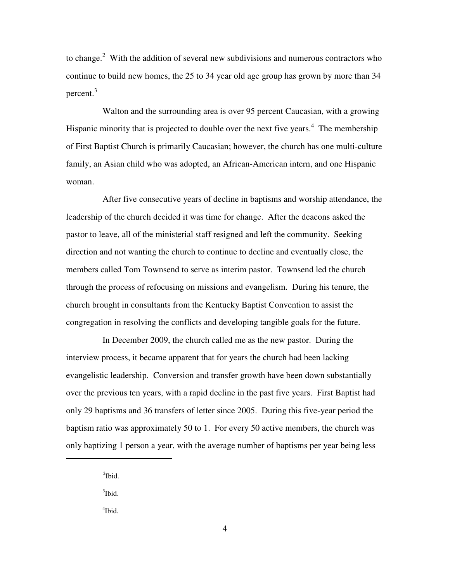to change.<sup>2</sup> With the addition of several new subdivisions and numerous contractors who continue to build new homes, the 25 to 34 year old age group has grown by more than 34 percent.<sup>3</sup>

Walton and the surrounding area is over 95 percent Caucasian, with a growing Hispanic minority that is projected to double over the next five years. $4$  The membership of First Baptist Church is primarily Caucasian; however, the church has one multi-culture family, an Asian child who was adopted, an African-American intern, and one Hispanic woman.

After five consecutive years of decline in baptisms and worship attendance, the leadership of the church decided it was time for change. After the deacons asked the pastor to leave, all of the ministerial staff resigned and left the community. Seeking direction and not wanting the church to continue to decline and eventually close, the members called Tom Townsend to serve as interim pastor. Townsend led the church through the process of refocusing on missions and evangelism. During his tenure, the church brought in consultants from the Kentucky Baptist Convention to assist the congregation in resolving the conflicts and developing tangible goals for the future.

In December 2009, the church called me as the new pastor. During the interview process, it became apparent that for years the church had been lacking evangelistic leadership. Conversion and transfer growth have been down substantially over the previous ten years, with a rapid decline in the past five years. First Baptist had only 29 baptisms and 36 transfers of letter since 2005. During this five-year period the baptism ratio was approximately 50 to 1. For every 50 active members, the church was only baptizing 1 person a year, with the average number of baptisms per year being less

 $\mathrm{^{2}Ibid.}$ 

 $\overline{a}$ 

<sup>3</sup>Ibid.

4 Ibid.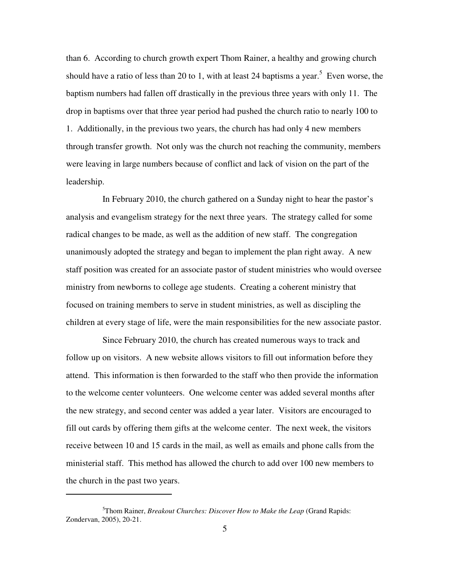than 6. According to church growth expert Thom Rainer, a healthy and growing church should have a ratio of less than 20 to 1, with at least 24 baptisms a year.<sup>5</sup> Even worse, the baptism numbers had fallen off drastically in the previous three years with only 11. The drop in baptisms over that three year period had pushed the church ratio to nearly 100 to 1. Additionally, in the previous two years, the church has had only 4 new members through transfer growth. Not only was the church not reaching the community, members were leaving in large numbers because of conflict and lack of vision on the part of the leadership.

In February 2010, the church gathered on a Sunday night to hear the pastor's analysis and evangelism strategy for the next three years. The strategy called for some radical changes to be made, as well as the addition of new staff. The congregation unanimously adopted the strategy and began to implement the plan right away. A new staff position was created for an associate pastor of student ministries who would oversee ministry from newborns to college age students. Creating a coherent ministry that focused on training members to serve in student ministries, as well as discipling the children at every stage of life, were the main responsibilities for the new associate pastor.

Since February 2010, the church has created numerous ways to track and follow up on visitors. A new website allows visitors to fill out information before they attend. This information is then forwarded to the staff who then provide the information to the welcome center volunteers. One welcome center was added several months after the new strategy, and second center was added a year later. Visitors are encouraged to fill out cards by offering them gifts at the welcome center. The next week, the visitors receive between 10 and 15 cards in the mail, as well as emails and phone calls from the ministerial staff. This method has allowed the church to add over 100 new members to the church in the past two years.

<sup>&</sup>lt;sup>5</sup>Thom Rainer, *Breakout Churches: Discover How to Make the Leap* (Grand Rapids: Zondervan, 2005), 20-21.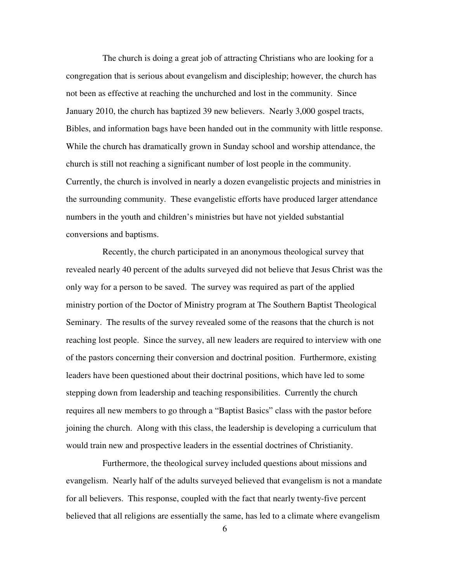The church is doing a great job of attracting Christians who are looking for a congregation that is serious about evangelism and discipleship; however, the church has not been as effective at reaching the unchurched and lost in the community. Since January 2010, the church has baptized 39 new believers. Nearly 3,000 gospel tracts, Bibles, and information bags have been handed out in the community with little response. While the church has dramatically grown in Sunday school and worship attendance, the church is still not reaching a significant number of lost people in the community. Currently, the church is involved in nearly a dozen evangelistic projects and ministries in the surrounding community. These evangelistic efforts have produced larger attendance numbers in the youth and children's ministries but have not yielded substantial conversions and baptisms.

Recently, the church participated in an anonymous theological survey that revealed nearly 40 percent of the adults surveyed did not believe that Jesus Christ was the only way for a person to be saved. The survey was required as part of the applied ministry portion of the Doctor of Ministry program at The Southern Baptist Theological Seminary. The results of the survey revealed some of the reasons that the church is not reaching lost people. Since the survey, all new leaders are required to interview with one of the pastors concerning their conversion and doctrinal position. Furthermore, existing leaders have been questioned about their doctrinal positions, which have led to some stepping down from leadership and teaching responsibilities. Currently the church requires all new members to go through a "Baptist Basics" class with the pastor before joining the church. Along with this class, the leadership is developing a curriculum that would train new and prospective leaders in the essential doctrines of Christianity.

Furthermore, the theological survey included questions about missions and evangelism. Nearly half of the adults surveyed believed that evangelism is not a mandate for all believers. This response, coupled with the fact that nearly twenty-five percent believed that all religions are essentially the same, has led to a climate where evangelism

6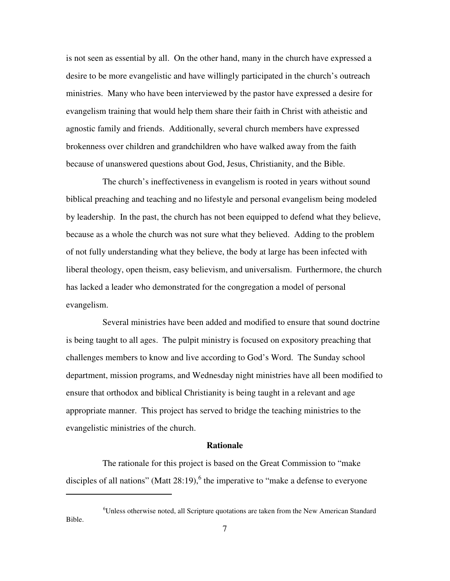is not seen as essential by all. On the other hand, many in the church have expressed a desire to be more evangelistic and have willingly participated in the church's outreach ministries. Many who have been interviewed by the pastor have expressed a desire for evangelism training that would help them share their faith in Christ with atheistic and agnostic family and friends. Additionally, several church members have expressed brokenness over children and grandchildren who have walked away from the faith because of unanswered questions about God, Jesus, Christianity, and the Bible.

The church's ineffectiveness in evangelism is rooted in years without sound biblical preaching and teaching and no lifestyle and personal evangelism being modeled by leadership. In the past, the church has not been equipped to defend what they believe, because as a whole the church was not sure what they believed. Adding to the problem of not fully understanding what they believe, the body at large has been infected with liberal theology, open theism, easy believism, and universalism. Furthermore, the church has lacked a leader who demonstrated for the congregation a model of personal evangelism.

Several ministries have been added and modified to ensure that sound doctrine is being taught to all ages. The pulpit ministry is focused on expository preaching that challenges members to know and live according to God's Word. The Sunday school department, mission programs, and Wednesday night ministries have all been modified to ensure that orthodox and biblical Christianity is being taught in a relevant and age appropriate manner. This project has served to bridge the teaching ministries to the evangelistic ministries of the church.

#### **Rationale**

The rationale for this project is based on the Great Commission to "make disciples of all nations" (Matt  $28:19$ ), <sup>6</sup> the imperative to "make a defense to everyone

<sup>&</sup>lt;sup>6</sup>Unless otherwise noted, all Scripture quotations are taken from the New American Standard Bible.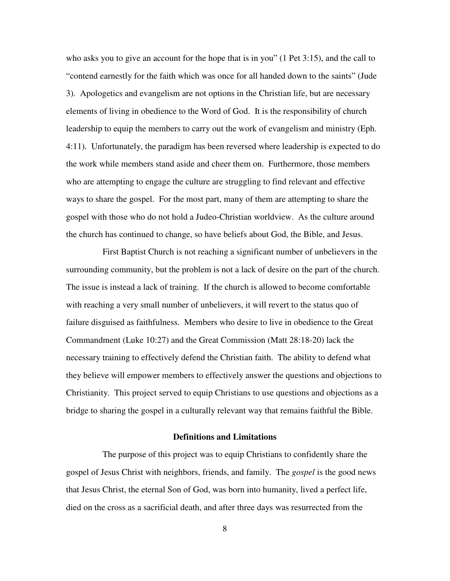who asks you to give an account for the hope that is in you" (1 Pet 3:15), and the call to "contend earnestly for the faith which was once for all handed down to the saints" (Jude 3). Apologetics and evangelism are not options in the Christian life, but are necessary elements of living in obedience to the Word of God. It is the responsibility of church leadership to equip the members to carry out the work of evangelism and ministry (Eph. 4:11). Unfortunately, the paradigm has been reversed where leadership is expected to do the work while members stand aside and cheer them on. Furthermore, those members who are attempting to engage the culture are struggling to find relevant and effective ways to share the gospel. For the most part, many of them are attempting to share the gospel with those who do not hold a Judeo-Christian worldview. As the culture around the church has continued to change, so have beliefs about God, the Bible, and Jesus.

First Baptist Church is not reaching a significant number of unbelievers in the surrounding community, but the problem is not a lack of desire on the part of the church. The issue is instead a lack of training. If the church is allowed to become comfortable with reaching a very small number of unbelievers, it will revert to the status quo of failure disguised as faithfulness. Members who desire to live in obedience to the Great Commandment (Luke 10:27) and the Great Commission (Matt 28:18-20) lack the necessary training to effectively defend the Christian faith. The ability to defend what they believe will empower members to effectively answer the questions and objections to Christianity. This project served to equip Christians to use questions and objections as a bridge to sharing the gospel in a culturally relevant way that remains faithful the Bible.

## **Definitions and Limitations**

The purpose of this project was to equip Christians to confidently share the gospel of Jesus Christ with neighbors, friends, and family. The *gospel* is the good news that Jesus Christ, the eternal Son of God, was born into humanity, lived a perfect life, died on the cross as a sacrificial death, and after three days was resurrected from the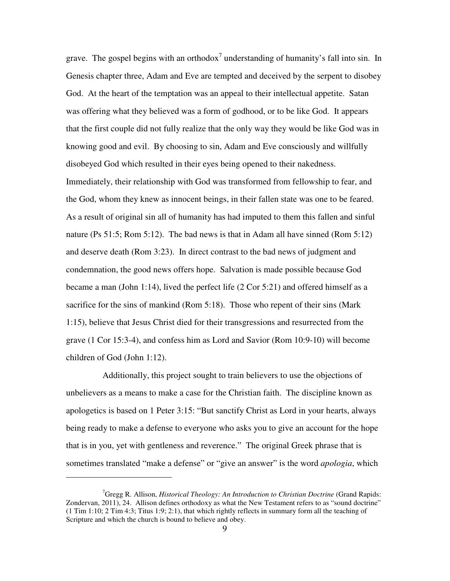grave. The gospel begins with an orthodox<sup>7</sup> understanding of humanity's fall into sin. In Genesis chapter three, Adam and Eve are tempted and deceived by the serpent to disobey God. At the heart of the temptation was an appeal to their intellectual appetite. Satan was offering what they believed was a form of godhood, or to be like God. It appears that the first couple did not fully realize that the only way they would be like God was in knowing good and evil. By choosing to sin, Adam and Eve consciously and willfully disobeyed God which resulted in their eyes being opened to their nakedness. Immediately, their relationship with God was transformed from fellowship to fear, and the God, whom they knew as innocent beings, in their fallen state was one to be feared. As a result of original sin all of humanity has had imputed to them this fallen and sinful nature (Ps 51:5; Rom 5:12). The bad news is that in Adam all have sinned (Rom 5:12) and deserve death (Rom 3:23). In direct contrast to the bad news of judgment and condemnation, the good news offers hope. Salvation is made possible because God became a man (John 1:14), lived the perfect life (2 Cor 5:21) and offered himself as a sacrifice for the sins of mankind (Rom 5:18). Those who repent of their sins (Mark 1:15), believe that Jesus Christ died for their transgressions and resurrected from the grave (1 Cor 15:3-4), and confess him as Lord and Savior (Rom 10:9-10) will become children of God (John 1:12).

Additionally, this project sought to train believers to use the objections of unbelievers as a means to make a case for the Christian faith. The discipline known as apologetics is based on 1 Peter 3:15: "But sanctify Christ as Lord in your hearts, always being ready to make a defense to everyone who asks you to give an account for the hope that is in you, yet with gentleness and reverence." The original Greek phrase that is sometimes translated "make a defense" or "give an answer" is the word *apologia*, which

<sup>&</sup>lt;sup>7</sup>Gregg R. Allison, *Historical Theology: An Introduction to Christian Doctrine* (Grand Rapids: Zondervan, 2011), 24. Allison defines orthodoxy as what the New Testament refers to as "sound doctrine" (1 Tim 1:10; 2 Tim 4:3; Titus 1:9; 2:1), that which rightly reflects in summary form all the teaching of Scripture and which the church is bound to believe and obey.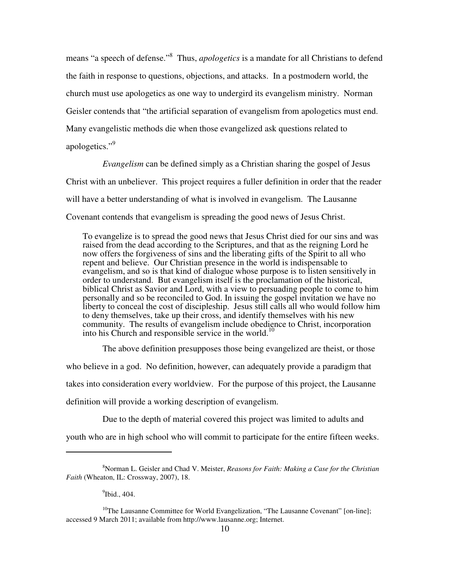means "a speech of defense."<sup>8</sup> Thus, *apologetics* is a mandate for all Christians to defend the faith in response to questions, objections, and attacks. In a postmodern world, the church must use apologetics as one way to undergird its evangelism ministry. Norman Geisler contends that "the artificial separation of evangelism from apologetics must end. Many evangelistic methods die when those evangelized ask questions related to apologetics."<sup>9</sup>

*Evangelism* can be defined simply as a Christian sharing the gospel of Jesus Christ with an unbeliever. This project requires a fuller definition in order that the reader will have a better understanding of what is involved in evangelism. The Lausanne Covenant contends that evangelism is spreading the good news of Jesus Christ.

To evangelize is to spread the good news that Jesus Christ died for our sins and was raised from the dead according to the Scriptures, and that as the reigning Lord he now offers the forgiveness of sins and the liberating gifts of the Spirit to all who repent and believe. Our Christian presence in the world is indispensable to evangelism, and so is that kind of dialogue whose purpose is to listen sensitively in order to understand. But evangelism itself is the proclamation of the historical, biblical Christ as Savior and Lord, with a view to persuading people to come to him personally and so be reconciled to God. In issuing the gospel invitation we have no liberty to conceal the cost of discipleship. Jesus still calls all who would follow him to deny themselves, take up their cross, and identify themselves with his new community. The results of evangelism include obedience to Christ, incorporation into his Church and responsible service in the world.<sup>10</sup>

The above definition presupposes those being evangelized are theist, or those who believe in a god. No definition, however, can adequately provide a paradigm that takes into consideration every worldview. For the purpose of this project, the Lausanne definition will provide a working description of evangelism.

Due to the depth of material covered this project was limited to adults and youth who are in high school who will commit to participate for the entire fifteen weeks.

<sup>8</sup>Norman L. Geisler and Chad V. Meister, *Reasons for Faith: Making a Case for the Christian Faith* (Wheaton, IL: Crossway, 2007), 18.

 $^9$ Ibid., 404.

 $10$ <sup>10</sup>The Lausanne Committee for World Evangelization, "The Lausanne Covenant" [on-line]; accessed 9 March 2011; available from http://www.lausanne.org; Internet.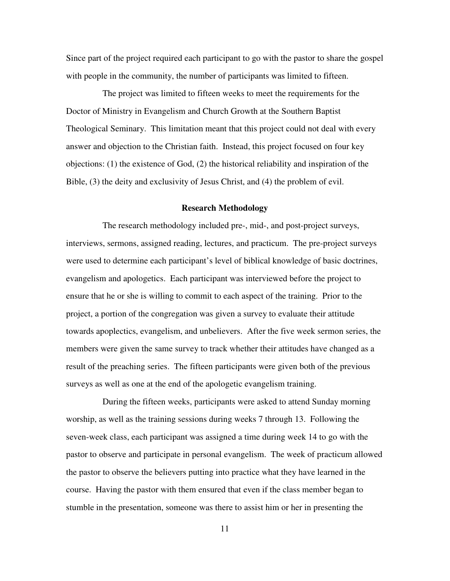Since part of the project required each participant to go with the pastor to share the gospel with people in the community, the number of participants was limited to fifteen.

The project was limited to fifteen weeks to meet the requirements for the Doctor of Ministry in Evangelism and Church Growth at the Southern Baptist Theological Seminary. This limitation meant that this project could not deal with every answer and objection to the Christian faith. Instead, this project focused on four key objections: (1) the existence of God, (2) the historical reliability and inspiration of the Bible, (3) the deity and exclusivity of Jesus Christ, and (4) the problem of evil.

## **Research Methodology**

The research methodology included pre-, mid-, and post-project surveys, interviews, sermons, assigned reading, lectures, and practicum. The pre-project surveys were used to determine each participant's level of biblical knowledge of basic doctrines, evangelism and apologetics. Each participant was interviewed before the project to ensure that he or she is willing to commit to each aspect of the training. Prior to the project, a portion of the congregation was given a survey to evaluate their attitude towards apoplectics, evangelism, and unbelievers. After the five week sermon series, the members were given the same survey to track whether their attitudes have changed as a result of the preaching series. The fifteen participants were given both of the previous surveys as well as one at the end of the apologetic evangelism training.

During the fifteen weeks, participants were asked to attend Sunday morning worship, as well as the training sessions during weeks 7 through 13. Following the seven-week class, each participant was assigned a time during week 14 to go with the pastor to observe and participate in personal evangelism. The week of practicum allowed the pastor to observe the believers putting into practice what they have learned in the course. Having the pastor with them ensured that even if the class member began to stumble in the presentation, someone was there to assist him or her in presenting the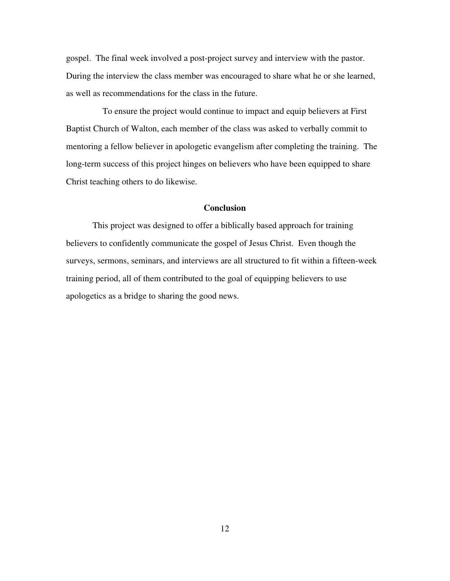gospel. The final week involved a post-project survey and interview with the pastor. During the interview the class member was encouraged to share what he or she learned, as well as recommendations for the class in the future.

To ensure the project would continue to impact and equip believers at First Baptist Church of Walton, each member of the class was asked to verbally commit to mentoring a fellow believer in apologetic evangelism after completing the training. The long-term success of this project hinges on believers who have been equipped to share Christ teaching others to do likewise.

## **Conclusion**

 This project was designed to offer a biblically based approach for training believers to confidently communicate the gospel of Jesus Christ. Even though the surveys, sermons, seminars, and interviews are all structured to fit within a fifteen-week training period, all of them contributed to the goal of equipping believers to use apologetics as a bridge to sharing the good news.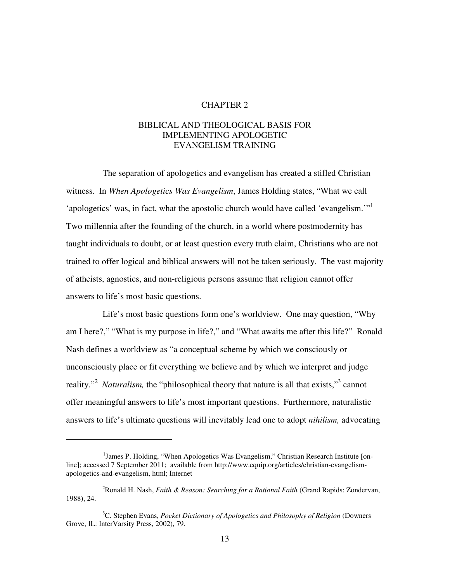## CHAPTER 2

## BIBLICAL AND THEOLOGICAL BASIS FOR IMPLEMENTING APOLOGETIC EVANGELISM TRAINING

The separation of apologetics and evangelism has created a stifled Christian witness. In *When Apologetics Was Evangelism*, James Holding states, "What we call 'apologetics' was, in fact, what the apostolic church would have called 'evangelism.'"<sup>1</sup> Two millennia after the founding of the church, in a world where postmodernity has taught individuals to doubt, or at least question every truth claim, Christians who are not trained to offer logical and biblical answers will not be taken seriously. The vast majority of atheists, agnostics, and non-religious persons assume that religion cannot offer answers to life's most basic questions.

Life's most basic questions form one's worldview. One may question, "Why am I here?," "What is my purpose in life?," and "What awaits me after this life?" Ronald Nash defines a worldview as "a conceptual scheme by which we consciously or unconsciously place or fit everything we believe and by which we interpret and judge reality."<sup>2</sup> Naturalism, the "philosophical theory that nature is all that exists,"<sup>3</sup> cannot offer meaningful answers to life's most important questions. Furthermore, naturalistic answers to life's ultimate questions will inevitably lead one to adopt *nihilism,* advocating

<sup>&</sup>lt;sup>1</sup>James P. Holding, "When Apologetics Was Evangelism," Christian Research Institute [online]; accessed 7 September 2011; available from http://www.equip.org/articles/christian-evangelismapologetics-and-evangelism, html; Internet

<sup>2</sup>Ronald H. Nash, *Faith & Reason: Searching for a Rational Faith* (Grand Rapids: Zondervan, 1988), 24.

<sup>&</sup>lt;sup>3</sup>C. Stephen Evans, *Pocket Dictionary of Apologetics and Philosophy of Religion* (Downers) Grove, IL: InterVarsity Press, 2002), 79.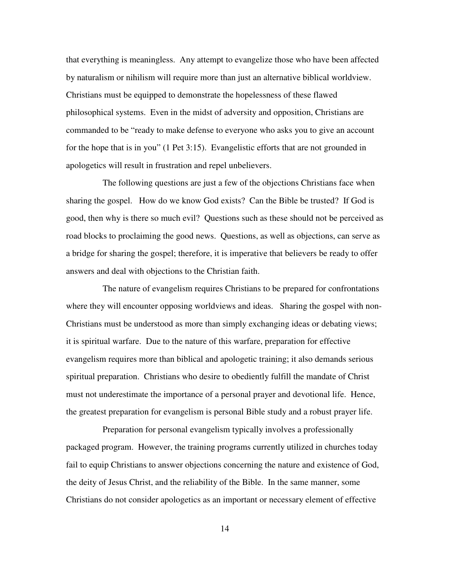that everything is meaningless. Any attempt to evangelize those who have been affected by naturalism or nihilism will require more than just an alternative biblical worldview. Christians must be equipped to demonstrate the hopelessness of these flawed philosophical systems. Even in the midst of adversity and opposition, Christians are commanded to be "ready to make defense to everyone who asks you to give an account for the hope that is in you" (1 Pet 3:15). Evangelistic efforts that are not grounded in apologetics will result in frustration and repel unbelievers.

The following questions are just a few of the objections Christians face when sharing the gospel. How do we know God exists? Can the Bible be trusted? If God is good, then why is there so much evil? Questions such as these should not be perceived as road blocks to proclaiming the good news. Questions, as well as objections, can serve as a bridge for sharing the gospel; therefore, it is imperative that believers be ready to offer answers and deal with objections to the Christian faith.

The nature of evangelism requires Christians to be prepared for confrontations where they will encounter opposing worldviews and ideas. Sharing the gospel with non-Christians must be understood as more than simply exchanging ideas or debating views; it is spiritual warfare. Due to the nature of this warfare, preparation for effective evangelism requires more than biblical and apologetic training; it also demands serious spiritual preparation. Christians who desire to obediently fulfill the mandate of Christ must not underestimate the importance of a personal prayer and devotional life. Hence, the greatest preparation for evangelism is personal Bible study and a robust prayer life.

Preparation for personal evangelism typically involves a professionally packaged program. However, the training programs currently utilized in churches today fail to equip Christians to answer objections concerning the nature and existence of God, the deity of Jesus Christ, and the reliability of the Bible. In the same manner, some Christians do not consider apologetics as an important or necessary element of effective

14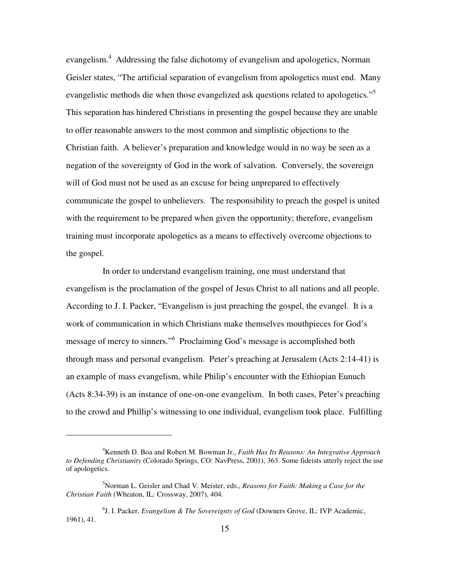evangelism.<sup>4</sup> Addressing the false dichotomy of evangelism and apologetics, Norman Geisler states, "The artificial separation of evangelism from apologetics must end. Many evangelistic methods die when those evangelized ask questions related to apologetics."<sup>5</sup> This separation has hindered Christians in presenting the gospel because they are unable to offer reasonable answers to the most common and simplistic objections to the Christian faith. A believer's preparation and knowledge would in no way be seen as a negation of the sovereignty of God in the work of salvation. Conversely, the sovereign will of God must not be used as an excuse for being unprepared to effectively communicate the gospel to unbelievers. The responsibility to preach the gospel is united with the requirement to be prepared when given the opportunity; therefore, evangelism training must incorporate apologetics as a means to effectively overcome objections to the gospel.

In order to understand evangelism training, one must understand that evangelism is the proclamation of the gospel of Jesus Christ to all nations and all people. According to J. I. Packer, "Evangelism is just preaching the gospel, the evangel. It is a work of communication in which Christians make themselves mouthpieces for God's message of mercy to sinners."<sup>6</sup> Proclaiming God's message is accomplished both through mass and personal evangelism. Peter's preaching at Jerusalem (Acts 2:14-41) is an example of mass evangelism, while Philip's encounter with the Ethiopian Eunuch (Acts 8:34-39) is an instance of one-on-one evangelism. In both cases, Peter's preaching to the crowd and Phillip's witnessing to one individual, evangelism took place. Fulfilling

<sup>4</sup>Kenneth D. Boa and Robert M. Bowman Jr., *Faith Has Its Reasons: An Integrative Approach to Defending Christianity* (Colorado Springs, CO: NavPress, 2001), 363. Some fideists utterly reject the use of apologetics.

<sup>5</sup>Norman L. Geisler and Chad V. Meister, eds., *Reasons for Faith: Making a Case for the Christian Faith* (Wheaton, IL: Crossway, 2007), 404.

<sup>6</sup> J. I. Packer, *Evangelism & The Sovereignty of God* (Downers Grove, IL: IVP Academic, 1961), 41.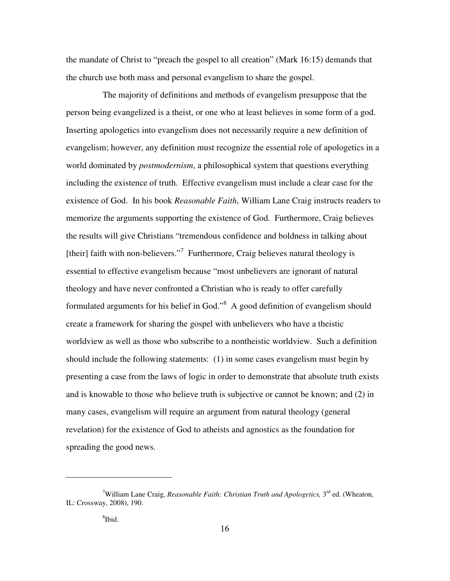the mandate of Christ to "preach the gospel to all creation" (Mark 16:15) demands that the church use both mass and personal evangelism to share the gospel.

The majority of definitions and methods of evangelism presuppose that the person being evangelized is a theist, or one who at least believes in some form of a god. Inserting apologetics into evangelism does not necessarily require a new definition of evangelism; however, any definition must recognize the essential role of apologetics in a world dominated by *postmodernism*, a philosophical system that questions everything including the existence of truth. Effective evangelism must include a clear case for the existence of God. In his book *Reasonable Faith*, William Lane Craig instructs readers to memorize the arguments supporting the existence of God. Furthermore, Craig believes the results will give Christians "tremendous confidence and boldness in talking about [their] faith with non-believers."<sup>7</sup> Furthermore, Craig believes natural theology is essential to effective evangelism because "most unbelievers are ignorant of natural theology and have never confronted a Christian who is ready to offer carefully formulated arguments for his belief in God."<sup>8</sup> A good definition of evangelism should create a framework for sharing the gospel with unbelievers who have a theistic worldview as well as those who subscribe to a nontheistic worldview. Such a definition should include the following statements: (1) in some cases evangelism must begin by presenting a case from the laws of logic in order to demonstrate that absolute truth exists and is knowable to those who believe truth is subjective or cannot be known; and (2) in many cases, evangelism will require an argument from natural theology (general revelation) for the existence of God to atheists and agnostics as the foundation for spreading the good news.

<sup>&</sup>lt;sup>7</sup>William Lane Craig, *Reasonable Faith: Christian Truth and Apologetics*,  $3<sup>rd</sup>$  ed. (Wheaton, IL: Crossway, 2008), 190.

<sup>8</sup> Ibid.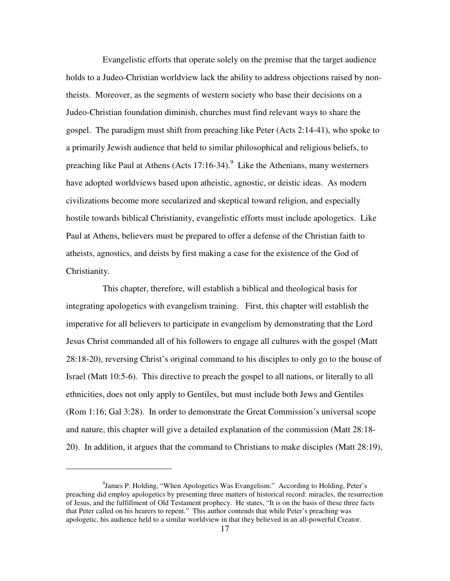Evangelistic efforts that operate solely on the premise that the target audience holds to a Judeo-Christian worldview lack the ability to address objections raised by nontheists. Moreover, as the segments of western society who base their decisions on a Judeo-Christian foundation diminish, churches must find relevant ways to share the gospel. The paradigm must shift from preaching like Peter (Acts 2:14-41), who spoke to a primarily Jewish audience that held to similar philosophical and religious beliefs, to preaching like Paul at Athens (Acts  $17:16-34$ ). Like the Athenians, many westerners have adopted worldviews based upon atheistic, agnostic, or deistic ideas. As modern civilizations become more secularized and skeptical toward religion, and especially hostile towards biblical Christianity, evangelistic efforts must include apologetics. Like Paul at Athens, believers must be prepared to offer a defense of the Christian faith to atheists, agnostics, and deists by first making a case for the existence of the God of Christianity.

This chapter, therefore, will establish a biblical and theological basis for integrating apologetics with evangelism training. First, this chapter will establish the imperative for all believers to participate in evangelism by demonstrating that the Lord Jesus Christ commanded all of his followers to engage all cultures with the gospel (Matt 28:18-20), reversing Christ's original command to his disciples to only go to the house of Israel (Matt 10:5-6). This directive to preach the gospel to all nations, or literally to all ethnicities, does not only apply to Gentiles, but must include both Jews and Gentiles (Rom 1:16; Gal 3:28). In order to demonstrate the Great Commission's universal scope and nature, this chapter will give a detailed explanation of the commission (Matt 28:18- 20). In addition, it argues that the command to Christians to make disciples (Matt 28:19),

<sup>&</sup>lt;sup>9</sup> James P. Holding, "When Apologetics Was Evangelism." According to Holding, Peter's preaching did employ apologetics by presenting three matters of historical record: miracles, the resurrection of Jesus, and the fulfillment of Old Testament prophecy. He states, "It is on the basis of these three facts that Peter called on his hearers to repent." This author contends that while Peter's preaching was apologetic, his audience held to a similar worldview in that they believed in an all-powerful Creator.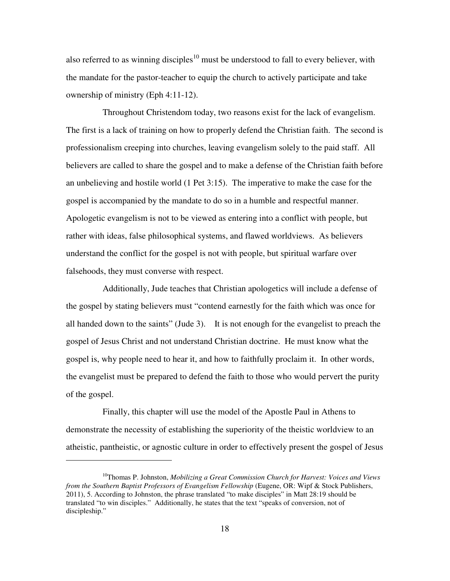also referred to as winning disciples<sup>10</sup> must be understood to fall to every believer, with the mandate for the pastor-teacher to equip the church to actively participate and take ownership of ministry (Eph 4:11-12).

Throughout Christendom today, two reasons exist for the lack of evangelism. The first is a lack of training on how to properly defend the Christian faith. The second is professionalism creeping into churches, leaving evangelism solely to the paid staff. All believers are called to share the gospel and to make a defense of the Christian faith before an unbelieving and hostile world (1 Pet 3:15). The imperative to make the case for the gospel is accompanied by the mandate to do so in a humble and respectful manner. Apologetic evangelism is not to be viewed as entering into a conflict with people, but rather with ideas, false philosophical systems, and flawed worldviews. As believers understand the conflict for the gospel is not with people, but spiritual warfare over falsehoods, they must converse with respect.

Additionally, Jude teaches that Christian apologetics will include a defense of the gospel by stating believers must "contend earnestly for the faith which was once for all handed down to the saints" (Jude 3). It is not enough for the evangelist to preach the gospel of Jesus Christ and not understand Christian doctrine. He must know what the gospel is, why people need to hear it, and how to faithfully proclaim it. In other words, the evangelist must be prepared to defend the faith to those who would pervert the purity of the gospel.

Finally, this chapter will use the model of the Apostle Paul in Athens to demonstrate the necessity of establishing the superiority of the theistic worldview to an atheistic, pantheistic, or agnostic culture in order to effectively present the gospel of Jesus

l

<sup>10</sup>Thomas P. Johnston, *Mobilizing a Great Commission Church for Harvest: Voices and Views from the Southern Baptist Professors of Evangelism Fellowship* (Eugene, OR: Wipf & Stock Publishers, 2011), 5. According to Johnston, the phrase translated "to make disciples" in Matt 28:19 should be translated "to win disciples." Additionally, he states that the text "speaks of conversion, not of discipleship."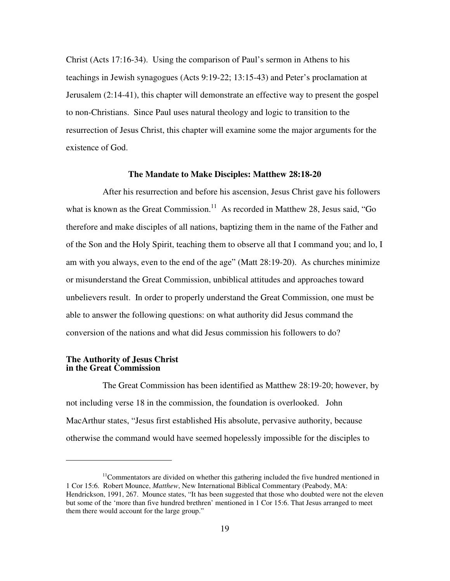Christ (Acts 17:16-34). Using the comparison of Paul's sermon in Athens to his teachings in Jewish synagogues (Acts 9:19-22; 13:15-43) and Peter's proclamation at Jerusalem (2:14-41), this chapter will demonstrate an effective way to present the gospel to non-Christians. Since Paul uses natural theology and logic to transition to the resurrection of Jesus Christ, this chapter will examine some the major arguments for the existence of God.

#### **The Mandate to Make Disciples: Matthew 28:18-20**

After his resurrection and before his ascension, Jesus Christ gave his followers what is known as the Great Commission.<sup>11</sup> As recorded in Matthew 28, Jesus said, "Go therefore and make disciples of all nations, baptizing them in the name of the Father and of the Son and the Holy Spirit, teaching them to observe all that I command you; and lo, I am with you always, even to the end of the age" (Matt 28:19-20). As churches minimize or misunderstand the Great Commission, unbiblical attitudes and approaches toward unbelievers result. In order to properly understand the Great Commission, one must be able to answer the following questions: on what authority did Jesus command the conversion of the nations and what did Jesus commission his followers to do?

## **The Authority of Jesus Christ in the Great Commission**

l

The Great Commission has been identified as Matthew 28:19-20; however, by not including verse 18 in the commission, the foundation is overlooked. John MacArthur states, "Jesus first established His absolute, pervasive authority, because otherwise the command would have seemed hopelessly impossible for the disciples to

 $11$ Commentators are divided on whether this gathering included the five hundred mentioned in 1 Cor 15:6. Robert Mounce, *Matthew*, New International Biblical Commentary (Peabody, MA: Hendrickson, 1991, 267. Mounce states, "It has been suggested that those who doubted were not the eleven but some of the 'more than five hundred brethren' mentioned in 1 Cor 15:6. That Jesus arranged to meet them there would account for the large group."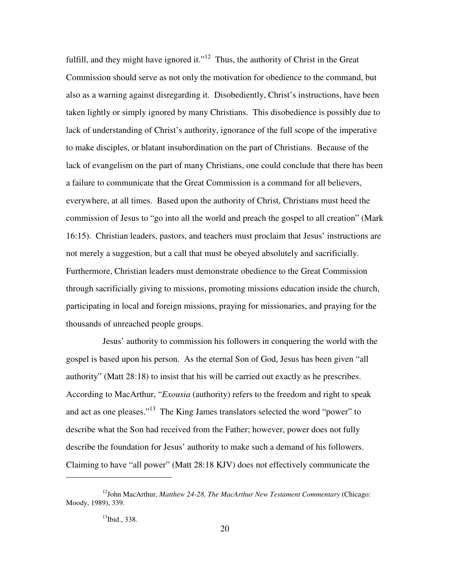fulfill, and they might have ignored it."<sup>12</sup> Thus, the authority of Christ in the Great Commission should serve as not only the motivation for obedience to the command, but also as a warning against disregarding it. Disobediently, Christ's instructions, have been taken lightly or simply ignored by many Christians. This disobedience is possibly due to lack of understanding of Christ's authority, ignorance of the full scope of the imperative to make disciples, or blatant insubordination on the part of Christians. Because of the lack of evangelism on the part of many Christians, one could conclude that there has been a failure to communicate that the Great Commission is a command for all believers, everywhere, at all times. Based upon the authority of Christ, Christians must heed the commission of Jesus to "go into all the world and preach the gospel to all creation" (Mark 16:15). Christian leaders, pastors, and teachers must proclaim that Jesus' instructions are not merely a suggestion, but a call that must be obeyed absolutely and sacrificially. Furthermore, Christian leaders must demonstrate obedience to the Great Commission through sacrificially giving to missions, promoting missions education inside the church, participating in local and foreign missions, praying for missionaries, and praying for the thousands of unreached people groups.

Jesus' authority to commission his followers in conquering the world with the gospel is based upon his person. As the eternal Son of God, Jesus has been given "all authority" (Matt 28:18) to insist that his will be carried out exactly as he prescribes. According to MacArthur, "*Exousia* (authority) refers to the freedom and right to speak and act as one pleases."<sup>13</sup> The King James translators selected the word "power" to describe what the Son had received from the Father; however, power does not fully describe the foundation for Jesus' authority to make such a demand of his followers. Claiming to have "all power" (Matt 28:18 KJV) does not effectively communicate the

<sup>12</sup>John MacArthur, *Matthew 24-28, The MacArthur New Testament Commentary* (Chicago: Moody, 1989), 339.

<sup>13</sup>Ibid., 338.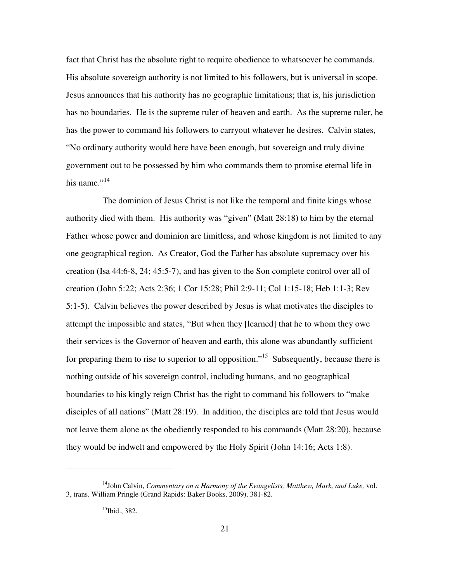fact that Christ has the absolute right to require obedience to whatsoever he commands. His absolute sovereign authority is not limited to his followers, but is universal in scope. Jesus announces that his authority has no geographic limitations; that is, his jurisdiction has no boundaries. He is the supreme ruler of heaven and earth. As the supreme ruler, he has the power to command his followers to carryout whatever he desires. Calvin states, "No ordinary authority would here have been enough, but sovereign and truly divine government out to be possessed by him who commands them to promise eternal life in his name." $14$ 

The dominion of Jesus Christ is not like the temporal and finite kings whose authority died with them. His authority was "given" (Matt 28:18) to him by the eternal Father whose power and dominion are limitless, and whose kingdom is not limited to any one geographical region. As Creator, God the Father has absolute supremacy over his creation (Isa 44:6-8, 24; 45:5-7), and has given to the Son complete control over all of creation (John 5:22; Acts 2:36; 1 Cor 15:28; Phil 2:9-11; Col 1:15-18; Heb 1:1-3; Rev 5:1-5). Calvin believes the power described by Jesus is what motivates the disciples to attempt the impossible and states, "But when they [learned] that he to whom they owe their services is the Governor of heaven and earth, this alone was abundantly sufficient for preparing them to rise to superior to all opposition."<sup>15</sup> Subsequently, because there is nothing outside of his sovereign control, including humans, and no geographical boundaries to his kingly reign Christ has the right to command his followers to "make disciples of all nations" (Matt 28:19). In addition, the disciples are told that Jesus would not leave them alone as the obediently responded to his commands (Matt 28:20), because they would be indwelt and empowered by the Holy Spirit (John 14:16; Acts 1:8).

<sup>14</sup>John Calvin, *Commentary on a Harmony of the Evangelists, Matthew, Mark, and Luke,* vol. 3, trans. William Pringle (Grand Rapids: Baker Books, 2009), 381-82.

 $15$ Ibid., 382.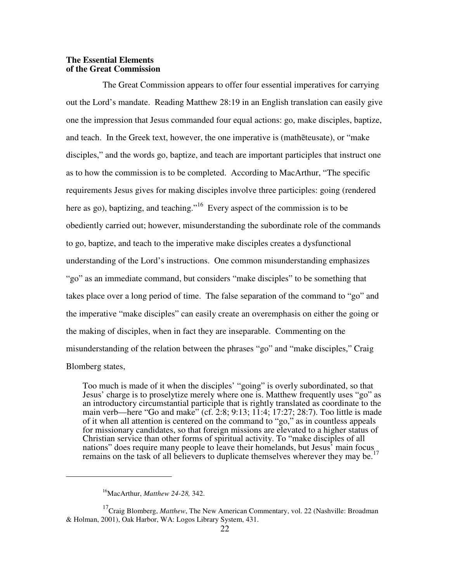## **The Essential Elements of the Great Commission**

The Great Commission appears to offer four essential imperatives for carrying out the Lord's mandate. Reading Matthew 28:19 in an English translation can easily give one the impression that Jesus commanded four equal actions: go, make disciples, baptize, and teach. In the Greek text, however, the one imperative is (mathēteusate), or "make disciples," and the words go, baptize, and teach are important participles that instruct one as to how the commission is to be completed. According to MacArthur, "The specific requirements Jesus gives for making disciples involve three participles: going (rendered here as go), baptizing, and teaching.<sup>16</sup> Every aspect of the commission is to be obediently carried out; however, misunderstanding the subordinate role of the commands to go, baptize, and teach to the imperative make disciples creates a dysfunctional understanding of the Lord's instructions. One common misunderstanding emphasizes "go" as an immediate command, but considers "make disciples" to be something that takes place over a long period of time. The false separation of the command to "go" and the imperative "make disciples" can easily create an overemphasis on either the going or the making of disciples, when in fact they are inseparable. Commenting on the misunderstanding of the relation between the phrases "go" and "make disciples," Craig Blomberg states,

Too much is made of it when the disciples' "going" is overly subordinated, so that Jesus' charge is to proselytize merely where one is. Matthew frequently uses "go" as an introductory circumstantial participle that is rightly translated as coordinate to the main verb—here "Go and make" (cf. 2:8; 9:13; 11:4; 17:27; 28:7). Too little is made of it when all attention is centered on the command to "go," as in countless appeals for missionary candidates, so that foreign missions are elevated to a higher status of Christian service than other forms of spiritual activity. To "make disciples of all nations" does require many people to leave their homelands, but Jesus' main focus remains on the task of all believers to duplicate themselves wherever they may be.<sup>17</sup>

 $\overline{a}$ 

j

<sup>16</sup>MacArthur, *Matthew 24-28,* 342.

<sup>&</sup>lt;sup>17</sup>Craig Blomberg, *Matthew*, The New American Commentary, vol. 22 (Nashville: Broadman & Holman, 2001), Oak Harbor, WA: Logos Library System, 431.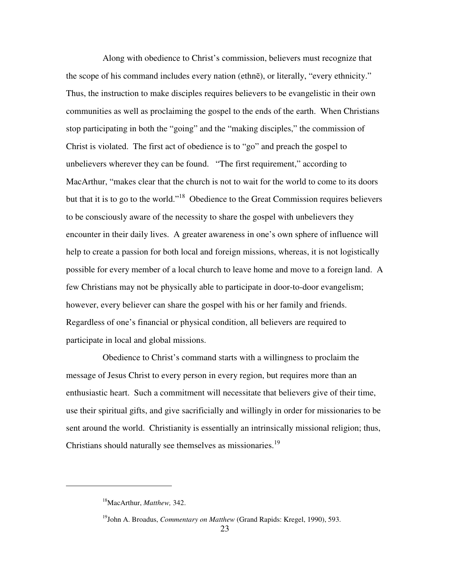Along with obedience to Christ's commission, believers must recognize that the scope of his command includes every nation (ethnē), or literally, "every ethnicity." Thus, the instruction to make disciples requires believers to be evangelistic in their own communities as well as proclaiming the gospel to the ends of the earth. When Christians stop participating in both the "going" and the "making disciples," the commission of Christ is violated. The first act of obedience is to "go" and preach the gospel to unbelievers wherever they can be found. "The first requirement," according to MacArthur, "makes clear that the church is not to wait for the world to come to its doors but that it is to go to the world."<sup>18</sup> Obedience to the Great Commission requires believers to be consciously aware of the necessity to share the gospel with unbelievers they encounter in their daily lives. A greater awareness in one's own sphere of influence will help to create a passion for both local and foreign missions, whereas, it is not logistically possible for every member of a local church to leave home and move to a foreign land. A few Christians may not be physically able to participate in door-to-door evangelism; however, every believer can share the gospel with his or her family and friends. Regardless of one's financial or physical condition, all believers are required to participate in local and global missions.

Obedience to Christ's command starts with a willingness to proclaim the message of Jesus Christ to every person in every region, but requires more than an enthusiastic heart. Such a commitment will necessitate that believers give of their time, use their spiritual gifts, and give sacrificially and willingly in order for missionaries to be sent around the world. Christianity is essentially an intrinsically missional religion; thus, Christians should naturally see themselves as missionaries.<sup>19</sup>

<sup>18</sup>MacArthur, *Matthew,* 342.

<sup>&</sup>lt;sup>19</sup>John A. Broadus, *Commentary on Matthew* (Grand Rapids: Kregel, 1990), 593.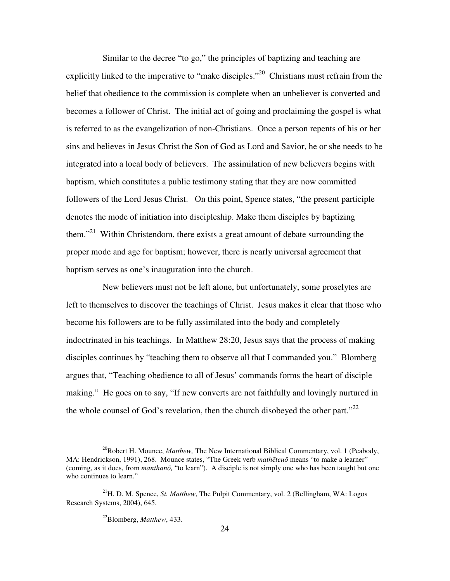Similar to the decree "to go," the principles of baptizing and teaching are explicitly linked to the imperative to "make disciples."<sup>20</sup> Christians must refrain from the belief that obedience to the commission is complete when an unbeliever is converted and becomes a follower of Christ. The initial act of going and proclaiming the gospel is what is referred to as the evangelization of non-Christians. Once a person repents of his or her sins and believes in Jesus Christ the Son of God as Lord and Savior, he or she needs to be integrated into a local body of believers. The assimilation of new believers begins with baptism, which constitutes a public testimony stating that they are now committed followers of the Lord Jesus Christ. On this point, Spence states, "the present participle denotes the mode of initiation into discipleship. Make them disciples by baptizing them."<sup>21</sup> Within Christendom, there exists a great amount of debate surrounding the proper mode and age for baptism; however, there is nearly universal agreement that baptism serves as one's inauguration into the church.

New believers must not be left alone, but unfortunately, some proselytes are left to themselves to discover the teachings of Christ. Jesus makes it clear that those who become his followers are to be fully assimilated into the body and completely indoctrinated in his teachings. In Matthew 28:20, Jesus says that the process of making disciples continues by "teaching them to observe all that I commanded you." Blomberg argues that, "Teaching obedience to all of Jesus' commands forms the heart of disciple making." He goes on to say, "If new converts are not faithfully and lovingly nurtured in the whole counsel of God's revelation, then the church disobeyed the other part."<sup>22</sup>

l

<sup>&</sup>lt;sup>20</sup>Robert H. Mounce, *Matthew*, The New International Biblical Commentary, vol. 1 (Peabody, MA: Hendrickson, 1991), 268. Mounce states, "The Greek verb *math*ē*teu*ō means "to make a learner" (coming, as it does, from *manthan*ō*,* "to learn"). A disciple is not simply one who has been taught but one who continues to learn."

<sup>&</sup>lt;sup>21</sup>H. D. M. Spence, *St. Matthew*, The Pulpit Commentary, vol. 2 (Bellingham, WA: Logos Research Systems, 2004), 645.

<sup>22</sup>Blomberg, *Matthew*, 433.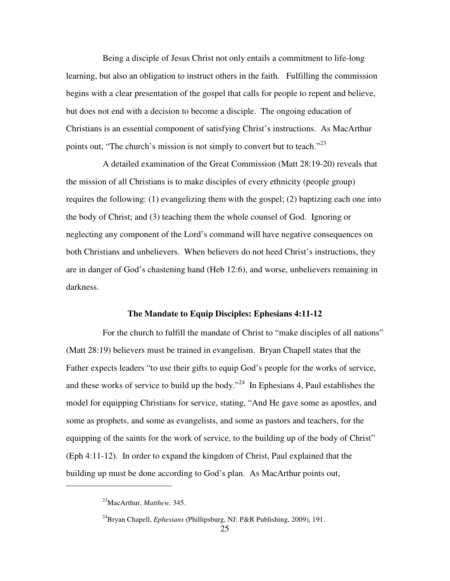Being a disciple of Jesus Christ not only entails a commitment to life-long learning, but also an obligation to instruct others in the faith. Fulfilling the commission begins with a clear presentation of the gospel that calls for people to repent and believe, but does not end with a decision to become a disciple. The ongoing education of Christians is an essential component of satisfying Christ's instructions. As MacArthur points out, "The church's mission is not simply to convert but to teach."<sup>23</sup>

A detailed examination of the Great Commission (Matt 28:19-20) reveals that the mission of all Christians is to make disciples of every ethnicity (people group) requires the following: (1) evangelizing them with the gospel; (2) baptizing each one into the body of Christ; and (3) teaching them the whole counsel of God. Ignoring or neglecting any component of the Lord's command will have negative consequences on both Christians and unbelievers. When believers do not heed Christ's instructions, they are in danger of God's chastening hand (Heb 12:6), and worse, unbelievers remaining in darkness.

#### **The Mandate to Equip Disciples: Ephesians 4:11-12**

For the church to fulfill the mandate of Christ to "make disciples of all nations" (Matt 28:19) believers must be trained in evangelism. Bryan Chapell states that the Father expects leaders "to use their gifts to equip God's people for the works of service, and these works of service to build up the body."<sup>24</sup> In Ephesians 4, Paul establishes the model for equipping Christians for service, stating, "And He gave some as apostles, and some as prophets, and some as evangelists, and some as pastors and teachers, for the equipping of the saints for the work of service, to the building up of the body of Christ" (Eph 4:11-12). In order to expand the kingdom of Christ, Paul explained that the building up must be done according to God's plan. As MacArthur points out,

<sup>23</sup>MacArthur, *Matthew,* 345.

<sup>&</sup>lt;sup>24</sup>Bryan Chapell, *Ephesians* (Phillipsburg, NJ: P&R Publishing, 2009), 191.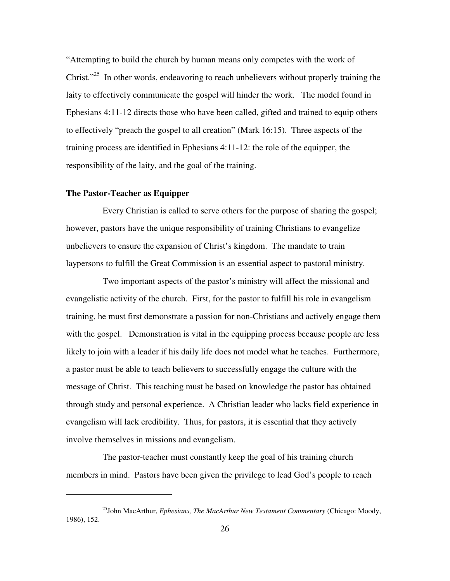"Attempting to build the church by human means only competes with the work of Christ."<sup>25</sup> In other words, endeavoring to reach unbelievers without properly training the laity to effectively communicate the gospel will hinder the work. The model found in Ephesians 4:11-12 directs those who have been called, gifted and trained to equip others to effectively "preach the gospel to all creation" (Mark 16:15). Three aspects of the training process are identified in Ephesians 4:11-12: the role of the equipper, the responsibility of the laity, and the goal of the training.

## **The Pastor-Teacher as Equipper**

 $\overline{a}$ 

Every Christian is called to serve others for the purpose of sharing the gospel; however, pastors have the unique responsibility of training Christians to evangelize unbelievers to ensure the expansion of Christ's kingdom. The mandate to train laypersons to fulfill the Great Commission is an essential aspect to pastoral ministry.

Two important aspects of the pastor's ministry will affect the missional and evangelistic activity of the church. First, for the pastor to fulfill his role in evangelism training, he must first demonstrate a passion for non-Christians and actively engage them with the gospel. Demonstration is vital in the equipping process because people are less likely to join with a leader if his daily life does not model what he teaches. Furthermore, a pastor must be able to teach believers to successfully engage the culture with the message of Christ. This teaching must be based on knowledge the pastor has obtained through study and personal experience. A Christian leader who lacks field experience in evangelism will lack credibility. Thus, for pastors, it is essential that they actively involve themselves in missions and evangelism.

The pastor-teacher must constantly keep the goal of his training church members in mind. Pastors have been given the privilege to lead God's people to reach

<sup>25</sup>John MacArthur, *Ephesians, The MacArthur New Testament Commentary* (Chicago: Moody, 1986), 152.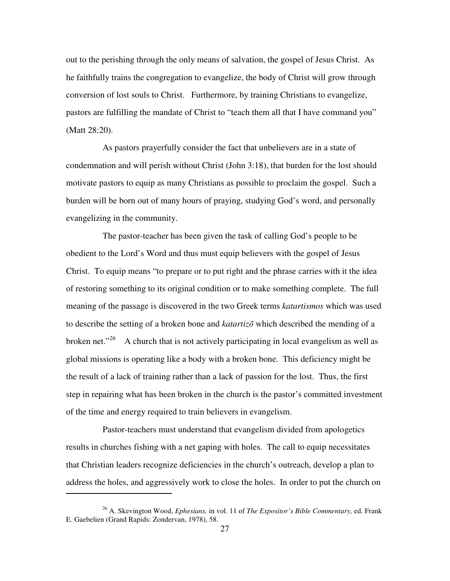out to the perishing through the only means of salvation, the gospel of Jesus Christ. As he faithfully trains the congregation to evangelize, the body of Christ will grow through conversion of lost souls to Christ. Furthermore, by training Christians to evangelize, pastors are fulfilling the mandate of Christ to "teach them all that I have command you" (Matt 28:20).

As pastors prayerfully consider the fact that unbelievers are in a state of condemnation and will perish without Christ (John 3:18), that burden for the lost should motivate pastors to equip as many Christians as possible to proclaim the gospel. Such a burden will be born out of many hours of praying, studying God's word, and personally evangelizing in the community.

The pastor-teacher has been given the task of calling God's people to be obedient to the Lord's Word and thus must equip believers with the gospel of Jesus Christ. To equip means "to prepare or to put right and the phrase carries with it the idea of restoring something to its original condition or to make something complete. The full meaning of the passage is discovered in the two Greek terms *katartismos* which was used to describe the setting of a broken bone and *katartiz*ō which described the mending of a broken net."<sup>26</sup> A church that is not actively participating in local evangelism as well as global missions is operating like a body with a broken bone. This deficiency might be the result of a lack of training rather than a lack of passion for the lost. Thus, the first step in repairing what has been broken in the church is the pastor's committed investment of the time and energy required to train believers in evangelism.

Pastor-teachers must understand that evangelism divided from apologetics results in churches fishing with a net gaping with holes. The call to equip necessitates that Christian leaders recognize deficiencies in the church's outreach, develop a plan to address the holes, and aggressively work to close the holes. In order to put the church on

l

<sup>26</sup> A. Skevington Wood, *Ephesians,* in vol. 11 of *The Expositor's Bible Commentary,* ed. Frank E. Gaebelien (Grand Rapids: Zondervan, 1978), 58.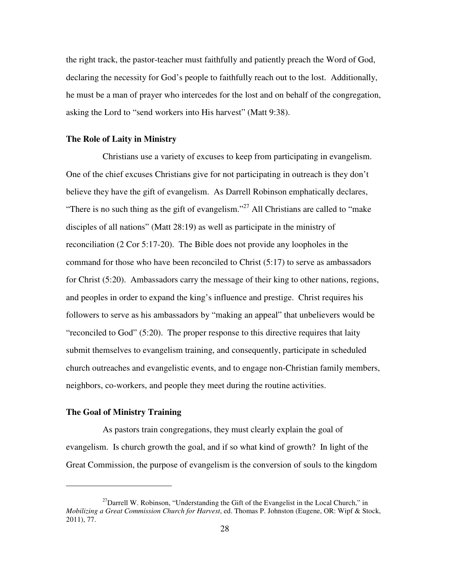the right track, the pastor-teacher must faithfully and patiently preach the Word of God, declaring the necessity for God's people to faithfully reach out to the lost. Additionally, he must be a man of prayer who intercedes for the lost and on behalf of the congregation, asking the Lord to "send workers into His harvest" (Matt 9:38).

#### **The Role of Laity in Ministry**

Christians use a variety of excuses to keep from participating in evangelism. One of the chief excuses Christians give for not participating in outreach is they don't believe they have the gift of evangelism. As Darrell Robinson emphatically declares, "There is no such thing as the gift of evangelism."<sup>27</sup> All Christians are called to "make" disciples of all nations" (Matt 28:19) as well as participate in the ministry of reconciliation (2 Cor 5:17-20). The Bible does not provide any loopholes in the command for those who have been reconciled to Christ (5:17) to serve as ambassadors for Christ (5:20). Ambassadors carry the message of their king to other nations, regions, and peoples in order to expand the king's influence and prestige. Christ requires his followers to serve as his ambassadors by "making an appeal" that unbelievers would be "reconciled to God" (5:20). The proper response to this directive requires that laity submit themselves to evangelism training, and consequently, participate in scheduled church outreaches and evangelistic events, and to engage non-Christian family members, neighbors, co-workers, and people they meet during the routine activities.

# **The Goal of Ministry Training**

 $\overline{a}$ 

As pastors train congregations, they must clearly explain the goal of evangelism. Is church growth the goal, and if so what kind of growth? In light of the Great Commission, the purpose of evangelism is the conversion of souls to the kingdom

 $^{27}$ Darrell W. Robinson, "Understanding the Gift of the Evangelist in the Local Church," in *Mobilizing a Great Commission Church for Harvest*, ed. Thomas P. Johnston (Eugene, OR: Wipf & Stock, 2011), 77.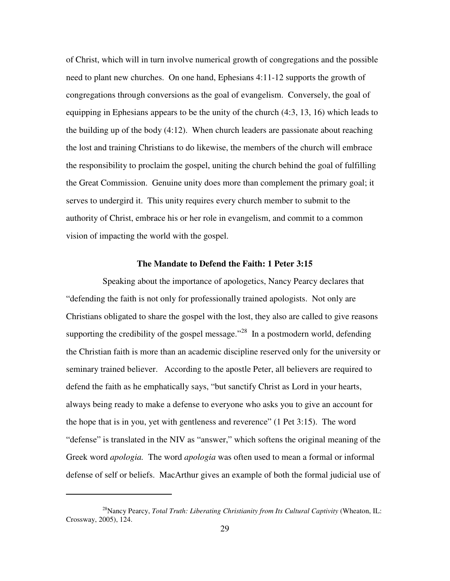of Christ, which will in turn involve numerical growth of congregations and the possible need to plant new churches. On one hand, Ephesians 4:11-12 supports the growth of congregations through conversions as the goal of evangelism. Conversely, the goal of equipping in Ephesians appears to be the unity of the church (4:3, 13, 16) which leads to the building up of the body (4:12). When church leaders are passionate about reaching the lost and training Christians to do likewise, the members of the church will embrace the responsibility to proclaim the gospel, uniting the church behind the goal of fulfilling the Great Commission. Genuine unity does more than complement the primary goal; it serves to undergird it. This unity requires every church member to submit to the authority of Christ, embrace his or her role in evangelism, and commit to a common vision of impacting the world with the gospel.

#### **The Mandate to Defend the Faith: 1 Peter 3:15**

Speaking about the importance of apologetics, Nancy Pearcy declares that "defending the faith is not only for professionally trained apologists. Not only are Christians obligated to share the gospel with the lost, they also are called to give reasons supporting the credibility of the gospel message."<sup>28</sup> In a postmodern world, defending the Christian faith is more than an academic discipline reserved only for the university or seminary trained believer. According to the apostle Peter, all believers are required to defend the faith as he emphatically says, "but sanctify Christ as Lord in your hearts, always being ready to make a defense to everyone who asks you to give an account for the hope that is in you, yet with gentleness and reverence" (1 Pet 3:15). The word "defense" is translated in the NIV as "answer," which softens the original meaning of the Greek word *apologia.* The word *apologia* was often used to mean a formal or informal defense of self or beliefs. MacArthur gives an example of both the formal judicial use of

<sup>28</sup>Nancy Pearcy, *Total Truth: Liberating Christianity from Its Cultural Captivity* (Wheaton, IL: Crossway, 2005), 124.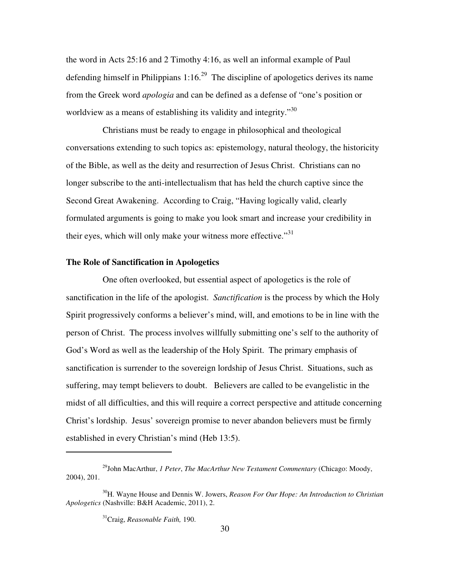the word in Acts 25:16 and 2 Timothy 4:16, as well an informal example of Paul defending himself in Philippians 1:16<sup>29</sup> The discipline of apologetics derives its name from the Greek word *apologia* and can be defined as a defense of "one's position or worldview as a means of establishing its validity and integrity."<sup>30</sup>

Christians must be ready to engage in philosophical and theological conversations extending to such topics as: epistemology, natural theology, the historicity of the Bible, as well as the deity and resurrection of Jesus Christ. Christians can no longer subscribe to the anti-intellectualism that has held the church captive since the Second Great Awakening. According to Craig, "Having logically valid, clearly formulated arguments is going to make you look smart and increase your credibility in their eyes, which will only make your witness more effective."<sup>31</sup>

## **The Role of Sanctification in Apologetics**

One often overlooked, but essential aspect of apologetics is the role of sanctification in the life of the apologist. *Sanctification* is the process by which the Holy Spirit progressively conforms a believer's mind, will, and emotions to be in line with the person of Christ. The process involves willfully submitting one's self to the authority of God's Word as well as the leadership of the Holy Spirit. The primary emphasis of sanctification is surrender to the sovereign lordship of Jesus Christ. Situations, such as suffering, may tempt believers to doubt. Believers are called to be evangelistic in the midst of all difficulties, and this will require a correct perspective and attitude concerning Christ's lordship. Jesus' sovereign promise to never abandon believers must be firmly established in every Christian's mind (Heb 13:5).

<sup>29</sup>John MacArthur, *1 Peter*, *The MacArthur New Testament Commentary* (Chicago: Moody, 2004), 201.

<sup>30</sup>H. Wayne House and Dennis W. Jowers, *Reason For Our Hope: An Introduction to Christian Apologetics* (Nashville: B&H Academic, 2011), 2.

<sup>31</sup>Craig, *Reasonable Faith,* 190.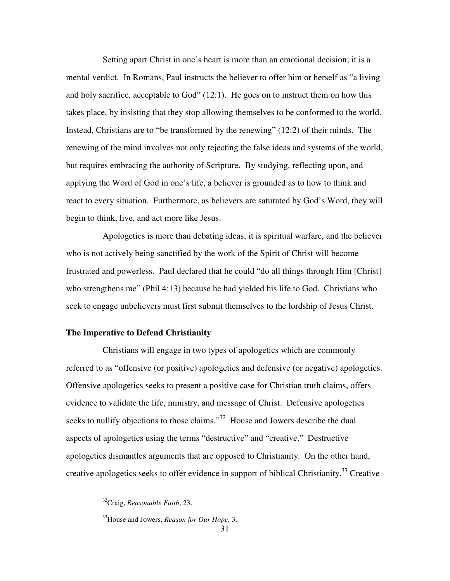Setting apart Christ in one's heart is more than an emotional decision; it is a mental verdict. In Romans, Paul instructs the believer to offer him or herself as "a living and holy sacrifice, acceptable to God" (12:1). He goes on to instruct them on how this takes place, by insisting that they stop allowing themselves to be conformed to the world. Instead, Christians are to "be transformed by the renewing" (12:2) of their minds. The renewing of the mind involves not only rejecting the false ideas and systems of the world, but requires embracing the authority of Scripture. By studying, reflecting upon, and applying the Word of God in one's life, a believer is grounded as to how to think and react to every situation. Furthermore, as believers are saturated by God's Word, they will begin to think, live, and act more like Jesus.

Apologetics is more than debating ideas; it is spiritual warfare, and the believer who is not actively being sanctified by the work of the Spirit of Christ will become frustrated and powerless. Paul declared that he could "do all things through Him [Christ] who strengthens me" (Phil 4:13) because he had yielded his life to God. Christians who seek to engage unbelievers must first submit themselves to the lordship of Jesus Christ.

## **The Imperative to Defend Christianity**

Christians will engage in two types of apologetics which are commonly referred to as "offensive (or positive) apologetics and defensive (or negative) apologetics. Offensive apologetics seeks to present a positive case for Christian truth claims, offers evidence to validate the life, ministry, and message of Christ. Defensive apologetics seeks to nullify objections to those claims."<sup>32</sup> House and Jowers describe the dual aspects of apologetics using the terms "destructive" and "creative." Destructive apologetics dismantles arguments that are opposed to Christianity. On the other hand, creative apologetics seeks to offer evidence in support of biblical Christianity.<sup>33</sup> Creative

<sup>32</sup>Craig, *Reasonable Faith*, 23.

<sup>33</sup>House and Jowers, *Reason for Our Hope*, 3.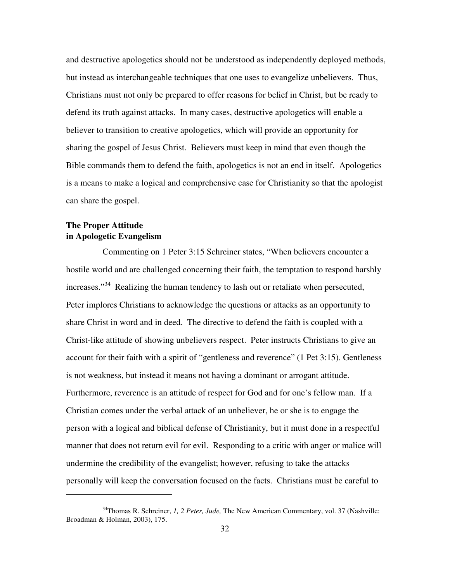and destructive apologetics should not be understood as independently deployed methods, but instead as interchangeable techniques that one uses to evangelize unbelievers. Thus, Christians must not only be prepared to offer reasons for belief in Christ, but be ready to defend its truth against attacks. In many cases, destructive apologetics will enable a believer to transition to creative apologetics, which will provide an opportunity for sharing the gospel of Jesus Christ. Believers must keep in mind that even though the Bible commands them to defend the faith, apologetics is not an end in itself. Apologetics is a means to make a logical and comprehensive case for Christianity so that the apologist can share the gospel.

# **The Proper Attitude in Apologetic Evangelism**

 $\overline{a}$ 

Commenting on 1 Peter 3:15 Schreiner states, "When believers encounter a hostile world and are challenged concerning their faith, the temptation to respond harshly increases."<sup>34</sup> Realizing the human tendency to lash out or retaliate when persecuted, Peter implores Christians to acknowledge the questions or attacks as an opportunity to share Christ in word and in deed. The directive to defend the faith is coupled with a Christ-like attitude of showing unbelievers respect. Peter instructs Christians to give an account for their faith with a spirit of "gentleness and reverence" (1 Pet 3:15). Gentleness is not weakness, but instead it means not having a dominant or arrogant attitude. Furthermore, reverence is an attitude of respect for God and for one's fellow man. If a Christian comes under the verbal attack of an unbeliever, he or she is to engage the person with a logical and biblical defense of Christianity, but it must done in a respectful manner that does not return evil for evil. Responding to a critic with anger or malice will undermine the credibility of the evangelist; however, refusing to take the attacks personally will keep the conversation focused on the facts. Christians must be careful to

<sup>34</sup>Thomas R. Schreiner, *1, 2 Peter, Jude,* The New American Commentary, vol. 37 (Nashville: Broadman & Holman, 2003), 175.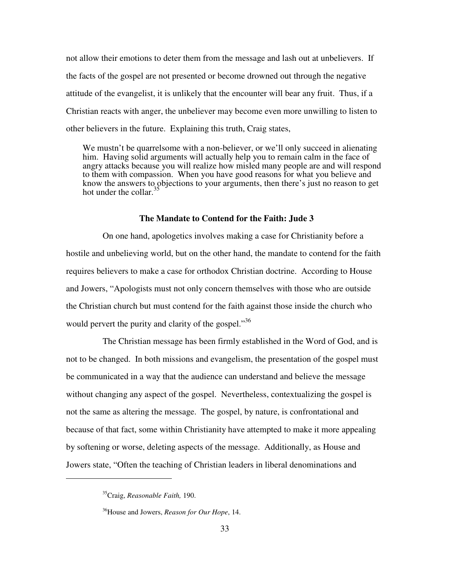not allow their emotions to deter them from the message and lash out at unbelievers. If the facts of the gospel are not presented or become drowned out through the negative attitude of the evangelist, it is unlikely that the encounter will bear any fruit. Thus, if a Christian reacts with anger, the unbeliever may become even more unwilling to listen to other believers in the future. Explaining this truth, Craig states,

We mustn't be quarrelsome with a non-believer, or we'll only succeed in alienating him. Having solid arguments will actually help you to remain calm in the face of angry attacks because you will realize how misled many people are and will respond to them with compassion. When you have good reasons for what you believe and know the answers to objections to your arguments, then there's just no reason to get hot under the collar. $35$ 

### **The Mandate to Contend for the Faith: Jude 3**

On one hand, apologetics involves making a case for Christianity before a hostile and unbelieving world, but on the other hand, the mandate to contend for the faith requires believers to make a case for orthodox Christian doctrine. According to House and Jowers, "Apologists must not only concern themselves with those who are outside the Christian church but must contend for the faith against those inside the church who would pervert the purity and clarity of the gospel."<sup>36</sup>

The Christian message has been firmly established in the Word of God, and is not to be changed. In both missions and evangelism, the presentation of the gospel must be communicated in a way that the audience can understand and believe the message without changing any aspect of the gospel. Nevertheless, contextualizing the gospel is not the same as altering the message. The gospel, by nature, is confrontational and because of that fact, some within Christianity have attempted to make it more appealing by softening or worse, deleting aspects of the message. Additionally, as House and Jowers state, "Often the teaching of Christian leaders in liberal denominations and

<sup>35</sup>Craig, *Reasonable Faith,* 190.

<sup>36</sup>House and Jowers, *Reason for Our Hope*, 14.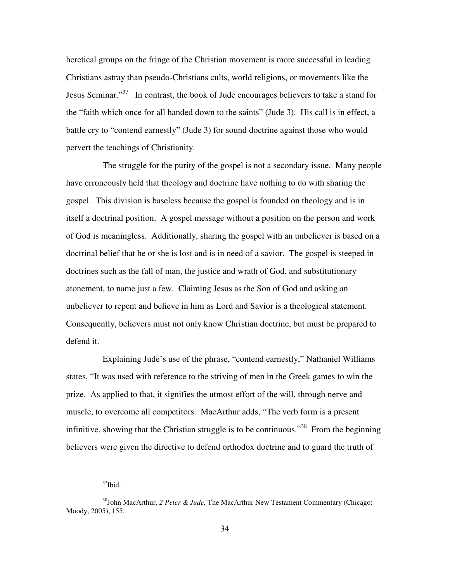heretical groups on the fringe of the Christian movement is more successful in leading Christians astray than pseudo-Christians cults, world religions, or movements like the Jesus Seminar."<sup>37</sup> In contrast, the book of Jude encourages believers to take a stand for the "faith which once for all handed down to the saints" (Jude 3). His call is in effect, a battle cry to "contend earnestly" (Jude 3) for sound doctrine against those who would pervert the teachings of Christianity.

The struggle for the purity of the gospel is not a secondary issue. Many people have erroneously held that theology and doctrine have nothing to do with sharing the gospel. This division is baseless because the gospel is founded on theology and is in itself a doctrinal position. A gospel message without a position on the person and work of God is meaningless. Additionally, sharing the gospel with an unbeliever is based on a doctrinal belief that he or she is lost and is in need of a savior. The gospel is steeped in doctrines such as the fall of man, the justice and wrath of God, and substitutionary atonement, to name just a few. Claiming Jesus as the Son of God and asking an unbeliever to repent and believe in him as Lord and Savior is a theological statement. Consequently, believers must not only know Christian doctrine, but must be prepared to defend it.

Explaining Jude's use of the phrase, "contend earnestly," Nathaniel Williams states, "It was used with reference to the striving of men in the Greek games to win the prize. As applied to that, it signifies the utmost effort of the will, through nerve and muscle, to overcome all competitors. MacArthur adds, "The verb form is a present infinitive, showing that the Christian struggle is to be continuous.<sup>38</sup> From the beginning believers were given the directive to defend orthodox doctrine and to guard the truth of

<sup>&</sup>lt;sup>37</sup>Ibid.

<sup>38</sup>John MacArthur, *2 Peter & Jude,* The MacArthur New Testament Commentary (Chicago: Moody, 2005), 155.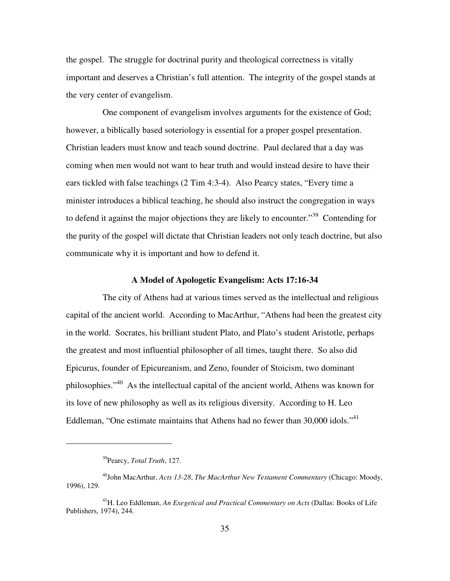the gospel. The struggle for doctrinal purity and theological correctness is vitally important and deserves a Christian's full attention. The integrity of the gospel stands at the very center of evangelism.

One component of evangelism involves arguments for the existence of God; however, a biblically based soteriology is essential for a proper gospel presentation. Christian leaders must know and teach sound doctrine. Paul declared that a day was coming when men would not want to hear truth and would instead desire to have their ears tickled with false teachings (2 Tim 4:3-4). Also Pearcy states, "Every time a minister introduces a biblical teaching, he should also instruct the congregation in ways to defend it against the major objections they are likely to encounter."<sup>39</sup> Contending for the purity of the gospel will dictate that Christian leaders not only teach doctrine, but also communicate why it is important and how to defend it.

## **A Model of Apologetic Evangelism: Acts 17:16-34**

The city of Athens had at various times served as the intellectual and religious capital of the ancient world. According to MacArthur, "Athens had been the greatest city in the world. Socrates, his brilliant student Plato, and Plato's student Aristotle, perhaps the greatest and most influential philosopher of all times, taught there. So also did Epicurus, founder of Epicureanism, and Zeno, founder of Stoicism, two dominant philosophies."<sup>40</sup> As the intellectual capital of the ancient world, Athens was known for its love of new philosophy as well as its religious diversity. According to H. Leo Eddleman, "One estimate maintains that Athens had no fewer than  $30,000$  idols."<sup>41</sup>

<sup>39</sup>Pearcy, *Total Truth*, 127.

<sup>40</sup>John MacArthur, *Acts 13-28*, *The MacArthur New Testament Commentary* (Chicago: Moody, 1996), 129.

<sup>&</sup>lt;sup>41</sup>H. Leo Eddleman, *An Exegetical and Practical Commentary on Acts* (Dallas: Books of Life Publishers, 1974), 244.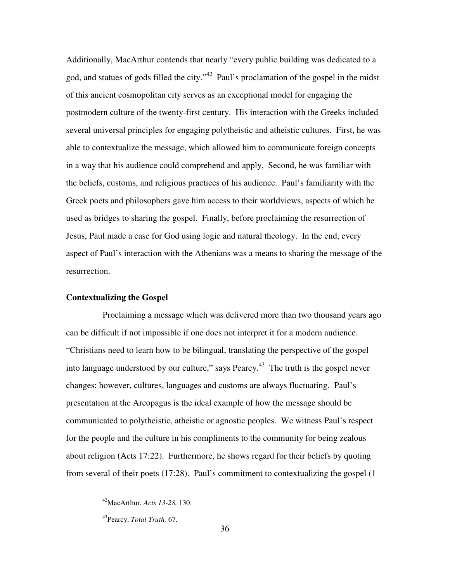Additionally, MacArthur contends that nearly "every public building was dedicated to a god, and statues of gods filled the city."<sup>42</sup> Paul's proclamation of the gospel in the midst of this ancient cosmopolitan city serves as an exceptional model for engaging the postmodern culture of the twenty-first century. His interaction with the Greeks included several universal principles for engaging polytheistic and atheistic cultures. First, he was able to contextualize the message, which allowed him to communicate foreign concepts in a way that his audience could comprehend and apply. Second, he was familiar with the beliefs, customs, and religious practices of his audience. Paul's familiarity with the Greek poets and philosophers gave him access to their worldviews, aspects of which he used as bridges to sharing the gospel. Finally, before proclaiming the resurrection of Jesus, Paul made a case for God using logic and natural theology. In the end, every aspect of Paul's interaction with the Athenians was a means to sharing the message of the resurrection.

### **Contextualizing the Gospel**

Proclaiming a message which was delivered more than two thousand years ago can be difficult if not impossible if one does not interpret it for a modern audience. "Christians need to learn how to be bilingual, translating the perspective of the gospel into language understood by our culture," says Pearcy.<sup>43</sup> The truth is the gospel never changes; however, cultures, languages and customs are always fluctuating. Paul's presentation at the Areopagus is the ideal example of how the message should be communicated to polytheistic, atheistic or agnostic peoples. We witness Paul's respect for the people and the culture in his compliments to the community for being zealous about religion (Acts 17:22). Furthermore, he shows regard for their beliefs by quoting from several of their poets (17:28). Paul's commitment to contextualizing the gospel (1

<sup>42</sup>MacArthur, *Acts 13-28,* 130.

<sup>43</sup>Pearcy, *Total Truth,* 67.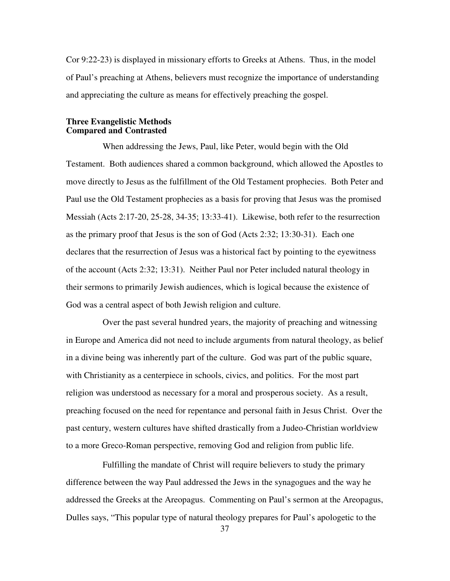Cor 9:22-23) is displayed in missionary efforts to Greeks at Athens. Thus, in the model of Paul's preaching at Athens, believers must recognize the importance of understanding and appreciating the culture as means for effectively preaching the gospel.

### **Three Evangelistic Methods Compared and Contrasted**

When addressing the Jews, Paul, like Peter, would begin with the Old Testament. Both audiences shared a common background, which allowed the Apostles to move directly to Jesus as the fulfillment of the Old Testament prophecies. Both Peter and Paul use the Old Testament prophecies as a basis for proving that Jesus was the promised Messiah (Acts 2:17-20, 25-28, 34-35; 13:33-41). Likewise, both refer to the resurrection as the primary proof that Jesus is the son of God (Acts 2:32; 13:30-31). Each one declares that the resurrection of Jesus was a historical fact by pointing to the eyewitness of the account (Acts 2:32; 13:31). Neither Paul nor Peter included natural theology in their sermons to primarily Jewish audiences, which is logical because the existence of God was a central aspect of both Jewish religion and culture.

Over the past several hundred years, the majority of preaching and witnessing in Europe and America did not need to include arguments from natural theology, as belief in a divine being was inherently part of the culture. God was part of the public square, with Christianity as a centerpiece in schools, civics, and politics. For the most part religion was understood as necessary for a moral and prosperous society. As a result, preaching focused on the need for repentance and personal faith in Jesus Christ. Over the past century, western cultures have shifted drastically from a Judeo-Christian worldview to a more Greco-Roman perspective, removing God and religion from public life.

Fulfilling the mandate of Christ will require believers to study the primary difference between the way Paul addressed the Jews in the synagogues and the way he addressed the Greeks at the Areopagus. Commenting on Paul's sermon at the Areopagus, Dulles says, "This popular type of natural theology prepares for Paul's apologetic to the

37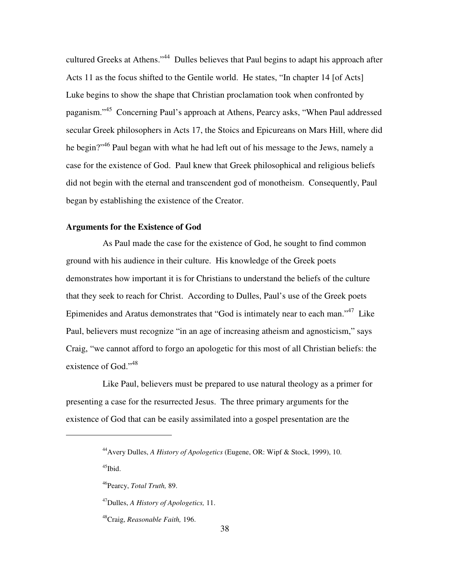cultured Greeks at Athens."<sup>44</sup> Dulles believes that Paul begins to adapt his approach after Acts 11 as the focus shifted to the Gentile world. He states, "In chapter 14 [of Acts] Luke begins to show the shape that Christian proclamation took when confronted by paganism."<sup>45</sup> Concerning Paul's approach at Athens, Pearcy asks, "When Paul addressed secular Greek philosophers in Acts 17, the Stoics and Epicureans on Mars Hill, where did he begin?"<sup>46</sup> Paul began with what he had left out of his message to the Jews, namely a case for the existence of God. Paul knew that Greek philosophical and religious beliefs did not begin with the eternal and transcendent god of monotheism. Consequently, Paul began by establishing the existence of the Creator.

## **Arguments for the Existence of God**

As Paul made the case for the existence of God, he sought to find common ground with his audience in their culture. His knowledge of the Greek poets demonstrates how important it is for Christians to understand the beliefs of the culture that they seek to reach for Christ. According to Dulles, Paul's use of the Greek poets Epimenides and Aratus demonstrates that "God is intimately near to each man."<sup>47</sup> Like Paul, believers must recognize "in an age of increasing atheism and agnosticism," says Craig, "we cannot afford to forgo an apologetic for this most of all Christian beliefs: the existence of God."<sup>48</sup>

Like Paul, believers must be prepared to use natural theology as a primer for presenting a case for the resurrected Jesus. The three primary arguments for the existence of God that can be easily assimilated into a gospel presentation are the

 $\overline{a}$ 

<sup>47</sup>Dulles, *A History of Apologetics,* 11.

<sup>48</sup>Craig, *Reasonable Faith,* 196.

<sup>44</sup>Avery Dulles, *A History of Apologetics* (Eugene, OR: Wipf & Stock, 1999), 10.  $45$ Ibid.

<sup>46</sup>Pearcy, *Total Truth,* 89.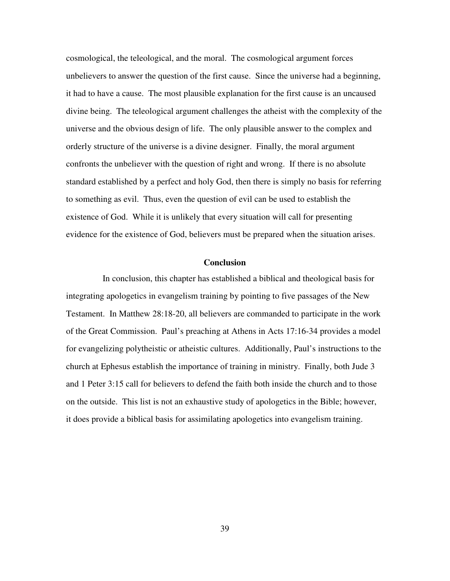cosmological, the teleological, and the moral. The cosmological argument forces unbelievers to answer the question of the first cause. Since the universe had a beginning, it had to have a cause. The most plausible explanation for the first cause is an uncaused divine being. The teleological argument challenges the atheist with the complexity of the universe and the obvious design of life. The only plausible answer to the complex and orderly structure of the universe is a divine designer. Finally, the moral argument confronts the unbeliever with the question of right and wrong. If there is no absolute standard established by a perfect and holy God, then there is simply no basis for referring to something as evil. Thus, even the question of evil can be used to establish the existence of God. While it is unlikely that every situation will call for presenting evidence for the existence of God, believers must be prepared when the situation arises.

# **Conclusion**

In conclusion, this chapter has established a biblical and theological basis for integrating apologetics in evangelism training by pointing to five passages of the New Testament. In Matthew 28:18-20, all believers are commanded to participate in the work of the Great Commission. Paul's preaching at Athens in Acts 17:16-34 provides a model for evangelizing polytheistic or atheistic cultures. Additionally, Paul's instructions to the church at Ephesus establish the importance of training in ministry. Finally, both Jude 3 and 1 Peter 3:15 call for believers to defend the faith both inside the church and to those on the outside. This list is not an exhaustive study of apologetics in the Bible; however, it does provide a biblical basis for assimilating apologetics into evangelism training.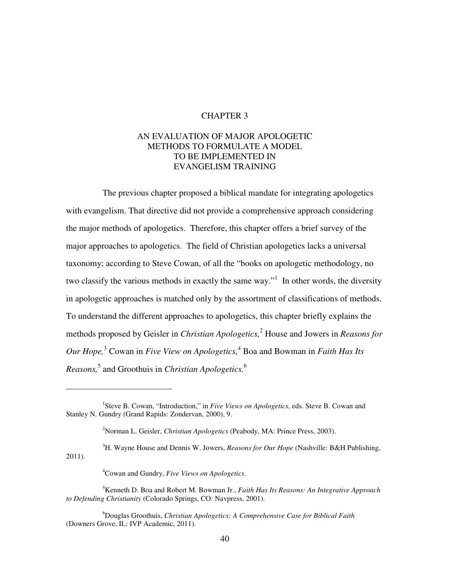### CHAPTER 3

# AN EVALUATION OF MAJOR APOLOGETIC METHODS TO FORMULATE A MODEL TO BE IMPLEMENTED IN EVANGELISM TRAINING

The previous chapter proposed a biblical mandate for integrating apologetics with evangelism. That directive did not provide a comprehensive approach considering the major methods of apologetics. Therefore, this chapter offers a brief survey of the major approaches to apologetics. The field of Christian apologetics lacks a universal taxonomy; according to Steve Cowan, of all the "books on apologetic methodology, no two classify the various methods in exactly the same way."<sup>1</sup> In other words, the diversity in apologetic approaches is matched only by the assortment of classifications of methods. To understand the different approaches to apologetics, this chapter briefly explains the methods proposed by Geisler in *Christian Apologetics*,<sup>2</sup> House and Jowers in *Reasons for* Our Hope,<sup>3</sup> Cowan in *Five View on Apologetics*,<sup>4</sup> Boa and Bowman in *Faith Has Its Reasons,*<sup>5</sup> and Groothuis in *Christian Apologetics.*<sup>6</sup>

<sup>3</sup>H. Wayne House and Dennis W. Jowers, *Reasons for Our Hope* (Nashville: B&H Publishing, 2011).

<sup>4</sup>Cowan and Gundry, *Five Views on Apologetics*.

<sup>&</sup>lt;sup>1</sup>Steve B. Cowan, "Introduction," in *Five Views on Apologetics*, eds. Steve B. Cowan and Stanley N. Gundry (Grand Rapids: Zondervan, 2000), 9.

<sup>2</sup>Norman L. Geisler, *Christian Apologetics* (Peabody, MA: Prince Press, 2003).

<sup>5</sup>Kenneth D. Boa and Robert M. Bowman Jr., *Faith Has Its Reasons: An Integrative Approach to Defending Christianity* (Colorado Springs, CO: Navpress, 2001).

<sup>6</sup>Douglas Groothuis, *Christian Apologetics: A Comprehensive Case for Biblical Faith* (Downers Grove, IL: IVP Academic, 2011).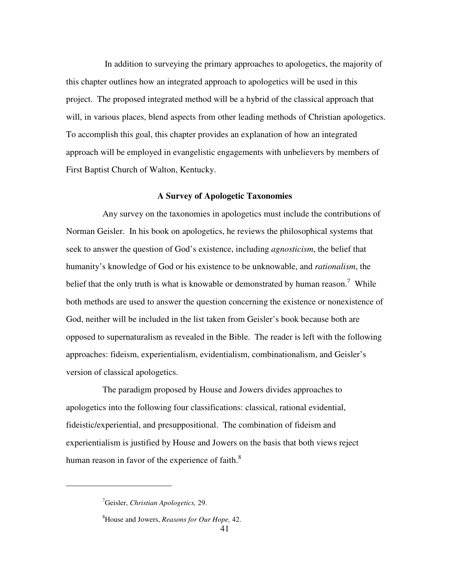In addition to surveying the primary approaches to apologetics, the majority of this chapter outlines how an integrated approach to apologetics will be used in this project. The proposed integrated method will be a hybrid of the classical approach that will, in various places, blend aspects from other leading methods of Christian apologetics. To accomplish this goal, this chapter provides an explanation of how an integrated approach will be employed in evangelistic engagements with unbelievers by members of First Baptist Church of Walton, Kentucky.

### **A Survey of Apologetic Taxonomies**

Any survey on the taxonomies in apologetics must include the contributions of Norman Geisler. In his book on apologetics, he reviews the philosophical systems that seek to answer the question of God's existence, including *agnosticism*, the belief that humanity's knowledge of God or his existence to be unknowable, and *rationalism*, the belief that the only truth is what is knowable or demonstrated by human reason.<sup>7</sup> While both methods are used to answer the question concerning the existence or nonexistence of God, neither will be included in the list taken from Geisler's book because both are opposed to supernaturalism as revealed in the Bible. The reader is left with the following approaches: fideism, experientialism, evidentialism, combinationalism, and Geisler's version of classical apologetics.

The paradigm proposed by House and Jowers divides approaches to apologetics into the following four classifications: classical, rational evidential, fideistic/experiential, and presuppositional. The combination of fideism and experientialism is justified by House and Jowers on the basis that both views reject human reason in favor of the experience of faith. $8<sup>8</sup>$ 

<sup>7</sup>Geisler, *Christian Apologetics,* 29.

<sup>8</sup>House and Jowers, *Reasons for Our Hope,* 42.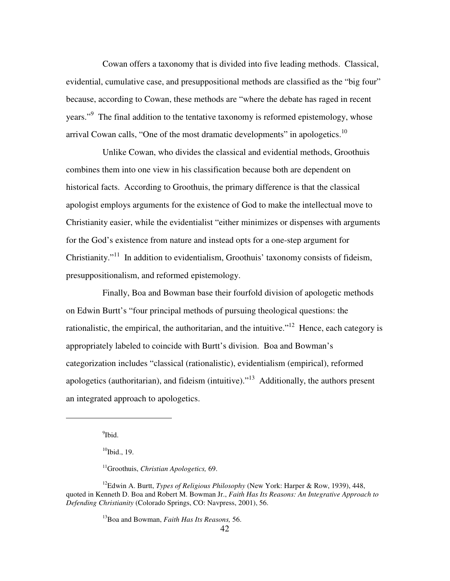Cowan offers a taxonomy that is divided into five leading methods. Classical, evidential, cumulative case, and presuppositional methods are classified as the "big four" because, according to Cowan, these methods are "where the debate has raged in recent years."<sup>9</sup> The final addition to the tentative taxonomy is reformed epistemology, whose arrival Cowan calls, "One of the most dramatic developments" in apologetics.<sup>10</sup>

Unlike Cowan, who divides the classical and evidential methods, Groothuis combines them into one view in his classification because both are dependent on historical facts. According to Groothuis, the primary difference is that the classical apologist employs arguments for the existence of God to make the intellectual move to Christianity easier, while the evidentialist "either minimizes or dispenses with arguments for the God's existence from nature and instead opts for a one-step argument for Christianity."<sup>11</sup> In addition to evidentialism, Groothuis' taxonomy consists of fideism, presuppositionalism, and reformed epistemology.

Finally, Boa and Bowman base their fourfold division of apologetic methods on Edwin Burtt's "four principal methods of pursuing theological questions: the rationalistic, the empirical, the authoritarian, and the intuitive."<sup>12</sup> Hence, each category is appropriately labeled to coincide with Burtt's division. Boa and Bowman's categorization includes "classical (rationalistic), evidentialism (empirical), reformed apologetics (authoritarian), and fideism (intuitive)."<sup>13</sup> Additionally, the authors present an integrated approach to apologetics.

<sup>9</sup>Ibid.

 $\overline{a}$ 

 $10$ Ibid., 19.

<sup>11</sup>Groothuis, *Christian Apologetics,* 69.

<sup>12</sup>Edwin A. Burtt, *Types of Religious Philosophy* (New York: Harper & Row, 1939), 448, quoted in Kenneth D. Boa and Robert M. Bowman Jr., *Faith Has Its Reasons: An Integrative Approach to Defending Christianity* (Colorado Springs, CO: Navpress, 2001), 56.

<sup>13</sup>Boa and Bowman, *Faith Has Its Reasons,* 56.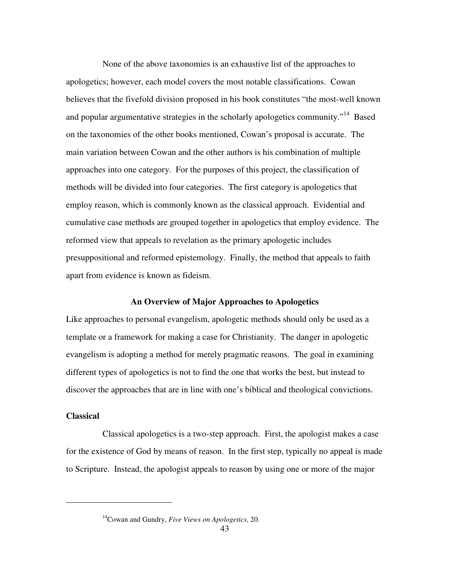None of the above taxonomies is an exhaustive list of the approaches to apologetics; however, each model covers the most notable classifications. Cowan believes that the fivefold division proposed in his book constitutes "the most-well known and popular argumentative strategies in the scholarly apologetics community."<sup>14</sup> Based on the taxonomies of the other books mentioned, Cowan's proposal is accurate. The main variation between Cowan and the other authors is his combination of multiple approaches into one category. For the purposes of this project, the classification of methods will be divided into four categories. The first category is apologetics that employ reason, which is commonly known as the classical approach. Evidential and cumulative case methods are grouped together in apologetics that employ evidence. The reformed view that appeals to revelation as the primary apologetic includes presuppositional and reformed epistemology. Finally, the method that appeals to faith apart from evidence is known as fideism.

## **An Overview of Major Approaches to Apologetics**

Like approaches to personal evangelism, apologetic methods should only be used as a template or a framework for making a case for Christianity. The danger in apologetic evangelism is adopting a method for merely pragmatic reasons. The goal in examining different types of apologetics is not to find the one that works the best, but instead to discover the approaches that are in line with one's biblical and theological convictions.

## **Classical**

 $\overline{a}$ 

Classical apologetics is a two-step approach. First, the apologist makes a case for the existence of God by means of reason. In the first step, typically no appeal is made to Scripture. Instead, the apologist appeals to reason by using one or more of the major

<sup>14</sup>Cowan and Gundry, *Five Views on Apologetics*, 20.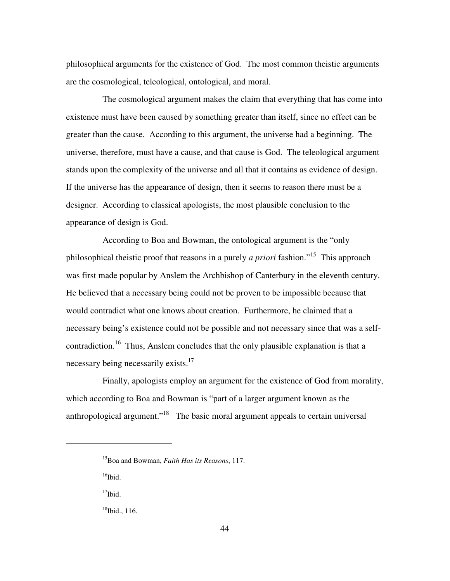philosophical arguments for the existence of God. The most common theistic arguments are the cosmological, teleological, ontological, and moral.

The cosmological argument makes the claim that everything that has come into existence must have been caused by something greater than itself, since no effect can be greater than the cause. According to this argument, the universe had a beginning. The universe, therefore, must have a cause, and that cause is God. The teleological argument stands upon the complexity of the universe and all that it contains as evidence of design. If the universe has the appearance of design, then it seems to reason there must be a designer. According to classical apologists, the most plausible conclusion to the appearance of design is God.

According to Boa and Bowman, the ontological argument is the "only philosophical theistic proof that reasons in a purely *a priori* fashion."<sup>15</sup> This approach was first made popular by Anslem the Archbishop of Canterbury in the eleventh century. He believed that a necessary being could not be proven to be impossible because that would contradict what one knows about creation. Furthermore, he claimed that a necessary being's existence could not be possible and not necessary since that was a selfcontradiction.<sup>16</sup> Thus, Anslem concludes that the only plausible explanation is that a necessary being necessarily exists.<sup>17</sup>

Finally, apologists employ an argument for the existence of God from morality, which according to Boa and Bowman is "part of a larger argument known as the anthropological argument."<sup>18</sup> The basic moral argument appeals to certain universal

 $16$ Ibid.

 $\overline{a}$ 

 $17$ Ibid.

<sup>15</sup>Boa and Bowman, *Faith Has its Reasons*, 117.

 $18$ Ibid., 116.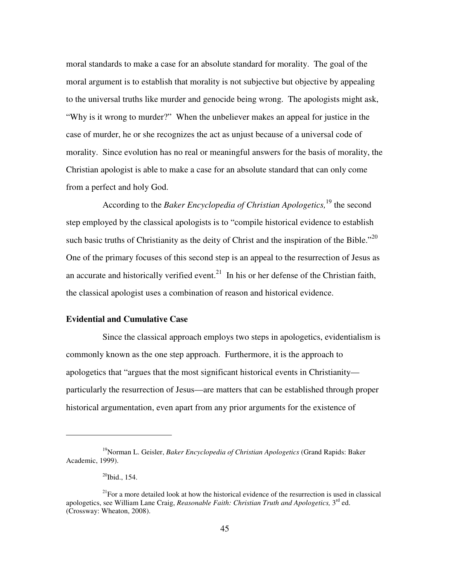moral standards to make a case for an absolute standard for morality. The goal of the moral argument is to establish that morality is not subjective but objective by appealing to the universal truths like murder and genocide being wrong. The apologists might ask, "Why is it wrong to murder?" When the unbeliever makes an appeal for justice in the case of murder, he or she recognizes the act as unjust because of a universal code of morality. Since evolution has no real or meaningful answers for the basis of morality, the Christian apologist is able to make a case for an absolute standard that can only come from a perfect and holy God.

According to the *Baker Encyclopedia of Christian Apologetics,*<sup>19</sup> the second step employed by the classical apologists is to "compile historical evidence to establish such basic truths of Christianity as the deity of Christ and the inspiration of the Bible."<sup>20</sup> One of the primary focuses of this second step is an appeal to the resurrection of Jesus as an accurate and historically verified event.<sup>21</sup> In his or her defense of the Christian faith, the classical apologist uses a combination of reason and historical evidence.

### **Evidential and Cumulative Case**

Since the classical approach employs two steps in apologetics, evidentialism is commonly known as the one step approach. Furthermore, it is the approach to apologetics that "argues that the most significant historical events in Christianity particularly the resurrection of Jesus—are matters that can be established through proper historical argumentation, even apart from any prior arguments for the existence of

<sup>19</sup>Norman L. Geisler, *Baker Encyclopedia of Christian Apologetics* (Grand Rapids: Baker Academic, 1999).

 $20$ Ibid., 154.

 $2^{21}$ For a more detailed look at how the historical evidence of the resurrection is used in classical apologetics, see William Lane Craig, *Reasonable Faith: Christian Truth and Apologetics*, 3<sup>rd</sup> ed. (Crossway: Wheaton, 2008).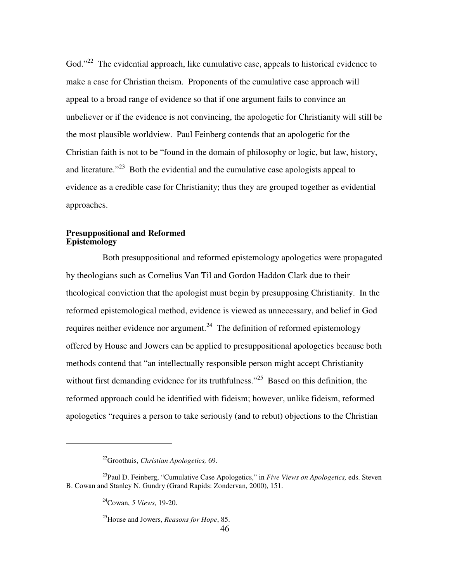God."<sup>22</sup> The evidential approach, like cumulative case, appeals to historical evidence to make a case for Christian theism. Proponents of the cumulative case approach will appeal to a broad range of evidence so that if one argument fails to convince an unbeliever or if the evidence is not convincing, the apologetic for Christianity will still be the most plausible worldview. Paul Feinberg contends that an apologetic for the Christian faith is not to be "found in the domain of philosophy or logic, but law, history, and literature."<sup>23</sup> Both the evidential and the cumulative case apologists appeal to evidence as a credible case for Christianity; thus they are grouped together as evidential approaches.

# **Presuppositional and Reformed Epistemology**

Both presuppositional and reformed epistemology apologetics were propagated by theologians such as Cornelius Van Til and Gordon Haddon Clark due to their theological conviction that the apologist must begin by presupposing Christianity. In the reformed epistemological method, evidence is viewed as unnecessary, and belief in God requires neither evidence nor argument.<sup>24</sup> The definition of reformed epistemology offered by House and Jowers can be applied to presuppositional apologetics because both methods contend that "an intellectually responsible person might accept Christianity without first demanding evidence for its truthfulness."<sup>25</sup> Based on this definition, the reformed approach could be identified with fideism; however, unlike fideism, reformed apologetics "requires a person to take seriously (and to rebut) objections to the Christian

 $\overline{a}$ 

<sup>25</sup>House and Jowers, *Reasons for Hope*, 85.

<sup>22</sup>Groothuis, *Christian Apologetics,* 69.

<sup>23</sup>Paul D. Feinberg, "Cumulative Case Apologetics," in *Five Views on Apologetics,* eds. Steven B. Cowan and Stanley N. Gundry (Grand Rapids: Zondervan, 2000), 151.

<sup>24</sup>Cowan, *5 Views,* 19-20.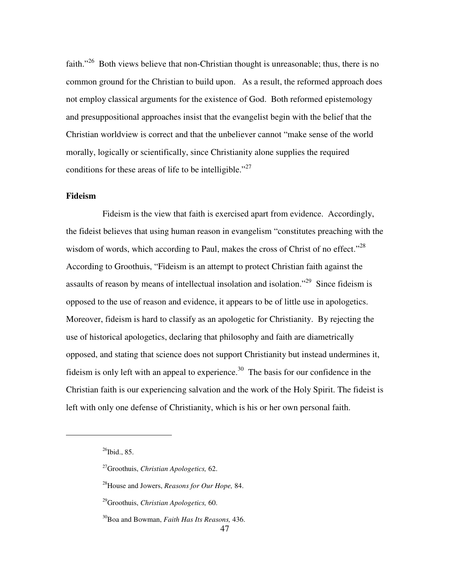faith."<sup>26</sup> Both views believe that non-Christian thought is unreasonable; thus, there is no common ground for the Christian to build upon. As a result, the reformed approach does not employ classical arguments for the existence of God. Both reformed epistemology and presuppositional approaches insist that the evangelist begin with the belief that the Christian worldview is correct and that the unbeliever cannot "make sense of the world morally, logically or scientifically, since Christianity alone supplies the required conditions for these areas of life to be intelligible."<sup>27</sup>

### **Fideism**

Fideism is the view that faith is exercised apart from evidence. Accordingly, the fideist believes that using human reason in evangelism "constitutes preaching with the wisdom of words, which according to Paul, makes the cross of Christ of no effect."<sup>28</sup> According to Groothuis, "Fideism is an attempt to protect Christian faith against the assaults of reason by means of intellectual insolation and isolation."<sup>29</sup> Since fideism is opposed to the use of reason and evidence, it appears to be of little use in apologetics. Moreover, fideism is hard to classify as an apologetic for Christianity. By rejecting the use of historical apologetics, declaring that philosophy and faith are diametrically opposed, and stating that science does not support Christianity but instead undermines it, fideism is only left with an appeal to experience.<sup>30</sup> The basis for our confidence in the Christian faith is our experiencing salvation and the work of the Holy Spirit. The fideist is left with only one defense of Christianity, which is his or her own personal faith.

 $^{26}$ Ibid., 85.

<sup>27</sup>Groothuis, *Christian Apologetics,* 62.

<sup>28</sup>House and Jowers, *Reasons for Our Hope,* 84.

<sup>29</sup>Groothuis, *Christian Apologetics,* 60.

<sup>30</sup>Boa and Bowman, *Faith Has Its Reasons,* 436.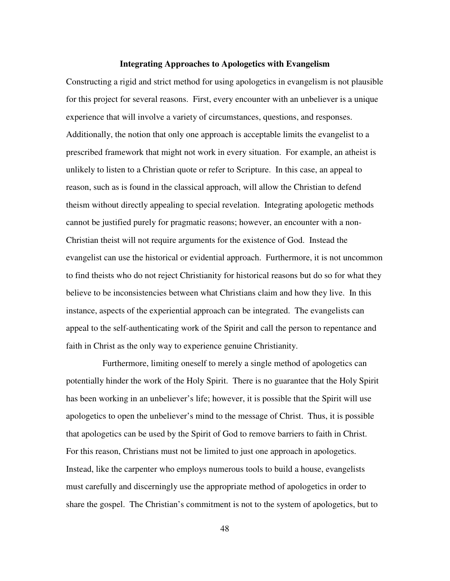## **Integrating Approaches to Apologetics with Evangelism**

Constructing a rigid and strict method for using apologetics in evangelism is not plausible for this project for several reasons. First, every encounter with an unbeliever is a unique experience that will involve a variety of circumstances, questions, and responses. Additionally, the notion that only one approach is acceptable limits the evangelist to a prescribed framework that might not work in every situation. For example, an atheist is unlikely to listen to a Christian quote or refer to Scripture. In this case, an appeal to reason, such as is found in the classical approach, will allow the Christian to defend theism without directly appealing to special revelation. Integrating apologetic methods cannot be justified purely for pragmatic reasons; however, an encounter with a non-Christian theist will not require arguments for the existence of God. Instead the evangelist can use the historical or evidential approach. Furthermore, it is not uncommon to find theists who do not reject Christianity for historical reasons but do so for what they believe to be inconsistencies between what Christians claim and how they live. In this instance, aspects of the experiential approach can be integrated. The evangelists can appeal to the self-authenticating work of the Spirit and call the person to repentance and faith in Christ as the only way to experience genuine Christianity.

Furthermore, limiting oneself to merely a single method of apologetics can potentially hinder the work of the Holy Spirit. There is no guarantee that the Holy Spirit has been working in an unbeliever's life; however, it is possible that the Spirit will use apologetics to open the unbeliever's mind to the message of Christ. Thus, it is possible that apologetics can be used by the Spirit of God to remove barriers to faith in Christ. For this reason, Christians must not be limited to just one approach in apologetics. Instead, like the carpenter who employs numerous tools to build a house, evangelists must carefully and discerningly use the appropriate method of apologetics in order to share the gospel. The Christian's commitment is not to the system of apologetics, but to

48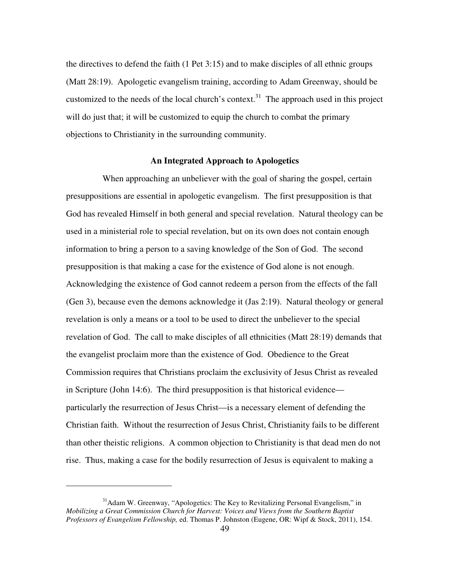the directives to defend the faith (1 Pet 3:15) and to make disciples of all ethnic groups (Matt 28:19). Apologetic evangelism training, according to Adam Greenway, should be customized to the needs of the local church's context.<sup>31</sup> The approach used in this project will do just that; it will be customized to equip the church to combat the primary objections to Christianity in the surrounding community.

## **An Integrated Approach to Apologetics**

When approaching an unbeliever with the goal of sharing the gospel, certain presuppositions are essential in apologetic evangelism. The first presupposition is that God has revealed Himself in both general and special revelation. Natural theology can be used in a ministerial role to special revelation, but on its own does not contain enough information to bring a person to a saving knowledge of the Son of God. The second presupposition is that making a case for the existence of God alone is not enough. Acknowledging the existence of God cannot redeem a person from the effects of the fall (Gen 3), because even the demons acknowledge it (Jas 2:19). Natural theology or general revelation is only a means or a tool to be used to direct the unbeliever to the special revelation of God. The call to make disciples of all ethnicities (Matt 28:19) demands that the evangelist proclaim more than the existence of God. Obedience to the Great Commission requires that Christians proclaim the exclusivity of Jesus Christ as revealed in Scripture (John 14:6). The third presupposition is that historical evidence particularly the resurrection of Jesus Christ—is a necessary element of defending the Christian faith. Without the resurrection of Jesus Christ, Christianity fails to be different than other theistic religions. A common objection to Christianity is that dead men do not rise. Thus, making a case for the bodily resurrection of Jesus is equivalent to making a

 $31$ Adam W. Greenway, "Apologetics: The Key to Revitalizing Personal Evangelism," in *Mobilizing a Great Commission Church for Harvest: Voices and Views from the Southern Baptist Professors of Evangelism Fellowship,* ed. Thomas P. Johnston (Eugene, OR: Wipf & Stock, 2011), 154.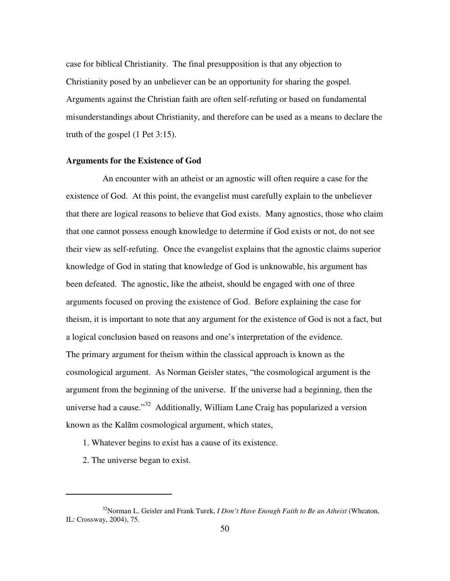case for biblical Christianity. The final presupposition is that any objection to Christianity posed by an unbeliever can be an opportunity for sharing the gospel. Arguments against the Christian faith are often self-refuting or based on fundamental misunderstandings about Christianity, and therefore can be used as a means to declare the truth of the gospel (1 Pet 3:15).

## **Arguments for the Existence of God**

An encounter with an atheist or an agnostic will often require a case for the existence of God. At this point, the evangelist must carefully explain to the unbeliever that there are logical reasons to believe that God exists. Many agnostics, those who claim that one cannot possess enough knowledge to determine if God exists or not, do not see their view as self-refuting. Once the evangelist explains that the agnostic claims superior knowledge of God in stating that knowledge of God is unknowable, his argument has been defeated. The agnostic, like the atheist, should be engaged with one of three arguments focused on proving the existence of God. Before explaining the case for theism, it is important to note that any argument for the existence of God is not a fact, but a logical conclusion based on reasons and one's interpretation of the evidence. The primary argument for theism within the classical approach is known as the cosmological argument. As Norman Geisler states, "the cosmological argument is the argument from the beginning of the universe. If the universe had a beginning, then the universe had a cause."<sup>32</sup> Additionally, William Lane Craig has popularized a version known as the Kalām cosmological argument, which states,

- 1. Whatever begins to exist has a cause of its existence.
- 2. The universe began to exist.

<sup>32</sup>Norman L. Geisler and Frank Turek, *I Don't Have Enough Faith to Be an Atheist* (Wheaton, IL: Crossway, 2004), 75.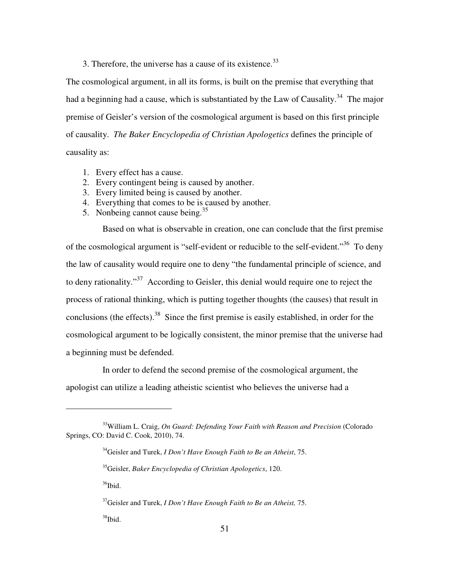3. Therefore, the universe has a cause of its existence. $^{33}$ 

The cosmological argument, in all its forms, is built on the premise that everything that had a beginning had a cause, which is substantiated by the Law of Causality.<sup>34</sup> The major premise of Geisler's version of the cosmological argument is based on this first principle of causality. *The Baker Encyclopedia of Christian Apologetics* defines the principle of causality as:

- 1. Every effect has a cause.
- 2. Every contingent being is caused by another.
- 3. Every limited being is caused by another.
- 4. Everything that comes to be is caused by another.
- 5. Nonbeing cannot cause being.<sup>35</sup>

Based on what is observable in creation, one can conclude that the first premise of the cosmological argument is "self-evident or reducible to the self-evident."<sup>36</sup> To deny the law of causality would require one to deny "the fundamental principle of science, and to deny rationality."<sup>37</sup> According to Geisler, this denial would require one to reject the process of rational thinking, which is putting together thoughts (the causes) that result in conclusions (the effects).<sup>38</sup> Since the first premise is easily established, in order for the cosmological argument to be logically consistent, the minor premise that the universe had a beginning must be defended.

In order to defend the second premise of the cosmological argument, the apologist can utilize a leading atheistic scientist who believes the universe had a

<sup>35</sup>Geisler, *Baker Encyclopedia of Christian Apologetics*, 120.

 $36$ Ibid.

<sup>&</sup>lt;sup>33</sup>William L. Craig, *On Guard: Defending Your Faith with Reason and Precision* (Colorado Springs, CO: David C. Cook, 2010), 74.

<sup>34</sup>Geisler and Turek, *I Don't Have Enough Faith to Be an Atheist*, 75.

<sup>37</sup>Geisler and Turek, *I Don't Have Enough Faith to Be an Atheist,* 75.

 $38$ Ibid.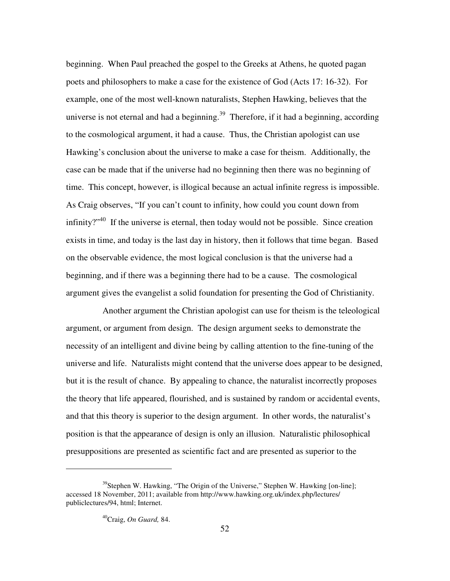beginning. When Paul preached the gospel to the Greeks at Athens, he quoted pagan poets and philosophers to make a case for the existence of God (Acts 17: 16-32). For example, one of the most well-known naturalists, Stephen Hawking, believes that the universe is not eternal and had a beginning.<sup>39</sup> Therefore, if it had a beginning, according to the cosmological argument, it had a cause. Thus, the Christian apologist can use Hawking's conclusion about the universe to make a case for theism. Additionally, the case can be made that if the universe had no beginning then there was no beginning of time. This concept, however, is illogical because an actual infinite regress is impossible. As Craig observes, "If you can't count to infinity, how could you count down from infinity?" $40$  If the universe is eternal, then today would not be possible. Since creation exists in time, and today is the last day in history, then it follows that time began. Based on the observable evidence, the most logical conclusion is that the universe had a beginning, and if there was a beginning there had to be a cause. The cosmological argument gives the evangelist a solid foundation for presenting the God of Christianity.

Another argument the Christian apologist can use for theism is the teleological argument, or argument from design. The design argument seeks to demonstrate the necessity of an intelligent and divine being by calling attention to the fine-tuning of the universe and life. Naturalists might contend that the universe does appear to be designed, but it is the result of chance. By appealing to chance, the naturalist incorrectly proposes the theory that life appeared, flourished, and is sustained by random or accidental events, and that this theory is superior to the design argument. In other words, the naturalist's position is that the appearance of design is only an illusion. Naturalistic philosophical presuppositions are presented as scientific fact and are presented as superior to the

 $39$ Stephen W. Hawking, "The Origin of the Universe," Stephen W. Hawking [on-line]; accessed 18 November, 2011; available from http://www.hawking.org.uk/index.php/lectures/ publiclectures/94, html; Internet.

<sup>40</sup>Craig, *On Guard,* 84.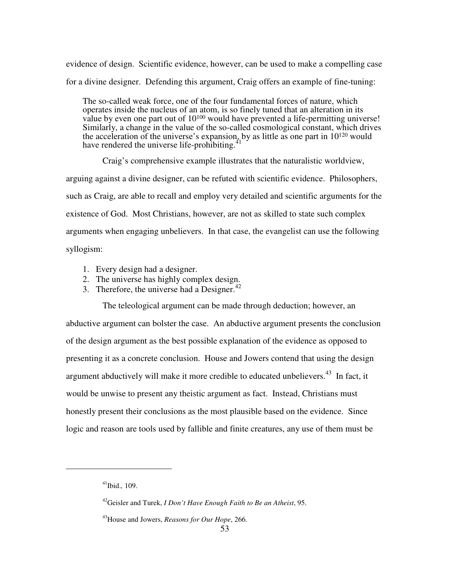evidence of design. Scientific evidence, however, can be used to make a compelling case for a divine designer. Defending this argument, Craig offers an example of fine-tuning:

The so-called weak force, one of the four fundamental forces of nature, which operates inside the nucleus of an atom, is so finely tuned that an alteration in its value by even one part out of 10100 would have prevented a life-permitting universe! Similarly, a change in the value of the so-called cosmological constant, which drives the acceleration of the universe's expansion, by as little as one part in  $10^{120}$  would have rendered the universe life-prohibiting.<sup>4</sup>

Craig's comprehensive example illustrates that the naturalistic worldview, arguing against a divine designer, can be refuted with scientific evidence. Philosophers, such as Craig, are able to recall and employ very detailed and scientific arguments for the existence of God. Most Christians, however, are not as skilled to state such complex arguments when engaging unbelievers. In that case, the evangelist can use the following syllogism:

- 1. Every design had a designer.
- 2. The universe has highly complex design.
- 3. Therefore, the universe had a Designer. $^{42}$

The teleological argument can be made through deduction; however, an abductive argument can bolster the case. An abductive argument presents the conclusion of the design argument as the best possible explanation of the evidence as opposed to presenting it as a concrete conclusion. House and Jowers contend that using the design argument abductively will make it more credible to educated unbelievers.<sup>43</sup> In fact, it would be unwise to present any theistic argument as fact. Instead, Christians must honestly present their conclusions as the most plausible based on the evidence. Since logic and reason are tools used by fallible and finite creatures, any use of them must be

<sup>41</sup>Ibid.*,* 109.

<sup>42</sup>Geisler and Turek, *I Don't Have Enough Faith to Be an Atheist*, 95.

<sup>43</sup>House and Jowers, *Reasons for Our Hope*, 266.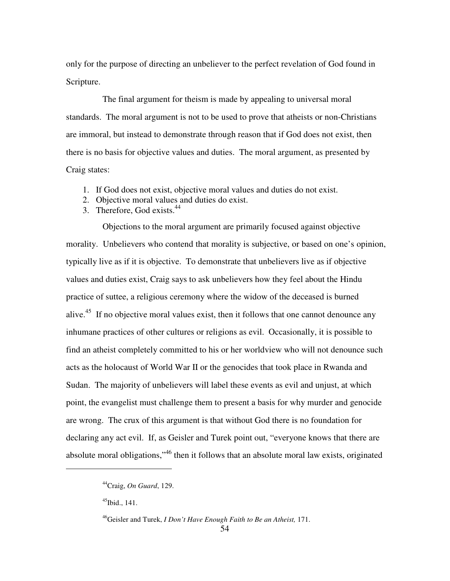only for the purpose of directing an unbeliever to the perfect revelation of God found in Scripture.

The final argument for theism is made by appealing to universal moral standards. The moral argument is not to be used to prove that atheists or non-Christians are immoral, but instead to demonstrate through reason that if God does not exist, then there is no basis for objective values and duties. The moral argument, as presented by Craig states:

- 1. If God does not exist, objective moral values and duties do not exist.
- 2. Objective moral values and duties do exist.
- 3. Therefore, God exists.<sup>44</sup>

Objections to the moral argument are primarily focused against objective morality. Unbelievers who contend that morality is subjective, or based on one's opinion, typically live as if it is objective. To demonstrate that unbelievers live as if objective values and duties exist, Craig says to ask unbelievers how they feel about the Hindu practice of suttee, a religious ceremony where the widow of the deceased is burned alive.<sup>45</sup> If no objective moral values exist, then it follows that one cannot denounce any inhumane practices of other cultures or religions as evil. Occasionally, it is possible to find an atheist completely committed to his or her worldview who will not denounce such acts as the holocaust of World War II or the genocides that took place in Rwanda and Sudan. The majority of unbelievers will label these events as evil and unjust, at which point, the evangelist must challenge them to present a basis for why murder and genocide are wrong. The crux of this argument is that without God there is no foundation for declaring any act evil. If, as Geisler and Turek point out, "everyone knows that there are absolute moral obligations,"<sup>46</sup> then it follows that an absolute moral law exists, originated

<sup>44</sup>Craig, *On Guard*, 129.

 $45$ Ibid., 141.

<sup>46</sup>Geisler and Turek, *I Don't Have Enough Faith to Be an Atheist,* 171.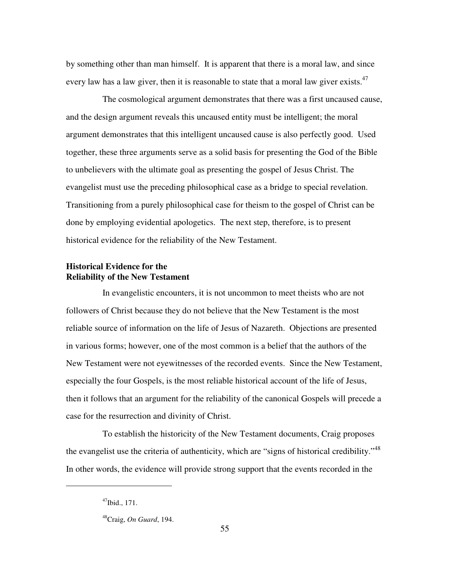by something other than man himself. It is apparent that there is a moral law, and since every law has a law giver, then it is reasonable to state that a moral law giver exists. $47$ 

The cosmological argument demonstrates that there was a first uncaused cause, and the design argument reveals this uncaused entity must be intelligent; the moral argument demonstrates that this intelligent uncaused cause is also perfectly good. Used together, these three arguments serve as a solid basis for presenting the God of the Bible to unbelievers with the ultimate goal as presenting the gospel of Jesus Christ. The evangelist must use the preceding philosophical case as a bridge to special revelation. Transitioning from a purely philosophical case for theism to the gospel of Christ can be done by employing evidential apologetics. The next step, therefore, is to present historical evidence for the reliability of the New Testament.

# **Historical Evidence for the Reliability of the New Testament**

In evangelistic encounters, it is not uncommon to meet theists who are not followers of Christ because they do not believe that the New Testament is the most reliable source of information on the life of Jesus of Nazareth. Objections are presented in various forms; however, one of the most common is a belief that the authors of the New Testament were not eyewitnesses of the recorded events. Since the New Testament, especially the four Gospels, is the most reliable historical account of the life of Jesus, then it follows that an argument for the reliability of the canonical Gospels will precede a case for the resurrection and divinity of Christ.

To establish the historicity of the New Testament documents, Craig proposes the evangelist use the criteria of authenticity, which are "signs of historical credibility."<sup>48</sup> In other words, the evidence will provide strong support that the events recorded in the

<sup>47</sup>Ibid., 171.

<sup>48</sup>Craig, *On Guard*, 194.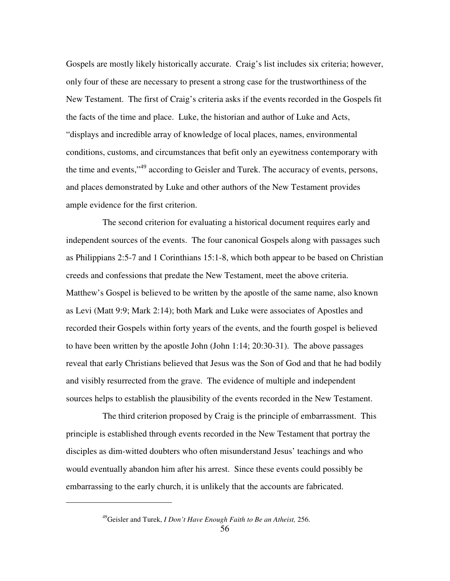Gospels are mostly likely historically accurate. Craig's list includes six criteria; however, only four of these are necessary to present a strong case for the trustworthiness of the New Testament. The first of Craig's criteria asks if the events recorded in the Gospels fit the facts of the time and place. Luke, the historian and author of Luke and Acts, "displays and incredible array of knowledge of local places, names, environmental conditions, customs, and circumstances that befit only an eyewitness contemporary with the time and events,"<sup>49</sup> according to Geisler and Turek. The accuracy of events, persons, and places demonstrated by Luke and other authors of the New Testament provides ample evidence for the first criterion.

The second criterion for evaluating a historical document requires early and independent sources of the events. The four canonical Gospels along with passages such as Philippians 2:5-7 and 1 Corinthians 15:1-8, which both appear to be based on Christian creeds and confessions that predate the New Testament, meet the above criteria. Matthew's Gospel is believed to be written by the apostle of the same name, also known as Levi (Matt 9:9; Mark 2:14); both Mark and Luke were associates of Apostles and recorded their Gospels within forty years of the events, and the fourth gospel is believed to have been written by the apostle John (John 1:14; 20:30-31). The above passages reveal that early Christians believed that Jesus was the Son of God and that he had bodily and visibly resurrected from the grave. The evidence of multiple and independent sources helps to establish the plausibility of the events recorded in the New Testament.

The third criterion proposed by Craig is the principle of embarrassment. This principle is established through events recorded in the New Testament that portray the disciples as dim-witted doubters who often misunderstand Jesus' teachings and who would eventually abandon him after his arrest. Since these events could possibly be embarrassing to the early church, it is unlikely that the accounts are fabricated.

<sup>49</sup>Geisler and Turek, *I Don't Have Enough Faith to Be an Atheist,* 256.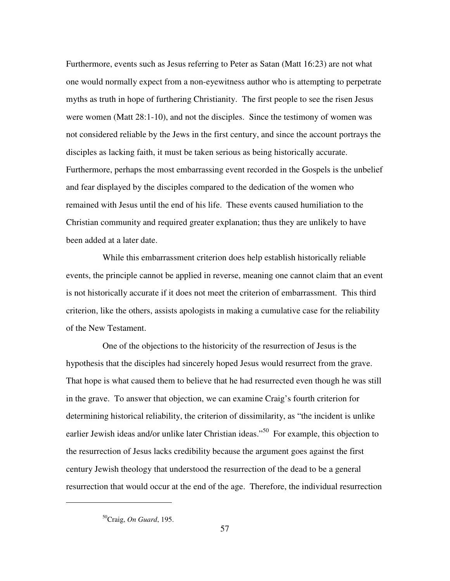Furthermore, events such as Jesus referring to Peter as Satan (Matt 16:23) are not what one would normally expect from a non-eyewitness author who is attempting to perpetrate myths as truth in hope of furthering Christianity. The first people to see the risen Jesus were women (Matt 28:1-10), and not the disciples. Since the testimony of women was not considered reliable by the Jews in the first century, and since the account portrays the disciples as lacking faith, it must be taken serious as being historically accurate. Furthermore, perhaps the most embarrassing event recorded in the Gospels is the unbelief and fear displayed by the disciples compared to the dedication of the women who remained with Jesus until the end of his life. These events caused humiliation to the Christian community and required greater explanation; thus they are unlikely to have been added at a later date.

While this embarrassment criterion does help establish historically reliable events, the principle cannot be applied in reverse, meaning one cannot claim that an event is not historically accurate if it does not meet the criterion of embarrassment. This third criterion, like the others, assists apologists in making a cumulative case for the reliability of the New Testament.

One of the objections to the historicity of the resurrection of Jesus is the hypothesis that the disciples had sincerely hoped Jesus would resurrect from the grave. That hope is what caused them to believe that he had resurrected even though he was still in the grave. To answer that objection, we can examine Craig's fourth criterion for determining historical reliability, the criterion of dissimilarity, as "the incident is unlike earlier Jewish ideas and/or unlike later Christian ideas."<sup>50</sup> For example, this objection to the resurrection of Jesus lacks credibility because the argument goes against the first century Jewish theology that understood the resurrection of the dead to be a general resurrection that would occur at the end of the age. Therefore, the individual resurrection

<sup>50</sup>Craig, *On Guard*, 195.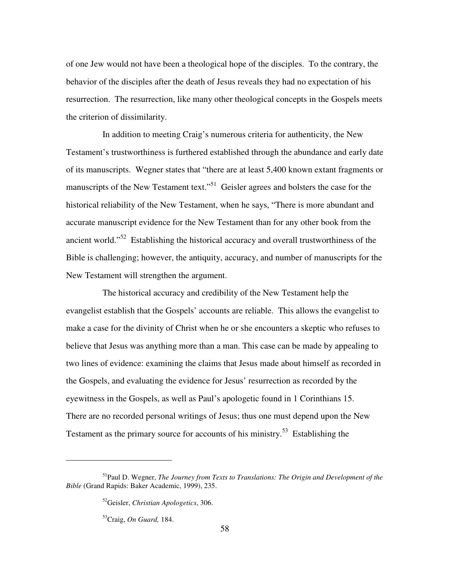of one Jew would not have been a theological hope of the disciples. To the contrary, the behavior of the disciples after the death of Jesus reveals they had no expectation of his resurrection. The resurrection, like many other theological concepts in the Gospels meets the criterion of dissimilarity.

In addition to meeting Craig's numerous criteria for authenticity, the New Testament's trustworthiness is furthered established through the abundance and early date of its manuscripts. Wegner states that "there are at least 5,400 known extant fragments or manuscripts of the New Testament text."<sup>51</sup> Geisler agrees and bolsters the case for the historical reliability of the New Testament, when he says, "There is more abundant and accurate manuscript evidence for the New Testament than for any other book from the ancient world."<sup>52</sup> Establishing the historical accuracy and overall trustworthiness of the Bible is challenging; however, the antiquity, accuracy, and number of manuscripts for the New Testament will strengthen the argument.

The historical accuracy and credibility of the New Testament help the evangelist establish that the Gospels' accounts are reliable. This allows the evangelist to make a case for the divinity of Christ when he or she encounters a skeptic who refuses to believe that Jesus was anything more than a man. This case can be made by appealing to two lines of evidence: examining the claims that Jesus made about himself as recorded in the Gospels, and evaluating the evidence for Jesus' resurrection as recorded by the eyewitness in the Gospels, as well as Paul's apologetic found in 1 Corinthians 15. There are no recorded personal writings of Jesus; thus one must depend upon the New Testament as the primary source for accounts of his ministry.<sup>53</sup> Establishing the

<sup>51</sup>Paul D. Wegner, *The Journey from Texts to Translations: The Origin and Development of the Bible* (Grand Rapids: Baker Academic, 1999), 235.

<sup>52</sup>Geisler, *Christian Apologetics*, 306.

<sup>53</sup>Craig, *On Guard,* 184.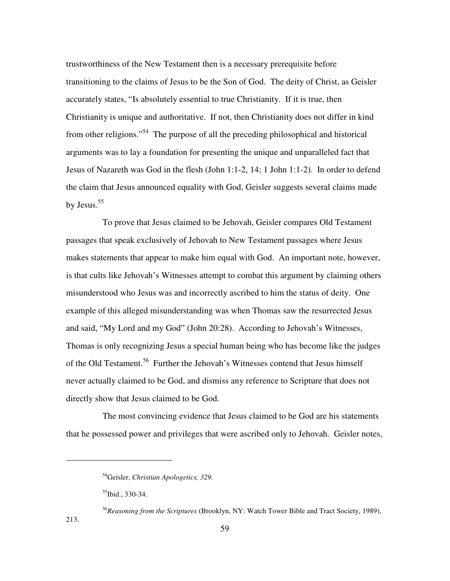trustworthiness of the New Testament then is a necessary prerequisite before transitioning to the claims of Jesus to be the Son of God. The deity of Christ, as Geisler accurately states, "Is absolutely essential to true Christianity. If it is true, then Christianity is unique and authoritative. If not, then Christianity does not differ in kind from other religions."<sup>54</sup> The purpose of all the preceding philosophical and historical arguments was to lay a foundation for presenting the unique and unparalleled fact that Jesus of Nazareth was God in the flesh (John 1:1-2, 14; 1 John 1:1-2). In order to defend the claim that Jesus announced equality with God, Geisler suggests several claims made by Jesus.<sup>55</sup>

To prove that Jesus claimed to be Jehovah, Geisler compares Old Testament passages that speak exclusively of Jehovah to New Testament passages where Jesus makes statements that appear to make him equal with God. An important note, however, is that cults like Jehovah's Witnesses attempt to combat this argument by claiming others misunderstood who Jesus was and incorrectly ascribed to him the status of deity. One example of this alleged misunderstanding was when Thomas saw the resurrected Jesus and said, "My Lord and my God" (John 20:28). According to Jehovah's Witnesses, Thomas is only recognizing Jesus a special human being who has become like the judges of the Old Testament.<sup>56</sup> Further the Jehovah's Witnesses contend that Jesus himself never actually claimed to be God, and dismiss any reference to Scripture that does not directly show that Jesus claimed to be God.

The most convincing evidence that Jesus claimed to be God are his statements that he possessed power and privileges that were ascribed only to Jehovah. Geisler notes,

213.

<sup>54</sup>Geisler, *Christian Apologetics, 329.*

<sup>55</sup>Ibid., 330-34.

<sup>56</sup>*Reasoning from the Scriptures* (Brooklyn, NY: Watch Tower Bible and Tract Society, 1989),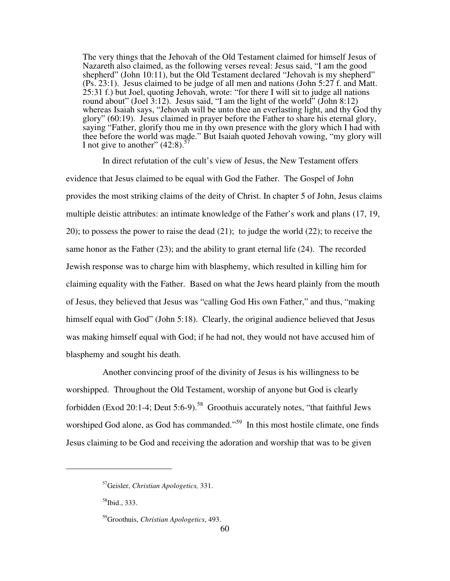The very things that the Jehovah of the Old Testament claimed for himself Jesus of Nazareth also claimed, as the following verses reveal: Jesus said, "I am the good shepherd" (John 10:11), but the Old Testament declared "Jehovah is my shepherd" (Ps. 23:1). Jesus claimed to be judge of all men and nations (John 5:27 f. and Matt. 25:31 f.) but Joel, quoting Jehovah, wrote: "for there I will sit to judge all nations round about" (Joel 3:12). Jesus said, "I am the light of the world" (John 8:12) whereas Isaiah says, "Jehovah will be unto thee an everlasting light, and thy God thy glory" (60:19). Jesus claimed in prayer before the Father to share his eternal glory, saying "Father, glorify thou me in thy own presence with the glory which I had with thee before the world was made." But Isaiah quoted Jehovah vowing, "my glory will I not give to another"  $(42.8)$ .

In direct refutation of the cult's view of Jesus, the New Testament offers evidence that Jesus claimed to be equal with God the Father. The Gospel of John provides the most striking claims of the deity of Christ. In chapter 5 of John, Jesus claims multiple deistic attributes: an intimate knowledge of the Father's work and plans (17, 19, 20); to possess the power to raise the dead (21); to judge the world (22); to receive the same honor as the Father  $(23)$ ; and the ability to grant eternal life  $(24)$ . The recorded Jewish response was to charge him with blasphemy, which resulted in killing him for claiming equality with the Father. Based on what the Jews heard plainly from the mouth of Jesus, they believed that Jesus was "calling God His own Father," and thus, "making himself equal with God" (John 5:18). Clearly, the original audience believed that Jesus was making himself equal with God; if he had not, they would not have accused him of blasphemy and sought his death.

Another convincing proof of the divinity of Jesus is his willingness to be worshipped. Throughout the Old Testament, worship of anyone but God is clearly forbidden (Exod 20:1-4; Deut 5:6-9).<sup>58</sup> Groothuis accurately notes, "that faithful Jews worshiped God alone, as God has commanded."<sup>59</sup> In this most hostile climate, one finds Jesus claiming to be God and receiving the adoration and worship that was to be given

<sup>58</sup>Ibid., 333.

<sup>57</sup>Geisler, *Christian Apologetics,* 331.

<sup>59</sup>Groothuis, *Christian Apologetics*, 493.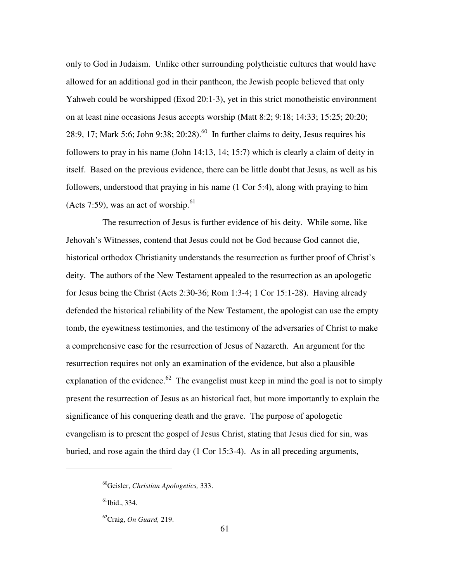only to God in Judaism. Unlike other surrounding polytheistic cultures that would have allowed for an additional god in their pantheon, the Jewish people believed that only Yahweh could be worshipped (Exod 20:1-3), yet in this strict monotheistic environment on at least nine occasions Jesus accepts worship (Matt 8:2; 9:18; 14:33; 15:25; 20:20; 28:9, 17; Mark 5:6; John 9:38; 20:28).<sup>60</sup> In further claims to deity, Jesus requires his followers to pray in his name (John 14:13, 14; 15:7) which is clearly a claim of deity in itself. Based on the previous evidence, there can be little doubt that Jesus, as well as his followers, understood that praying in his name (1 Cor 5:4), along with praying to him (Acts 7:59), was an act of worship. $61$ 

The resurrection of Jesus is further evidence of his deity. While some, like Jehovah's Witnesses, contend that Jesus could not be God because God cannot die, historical orthodox Christianity understands the resurrection as further proof of Christ's deity. The authors of the New Testament appealed to the resurrection as an apologetic for Jesus being the Christ (Acts 2:30-36; Rom 1:3-4; 1 Cor 15:1-28). Having already defended the historical reliability of the New Testament, the apologist can use the empty tomb, the eyewitness testimonies, and the testimony of the adversaries of Christ to make a comprehensive case for the resurrection of Jesus of Nazareth. An argument for the resurrection requires not only an examination of the evidence, but also a plausible explanation of the evidence.<sup>62</sup> The evangelist must keep in mind the goal is not to simply present the resurrection of Jesus as an historical fact, but more importantly to explain the significance of his conquering death and the grave. The purpose of apologetic evangelism is to present the gospel of Jesus Christ, stating that Jesus died for sin, was buried, and rose again the third day (1 Cor 15:3-4). As in all preceding arguments,

<sup>60</sup>Geisler, *Christian Apologetics,* 333.

 $^{61}$ Ibid., 334.

<sup>62</sup>Craig, *On Guard,* 219.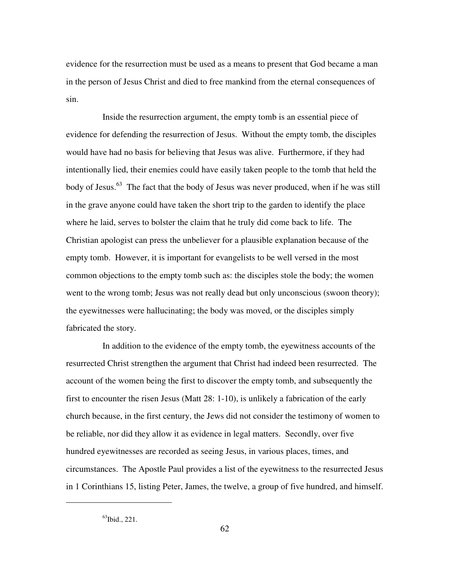evidence for the resurrection must be used as a means to present that God became a man in the person of Jesus Christ and died to free mankind from the eternal consequences of sin.

Inside the resurrection argument, the empty tomb is an essential piece of evidence for defending the resurrection of Jesus. Without the empty tomb, the disciples would have had no basis for believing that Jesus was alive. Furthermore, if they had intentionally lied, their enemies could have easily taken people to the tomb that held the body of Jesus.<sup>63</sup> The fact that the body of Jesus was never produced, when if he was still in the grave anyone could have taken the short trip to the garden to identify the place where he laid, serves to bolster the claim that he truly did come back to life. The Christian apologist can press the unbeliever for a plausible explanation because of the empty tomb. However, it is important for evangelists to be well versed in the most common objections to the empty tomb such as: the disciples stole the body; the women went to the wrong tomb; Jesus was not really dead but only unconscious (swoon theory); the eyewitnesses were hallucinating; the body was moved, or the disciples simply fabricated the story.

In addition to the evidence of the empty tomb, the eyewitness accounts of the resurrected Christ strengthen the argument that Christ had indeed been resurrected. The account of the women being the first to discover the empty tomb, and subsequently the first to encounter the risen Jesus (Matt 28: 1-10), is unlikely a fabrication of the early church because, in the first century, the Jews did not consider the testimony of women to be reliable, nor did they allow it as evidence in legal matters. Secondly, over five hundred eyewitnesses are recorded as seeing Jesus, in various places, times, and circumstances. The Apostle Paul provides a list of the eyewitness to the resurrected Jesus in 1 Corinthians 15, listing Peter, James, the twelve, a group of five hundred, and himself.

 $^{63}$ Ibid., 221.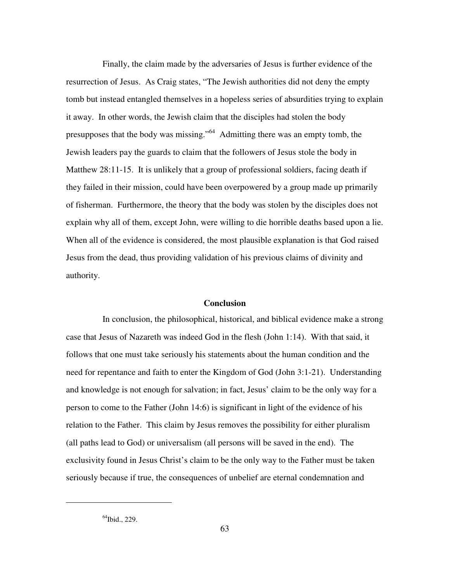Finally, the claim made by the adversaries of Jesus is further evidence of the resurrection of Jesus. As Craig states, "The Jewish authorities did not deny the empty tomb but instead entangled themselves in a hopeless series of absurdities trying to explain it away. In other words, the Jewish claim that the disciples had stolen the body presupposes that the body was missing."<sup>64</sup> Admitting there was an empty tomb, the Jewish leaders pay the guards to claim that the followers of Jesus stole the body in Matthew 28:11-15. It is unlikely that a group of professional soldiers, facing death if they failed in their mission, could have been overpowered by a group made up primarily of fisherman. Furthermore, the theory that the body was stolen by the disciples does not explain why all of them, except John, were willing to die horrible deaths based upon a lie. When all of the evidence is considered, the most plausible explanation is that God raised Jesus from the dead, thus providing validation of his previous claims of divinity and authority.

# **Conclusion**

In conclusion, the philosophical, historical, and biblical evidence make a strong case that Jesus of Nazareth was indeed God in the flesh (John 1:14). With that said, it follows that one must take seriously his statements about the human condition and the need for repentance and faith to enter the Kingdom of God (John 3:1-21). Understanding and knowledge is not enough for salvation; in fact, Jesus' claim to be the only way for a person to come to the Father (John 14:6) is significant in light of the evidence of his relation to the Father. This claim by Jesus removes the possibility for either pluralism (all paths lead to God) or universalism (all persons will be saved in the end). The exclusivity found in Jesus Christ's claim to be the only way to the Father must be taken seriously because if true, the consequences of unbelief are eternal condemnation and

 $^{64}$ Ibid., 229.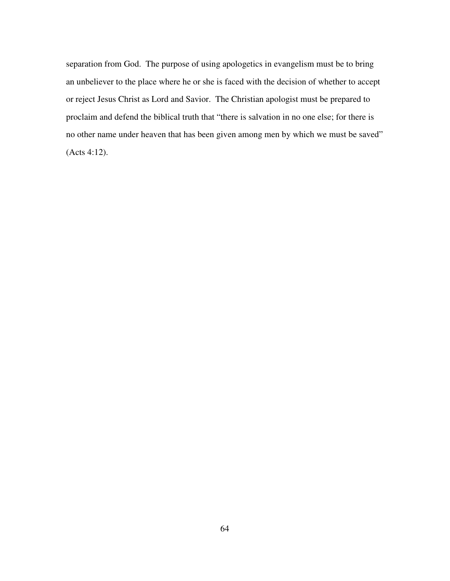separation from God. The purpose of using apologetics in evangelism must be to bring an unbeliever to the place where he or she is faced with the decision of whether to accept or reject Jesus Christ as Lord and Savior. The Christian apologist must be prepared to proclaim and defend the biblical truth that "there is salvation in no one else; for there is no other name under heaven that has been given among men by which we must be saved" (Acts 4:12).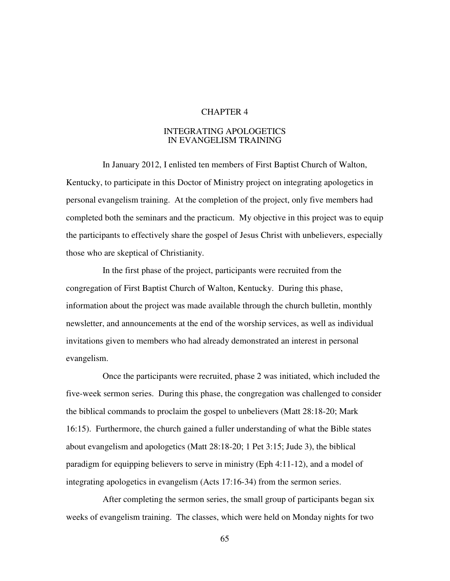# CHAPTER 4

## INTEGRATING APOLOGETICS IN EVANGELISM TRAINING

In January 2012, I enlisted ten members of First Baptist Church of Walton, Kentucky, to participate in this Doctor of Ministry project on integrating apologetics in personal evangelism training. At the completion of the project, only five members had completed both the seminars and the practicum. My objective in this project was to equip the participants to effectively share the gospel of Jesus Christ with unbelievers, especially those who are skeptical of Christianity.

In the first phase of the project, participants were recruited from the congregation of First Baptist Church of Walton, Kentucky. During this phase, information about the project was made available through the church bulletin, monthly newsletter, and announcements at the end of the worship services, as well as individual invitations given to members who had already demonstrated an interest in personal evangelism.

Once the participants were recruited, phase 2 was initiated, which included the five-week sermon series. During this phase, the congregation was challenged to consider the biblical commands to proclaim the gospel to unbelievers (Matt 28:18-20; Mark 16:15). Furthermore, the church gained a fuller understanding of what the Bible states about evangelism and apologetics (Matt 28:18-20; 1 Pet 3:15; Jude 3), the biblical paradigm for equipping believers to serve in ministry (Eph 4:11-12), and a model of integrating apologetics in evangelism (Acts 17:16-34) from the sermon series.

After completing the sermon series, the small group of participants began six weeks of evangelism training. The classes, which were held on Monday nights for two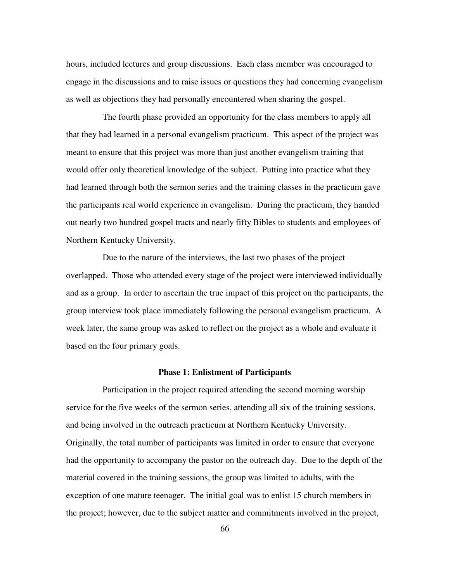hours, included lectures and group discussions. Each class member was encouraged to engage in the discussions and to raise issues or questions they had concerning evangelism as well as objections they had personally encountered when sharing the gospel.

The fourth phase provided an opportunity for the class members to apply all that they had learned in a personal evangelism practicum. This aspect of the project was meant to ensure that this project was more than just another evangelism training that would offer only theoretical knowledge of the subject. Putting into practice what they had learned through both the sermon series and the training classes in the practicum gave the participants real world experience in evangelism. During the practicum, they handed out nearly two hundred gospel tracts and nearly fifty Bibles to students and employees of Northern Kentucky University.

Due to the nature of the interviews, the last two phases of the project overlapped. Those who attended every stage of the project were interviewed individually and as a group. In order to ascertain the true impact of this project on the participants, the group interview took place immediately following the personal evangelism practicum. A week later, the same group was asked to reflect on the project as a whole and evaluate it based on the four primary goals.

#### **Phase 1: Enlistment of Participants**

Participation in the project required attending the second morning worship service for the five weeks of the sermon series, attending all six of the training sessions, and being involved in the outreach practicum at Northern Kentucky University. Originally, the total number of participants was limited in order to ensure that everyone had the opportunity to accompany the pastor on the outreach day. Due to the depth of the material covered in the training sessions, the group was limited to adults, with the exception of one mature teenager. The initial goal was to enlist 15 church members in the project; however, due to the subject matter and commitments involved in the project,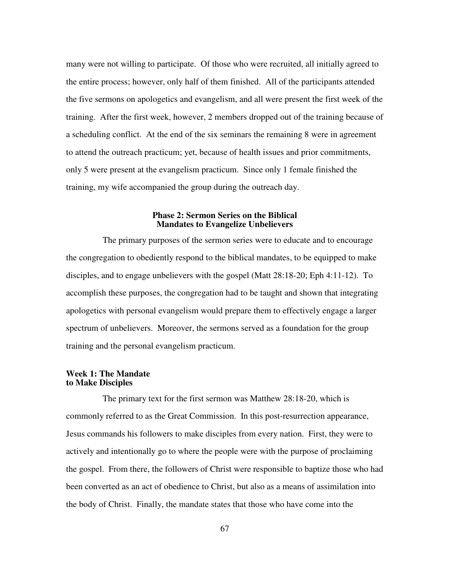many were not willing to participate. Of those who were recruited, all initially agreed to the entire process; however, only half of them finished. All of the participants attended the five sermons on apologetics and evangelism, and all were present the first week of the training. After the first week, however, 2 members dropped out of the training because of a scheduling conflict. At the end of the six seminars the remaining 8 were in agreement to attend the outreach practicum; yet, because of health issues and prior commitments, only 5 were present at the evangelism practicum. Since only 1 female finished the training, my wife accompanied the group during the outreach day.

#### **Phase 2: Sermon Series on the Biblical Mandates to Evangelize Unbelievers**

The primary purposes of the sermon series were to educate and to encourage the congregation to obediently respond to the biblical mandates, to be equipped to make disciples, and to engage unbelievers with the gospel (Matt 28:18-20; Eph 4:11-12). To accomplish these purposes, the congregation had to be taught and shown that integrating apologetics with personal evangelism would prepare them to effectively engage a larger spectrum of unbelievers. Moreover, the sermons served as a foundation for the group training and the personal evangelism practicum.

#### **Week 1: The Mandate to Make Disciples**

The primary text for the first sermon was Matthew 28:18-20, which is commonly referred to as the Great Commission. In this post-resurrection appearance, Jesus commands his followers to make disciples from every nation. First, they were to actively and intentionally go to where the people were with the purpose of proclaiming the gospel. From there, the followers of Christ were responsible to baptize those who had been converted as an act of obedience to Christ, but also as a means of assimilation into the body of Christ. Finally, the mandate states that those who have come into the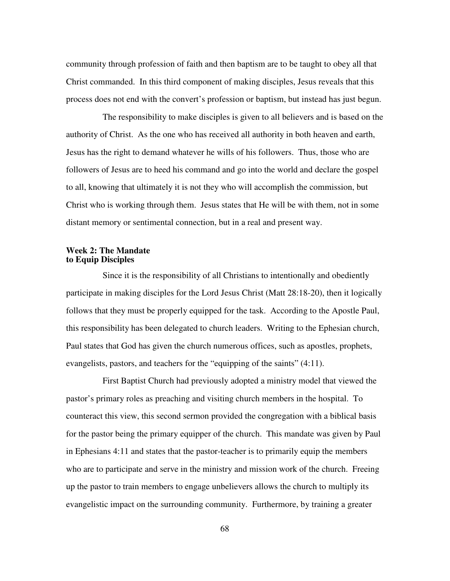community through profession of faith and then baptism are to be taught to obey all that Christ commanded. In this third component of making disciples, Jesus reveals that this process does not end with the convert's profession or baptism, but instead has just begun.

The responsibility to make disciples is given to all believers and is based on the authority of Christ. As the one who has received all authority in both heaven and earth, Jesus has the right to demand whatever he wills of his followers. Thus, those who are followers of Jesus are to heed his command and go into the world and declare the gospel to all, knowing that ultimately it is not they who will accomplish the commission, but Christ who is working through them. Jesus states that He will be with them, not in some distant memory or sentimental connection, but in a real and present way.

# **Week 2: The Mandate to Equip Disciples**

Since it is the responsibility of all Christians to intentionally and obediently participate in making disciples for the Lord Jesus Christ (Matt 28:18-20), then it logically follows that they must be properly equipped for the task. According to the Apostle Paul, this responsibility has been delegated to church leaders. Writing to the Ephesian church, Paul states that God has given the church numerous offices, such as apostles, prophets, evangelists, pastors, and teachers for the "equipping of the saints" (4:11).

First Baptist Church had previously adopted a ministry model that viewed the pastor's primary roles as preaching and visiting church members in the hospital. To counteract this view, this second sermon provided the congregation with a biblical basis for the pastor being the primary equipper of the church. This mandate was given by Paul in Ephesians 4:11 and states that the pastor-teacher is to primarily equip the members who are to participate and serve in the ministry and mission work of the church. Freeing up the pastor to train members to engage unbelievers allows the church to multiply its evangelistic impact on the surrounding community. Furthermore, by training a greater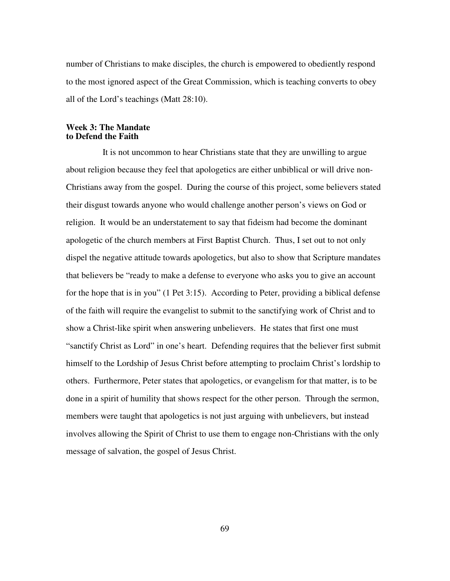number of Christians to make disciples, the church is empowered to obediently respond to the most ignored aspect of the Great Commission, which is teaching converts to obey all of the Lord's teachings (Matt 28:10).

#### **Week 3: The Mandate to Defend the Faith**

It is not uncommon to hear Christians state that they are unwilling to argue about religion because they feel that apologetics are either unbiblical or will drive non-Christians away from the gospel. During the course of this project, some believers stated their disgust towards anyone who would challenge another person's views on God or religion. It would be an understatement to say that fideism had become the dominant apologetic of the church members at First Baptist Church. Thus, I set out to not only dispel the negative attitude towards apologetics, but also to show that Scripture mandates that believers be "ready to make a defense to everyone who asks you to give an account for the hope that is in you" (1 Pet 3:15). According to Peter, providing a biblical defense of the faith will require the evangelist to submit to the sanctifying work of Christ and to show a Christ-like spirit when answering unbelievers. He states that first one must "sanctify Christ as Lord" in one's heart. Defending requires that the believer first submit himself to the Lordship of Jesus Christ before attempting to proclaim Christ's lordship to others. Furthermore, Peter states that apologetics, or evangelism for that matter, is to be done in a spirit of humility that shows respect for the other person. Through the sermon, members were taught that apologetics is not just arguing with unbelievers, but instead involves allowing the Spirit of Christ to use them to engage non-Christians with the only message of salvation, the gospel of Jesus Christ.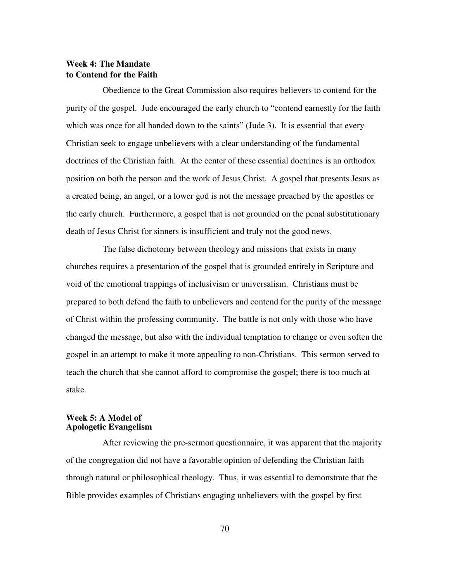# **Week 4: The Mandate to Contend for the Faith**

Obedience to the Great Commission also requires believers to contend for the purity of the gospel. Jude encouraged the early church to "contend earnestly for the faith which was once for all handed down to the saints" (Jude 3). It is essential that every Christian seek to engage unbelievers with a clear understanding of the fundamental doctrines of the Christian faith. At the center of these essential doctrines is an orthodox position on both the person and the work of Jesus Christ. A gospel that presents Jesus as a created being, an angel, or a lower god is not the message preached by the apostles or the early church. Furthermore, a gospel that is not grounded on the penal substitutionary death of Jesus Christ for sinners is insufficient and truly not the good news.

The false dichotomy between theology and missions that exists in many churches requires a presentation of the gospel that is grounded entirely in Scripture and void of the emotional trappings of inclusivism or universalism. Christians must be prepared to both defend the faith to unbelievers and contend for the purity of the message of Christ within the professing community. The battle is not only with those who have changed the message, but also with the individual temptation to change or even soften the gospel in an attempt to make it more appealing to non-Christians. This sermon served to teach the church that she cannot afford to compromise the gospel; there is too much at stake.

## **Week 5: A Model of Apologetic Evangelism**

After reviewing the pre-sermon questionnaire, it was apparent that the majority of the congregation did not have a favorable opinion of defending the Christian faith through natural or philosophical theology. Thus, it was essential to demonstrate that the Bible provides examples of Christians engaging unbelievers with the gospel by first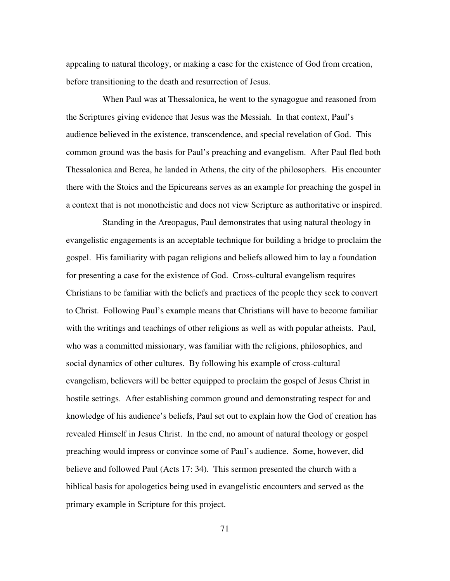appealing to natural theology, or making a case for the existence of God from creation, before transitioning to the death and resurrection of Jesus.

When Paul was at Thessalonica, he went to the synagogue and reasoned from the Scriptures giving evidence that Jesus was the Messiah. In that context, Paul's audience believed in the existence, transcendence, and special revelation of God. This common ground was the basis for Paul's preaching and evangelism. After Paul fled both Thessalonica and Berea, he landed in Athens, the city of the philosophers. His encounter there with the Stoics and the Epicureans serves as an example for preaching the gospel in a context that is not monotheistic and does not view Scripture as authoritative or inspired.

Standing in the Areopagus, Paul demonstrates that using natural theology in evangelistic engagements is an acceptable technique for building a bridge to proclaim the gospel. His familiarity with pagan religions and beliefs allowed him to lay a foundation for presenting a case for the existence of God. Cross-cultural evangelism requires Christians to be familiar with the beliefs and practices of the people they seek to convert to Christ. Following Paul's example means that Christians will have to become familiar with the writings and teachings of other religions as well as with popular atheists. Paul, who was a committed missionary, was familiar with the religions, philosophies, and social dynamics of other cultures. By following his example of cross-cultural evangelism, believers will be better equipped to proclaim the gospel of Jesus Christ in hostile settings. After establishing common ground and demonstrating respect for and knowledge of his audience's beliefs, Paul set out to explain how the God of creation has revealed Himself in Jesus Christ. In the end, no amount of natural theology or gospel preaching would impress or convince some of Paul's audience. Some, however, did believe and followed Paul (Acts 17: 34). This sermon presented the church with a biblical basis for apologetics being used in evangelistic encounters and served as the primary example in Scripture for this project.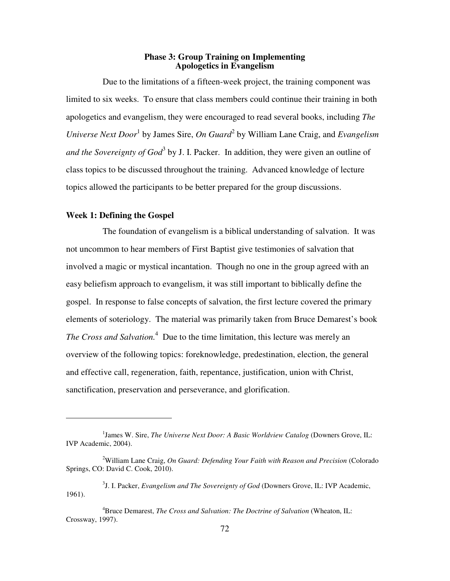# **Phase 3: Group Training on Implementing Apologetics in Evangelism**

Due to the limitations of a fifteen-week project, the training component was limited to six weeks. To ensure that class members could continue their training in both apologetics and evangelism, they were encouraged to read several books, including *The*  Universe Next Door<sup>1</sup> by James Sire, On Guard<sup>2</sup> by William Lane Craig, and *Evangelism* and the Sovereignty of God<sup>3</sup> by J. I. Packer. In addition, they were given an outline of class topics to be discussed throughout the training. Advanced knowledge of lecture topics allowed the participants to be better prepared for the group discussions.

## **Week 1: Defining the Gospel**

 $\overline{a}$ 

The foundation of evangelism is a biblical understanding of salvation. It was not uncommon to hear members of First Baptist give testimonies of salvation that involved a magic or mystical incantation. Though no one in the group agreed with an easy beliefism approach to evangelism, it was still important to biblically define the gospel. In response to false concepts of salvation, the first lecture covered the primary elements of soteriology. The material was primarily taken from Bruce Demarest's book The Cross and Salvation.<sup>4</sup> Due to the time limitation, this lecture was merely an overview of the following topics: foreknowledge, predestination, election, the general and effective call, regeneration, faith, repentance, justification, union with Christ, sanctification, preservation and perseverance, and glorification.

<sup>&</sup>lt;sup>1</sup> James W. Sire, *The Universe Next Door: A Basic Worldview Catalog (Downers Grove, IL:* IVP Academic, 2004).

<sup>&</sup>lt;sup>2</sup>William Lane Craig, *On Guard: Defending Your Faith with Reason and Precision* (Colorado Springs, CO: David C. Cook, 2010).

<sup>3</sup> J. I. Packer, *Evangelism and The Sovereignty of God* (Downers Grove, IL: IVP Academic, 1961).

<sup>4</sup>Bruce Demarest, *The Cross and Salvation: The Doctrine of Salvation* (Wheaton, IL: Crossway, 1997).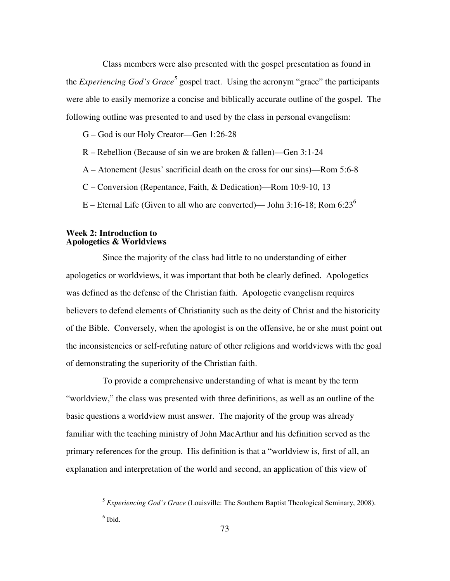Class members were also presented with the gospel presentation as found in the *Experiencing God's Grace*<sup>5</sup> gospel tract. Using the acronym "grace" the participants were able to easily memorize a concise and biblically accurate outline of the gospel. The following outline was presented to and used by the class in personal evangelism:

G – God is our Holy Creator—Gen 1:26-28

- R Rebellion (Because of sin we are broken & fallen)—Gen 3:1-24
- A Atonement (Jesus' sacrificial death on the cross for our sins)—Rom 5:6-8
- C Conversion (Repentance, Faith, & Dedication)—Rom 10:9-10, 13
- E Eternal Life (Given to all who are converted)— John 3:16-18; Rom  $6:23^6$

## **Week 2: Introduction to Apologetics & Worldviews**

Since the majority of the class had little to no understanding of either apologetics or worldviews, it was important that both be clearly defined. Apologetics was defined as the defense of the Christian faith. Apologetic evangelism requires believers to defend elements of Christianity such as the deity of Christ and the historicity of the Bible. Conversely, when the apologist is on the offensive, he or she must point out the inconsistencies or self-refuting nature of other religions and worldviews with the goal of demonstrating the superiority of the Christian faith.

To provide a comprehensive understanding of what is meant by the term "worldview," the class was presented with three definitions, as well as an outline of the basic questions a worldview must answer. The majority of the group was already familiar with the teaching ministry of John MacArthur and his definition served as the primary references for the group. His definition is that a "worldview is, first of all, an explanation and interpretation of the world and second, an application of this view of

 $\overline{a}$ 

<sup>5</sup> *Experiencing God's Grace* (Louisville: The Southern Baptist Theological Seminary, 2008).

 $<sup>6</sup>$  Ibid.</sup>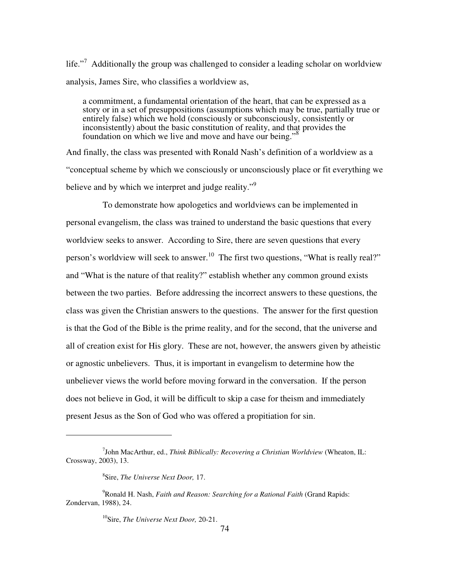life."<sup>7</sup> Additionally the group was challenged to consider a leading scholar on worldview analysis, James Sire, who classifies a worldview as,

a commitment, a fundamental orientation of the heart, that can be expressed as a story or in a set of presuppositions (assumptions which may be true, partially true or entirely false) which we hold (consciously or subconsciously, consistently or inconsistently) about the basic constitution of reality, and that provides the foundation on which we live and move and have our being."

And finally, the class was presented with Ronald Nash's definition of a worldview as a "conceptual scheme by which we consciously or unconsciously place or fit everything we believe and by which we interpret and judge reality."<sup>9</sup>

To demonstrate how apologetics and worldviews can be implemented in personal evangelism, the class was trained to understand the basic questions that every worldview seeks to answer. According to Sire, there are seven questions that every person's worldview will seek to answer.<sup>10</sup> The first two questions, "What is really real?" and "What is the nature of that reality?" establish whether any common ground exists between the two parties. Before addressing the incorrect answers to these questions, the class was given the Christian answers to the questions. The answer for the first question is that the God of the Bible is the prime reality, and for the second, that the universe and all of creation exist for His glory. These are not, however, the answers given by atheistic or agnostic unbelievers. Thus, it is important in evangelism to determine how the unbeliever views the world before moving forward in the conversation. If the person does not believe in God, it will be difficult to skip a case for theism and immediately present Jesus as the Son of God who was offered a propitiation for sin.

 $\overline{a}$ 

<sup>10</sup>Sire, *The Universe Next Door,* 20-21.

<sup>7</sup> John MacArthur, ed., *Think Biblically: Recovering a Christian Worldview* (Wheaton, IL: Crossway, 2003), 13.

<sup>8</sup> Sire, *The Universe Next Door,* 17.

<sup>9</sup>Ronald H. Nash, *Faith and Reason: Searching for a Rational Faith* (Grand Rapids: Zondervan, 1988), 24.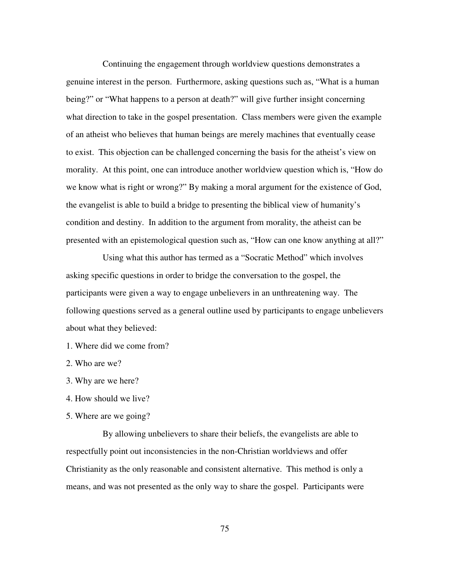Continuing the engagement through worldview questions demonstrates a genuine interest in the person. Furthermore, asking questions such as, "What is a human being?" or "What happens to a person at death?" will give further insight concerning what direction to take in the gospel presentation. Class members were given the example of an atheist who believes that human beings are merely machines that eventually cease to exist. This objection can be challenged concerning the basis for the atheist's view on morality. At this point, one can introduce another worldview question which is, "How do we know what is right or wrong?" By making a moral argument for the existence of God, the evangelist is able to build a bridge to presenting the biblical view of humanity's condition and destiny. In addition to the argument from morality, the atheist can be presented with an epistemological question such as, "How can one know anything at all?"

Using what this author has termed as a "Socratic Method" which involves asking specific questions in order to bridge the conversation to the gospel, the participants were given a way to engage unbelievers in an unthreatening way. The following questions served as a general outline used by participants to engage unbelievers about what they believed:

1. Where did we come from?

2. Who are we?

3. Why are we here?

4. How should we live?

5. Where are we going?

By allowing unbelievers to share their beliefs, the evangelists are able to respectfully point out inconsistencies in the non-Christian worldviews and offer Christianity as the only reasonable and consistent alternative. This method is only a means, and was not presented as the only way to share the gospel. Participants were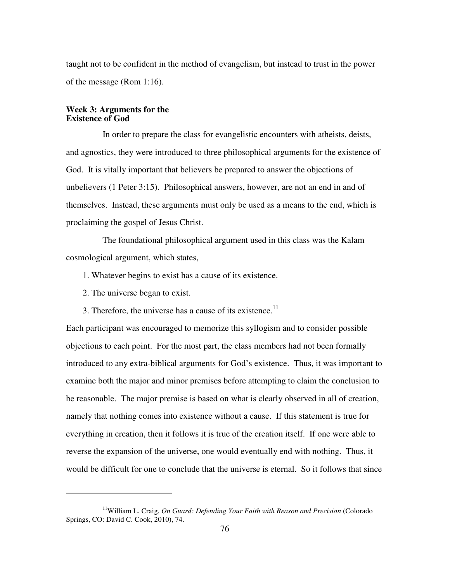taught not to be confident in the method of evangelism, but instead to trust in the power of the message (Rom 1:16).

## **Week 3: Arguments for the Existence of God**

In order to prepare the class for evangelistic encounters with atheists, deists, and agnostics, they were introduced to three philosophical arguments for the existence of God. It is vitally important that believers be prepared to answer the objections of unbelievers (1 Peter 3:15). Philosophical answers, however, are not an end in and of themselves. Instead, these arguments must only be used as a means to the end, which is proclaiming the gospel of Jesus Christ.

The foundational philosophical argument used in this class was the Kalam cosmological argument, which states,

- 1. Whatever begins to exist has a cause of its existence.
- 2. The universe began to exist.

 $\overline{a}$ 

3. Therefore, the universe has a cause of its existence.<sup>11</sup>

Each participant was encouraged to memorize this syllogism and to consider possible objections to each point. For the most part, the class members had not been formally introduced to any extra-biblical arguments for God's existence. Thus, it was important to examine both the major and minor premises before attempting to claim the conclusion to be reasonable. The major premise is based on what is clearly observed in all of creation, namely that nothing comes into existence without a cause. If this statement is true for everything in creation, then it follows it is true of the creation itself. If one were able to reverse the expansion of the universe, one would eventually end with nothing. Thus, it would be difficult for one to conclude that the universe is eternal. So it follows that since

<sup>&</sup>lt;sup>11</sup>William L. Craig, *On Guard: Defending Your Faith with Reason and Precision* (Colorado Springs, CO: David C. Cook, 2010), 74.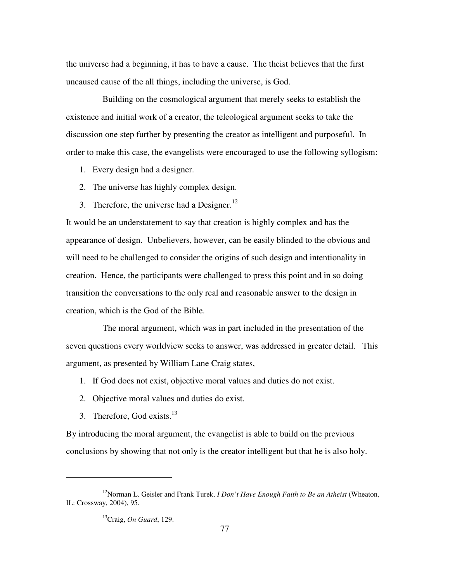the universe had a beginning, it has to have a cause. The theist believes that the first uncaused cause of the all things, including the universe, is God.

Building on the cosmological argument that merely seeks to establish the existence and initial work of a creator, the teleological argument seeks to take the discussion one step further by presenting the creator as intelligent and purposeful. In order to make this case, the evangelists were encouraged to use the following syllogism:

- 1. Every design had a designer.
- 2. The universe has highly complex design.
- 3. Therefore, the universe had a Designer.<sup>12</sup>

It would be an understatement to say that creation is highly complex and has the appearance of design. Unbelievers, however, can be easily blinded to the obvious and will need to be challenged to consider the origins of such design and intentionality in creation. Hence, the participants were challenged to press this point and in so doing transition the conversations to the only real and reasonable answer to the design in creation, which is the God of the Bible.

The moral argument, which was in part included in the presentation of the seven questions every worldview seeks to answer, was addressed in greater detail. This argument, as presented by William Lane Craig states,

- 1. If God does not exist, objective moral values and duties do not exist.
- 2. Objective moral values and duties do exist.
- 3. Therefore, God exists. $^{13}$

 $\overline{a}$ 

By introducing the moral argument, the evangelist is able to build on the previous conclusions by showing that not only is the creator intelligent but that he is also holy.

<sup>12</sup>Norman L. Geisler and Frank Turek, *I Don't Have Enough Faith to Be an Atheist* (Wheaton, IL: Crossway, 2004), 95.

<sup>13</sup>Craig, *On Guard*, 129.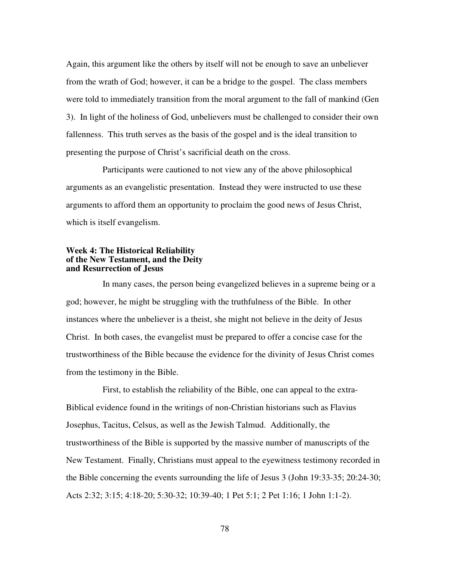Again, this argument like the others by itself will not be enough to save an unbeliever from the wrath of God; however, it can be a bridge to the gospel. The class members were told to immediately transition from the moral argument to the fall of mankind (Gen 3). In light of the holiness of God, unbelievers must be challenged to consider their own fallenness. This truth serves as the basis of the gospel and is the ideal transition to presenting the purpose of Christ's sacrificial death on the cross.

Participants were cautioned to not view any of the above philosophical arguments as an evangelistic presentation. Instead they were instructed to use these arguments to afford them an opportunity to proclaim the good news of Jesus Christ, which is itself evangelism.

## **Week 4: The Historical Reliability of the New Testament, and the Deity and Resurrection of Jesus**

In many cases, the person being evangelized believes in a supreme being or a god; however, he might be struggling with the truthfulness of the Bible. In other instances where the unbeliever is a theist, she might not believe in the deity of Jesus Christ. In both cases, the evangelist must be prepared to offer a concise case for the trustworthiness of the Bible because the evidence for the divinity of Jesus Christ comes from the testimony in the Bible.

First, to establish the reliability of the Bible, one can appeal to the extra-Biblical evidence found in the writings of non-Christian historians such as Flavius Josephus, Tacitus, Celsus, as well as the Jewish Talmud. Additionally, the trustworthiness of the Bible is supported by the massive number of manuscripts of the New Testament. Finally, Christians must appeal to the eyewitness testimony recorded in the Bible concerning the events surrounding the life of Jesus 3 (John 19:33-35; 20:24-30; Acts 2:32; 3:15; 4:18-20; 5:30-32; 10:39-40; 1 Pet 5:1; 2 Pet 1:16; 1 John 1:1-2).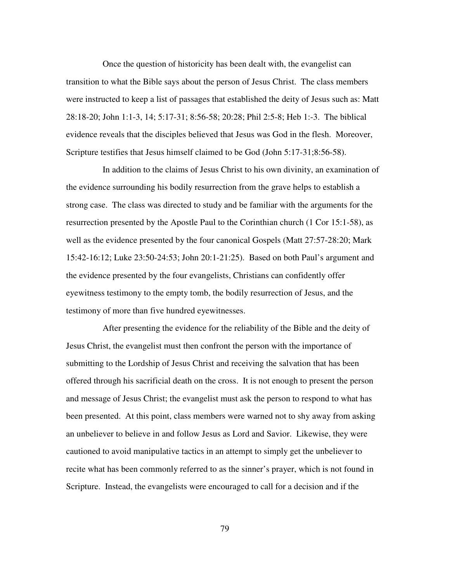Once the question of historicity has been dealt with, the evangelist can transition to what the Bible says about the person of Jesus Christ. The class members were instructed to keep a list of passages that established the deity of Jesus such as: Matt 28:18-20; John 1:1-3, 14; 5:17-31; 8:56-58; 20:28; Phil 2:5-8; Heb 1:-3. The biblical evidence reveals that the disciples believed that Jesus was God in the flesh. Moreover, Scripture testifies that Jesus himself claimed to be God (John 5:17-31;8:56-58).

In addition to the claims of Jesus Christ to his own divinity, an examination of the evidence surrounding his bodily resurrection from the grave helps to establish a strong case. The class was directed to study and be familiar with the arguments for the resurrection presented by the Apostle Paul to the Corinthian church (1 Cor 15:1-58), as well as the evidence presented by the four canonical Gospels (Matt 27:57-28:20; Mark 15:42-16:12; Luke 23:50-24:53; John 20:1-21:25). Based on both Paul's argument and the evidence presented by the four evangelists, Christians can confidently offer eyewitness testimony to the empty tomb, the bodily resurrection of Jesus, and the testimony of more than five hundred eyewitnesses.

After presenting the evidence for the reliability of the Bible and the deity of Jesus Christ, the evangelist must then confront the person with the importance of submitting to the Lordship of Jesus Christ and receiving the salvation that has been offered through his sacrificial death on the cross. It is not enough to present the person and message of Jesus Christ; the evangelist must ask the person to respond to what has been presented. At this point, class members were warned not to shy away from asking an unbeliever to believe in and follow Jesus as Lord and Savior. Likewise, they were cautioned to avoid manipulative tactics in an attempt to simply get the unbeliever to recite what has been commonly referred to as the sinner's prayer, which is not found in Scripture. Instead, the evangelists were encouraged to call for a decision and if the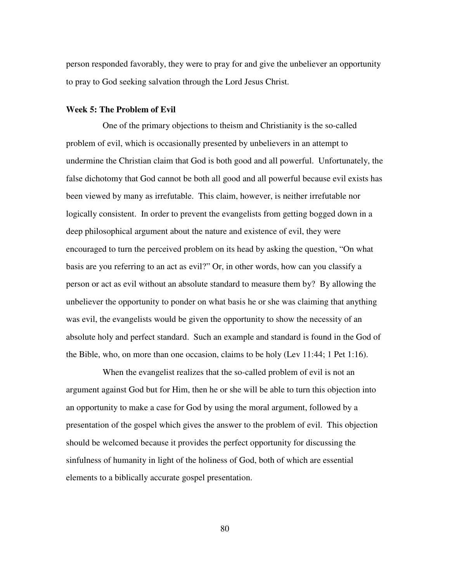person responded favorably, they were to pray for and give the unbeliever an opportunity to pray to God seeking salvation through the Lord Jesus Christ.

#### **Week 5: The Problem of Evil**

One of the primary objections to theism and Christianity is the so-called problem of evil, which is occasionally presented by unbelievers in an attempt to undermine the Christian claim that God is both good and all powerful. Unfortunately, the false dichotomy that God cannot be both all good and all powerful because evil exists has been viewed by many as irrefutable. This claim, however, is neither irrefutable nor logically consistent. In order to prevent the evangelists from getting bogged down in a deep philosophical argument about the nature and existence of evil, they were encouraged to turn the perceived problem on its head by asking the question, "On what basis are you referring to an act as evil?" Or, in other words, how can you classify a person or act as evil without an absolute standard to measure them by? By allowing the unbeliever the opportunity to ponder on what basis he or she was claiming that anything was evil, the evangelists would be given the opportunity to show the necessity of an absolute holy and perfect standard. Such an example and standard is found in the God of the Bible, who, on more than one occasion, claims to be holy (Lev 11:44; 1 Pet 1:16).

When the evangelist realizes that the so-called problem of evil is not an argument against God but for Him, then he or she will be able to turn this objection into an opportunity to make a case for God by using the moral argument, followed by a presentation of the gospel which gives the answer to the problem of evil. This objection should be welcomed because it provides the perfect opportunity for discussing the sinfulness of humanity in light of the holiness of God, both of which are essential elements to a biblically accurate gospel presentation.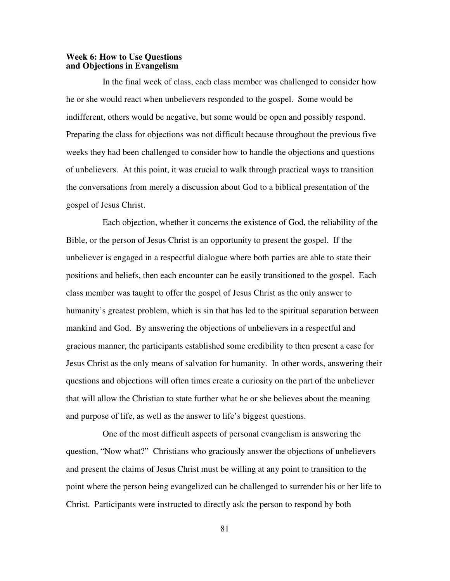## **Week 6: How to Use Questions and Objections in Evangelism**

In the final week of class, each class member was challenged to consider how he or she would react when unbelievers responded to the gospel. Some would be indifferent, others would be negative, but some would be open and possibly respond. Preparing the class for objections was not difficult because throughout the previous five weeks they had been challenged to consider how to handle the objections and questions of unbelievers. At this point, it was crucial to walk through practical ways to transition the conversations from merely a discussion about God to a biblical presentation of the gospel of Jesus Christ.

Each objection, whether it concerns the existence of God, the reliability of the Bible, or the person of Jesus Christ is an opportunity to present the gospel. If the unbeliever is engaged in a respectful dialogue where both parties are able to state their positions and beliefs, then each encounter can be easily transitioned to the gospel. Each class member was taught to offer the gospel of Jesus Christ as the only answer to humanity's greatest problem, which is sin that has led to the spiritual separation between mankind and God. By answering the objections of unbelievers in a respectful and gracious manner, the participants established some credibility to then present a case for Jesus Christ as the only means of salvation for humanity. In other words, answering their questions and objections will often times create a curiosity on the part of the unbeliever that will allow the Christian to state further what he or she believes about the meaning and purpose of life, as well as the answer to life's biggest questions.

One of the most difficult aspects of personal evangelism is answering the question, "Now what?" Christians who graciously answer the objections of unbelievers and present the claims of Jesus Christ must be willing at any point to transition to the point where the person being evangelized can be challenged to surrender his or her life to Christ. Participants were instructed to directly ask the person to respond by both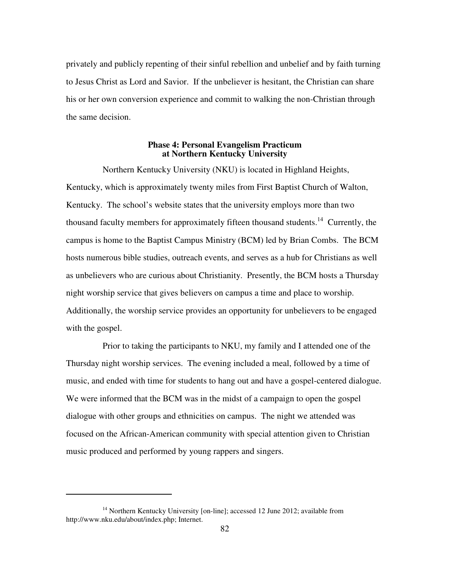privately and publicly repenting of their sinful rebellion and unbelief and by faith turning to Jesus Christ as Lord and Savior. If the unbeliever is hesitant, the Christian can share his or her own conversion experience and commit to walking the non-Christian through the same decision.

# **Phase 4: Personal Evangelism Practicum at Northern Kentucky University**

Northern Kentucky University (NKU) is located in Highland Heights, Kentucky, which is approximately twenty miles from First Baptist Church of Walton, Kentucky. The school's website states that the university employs more than two thousand faculty members for approximately fifteen thousand students.<sup>14</sup> Currently, the campus is home to the Baptist Campus Ministry (BCM) led by Brian Combs. The BCM hosts numerous bible studies, outreach events, and serves as a hub for Christians as well as unbelievers who are curious about Christianity. Presently, the BCM hosts a Thursday night worship service that gives believers on campus a time and place to worship. Additionally, the worship service provides an opportunity for unbelievers to be engaged with the gospel.

Prior to taking the participants to NKU, my family and I attended one of the Thursday night worship services. The evening included a meal, followed by a time of music, and ended with time for students to hang out and have a gospel-centered dialogue. We were informed that the BCM was in the midst of a campaign to open the gospel dialogue with other groups and ethnicities on campus. The night we attended was focused on the African-American community with special attention given to Christian music produced and performed by young rappers and singers.

 $\overline{a}$ 

 $14$  Northern Kentucky University [on-line]; accessed 12 June 2012; available from http://www.nku.edu/about/index.php; Internet.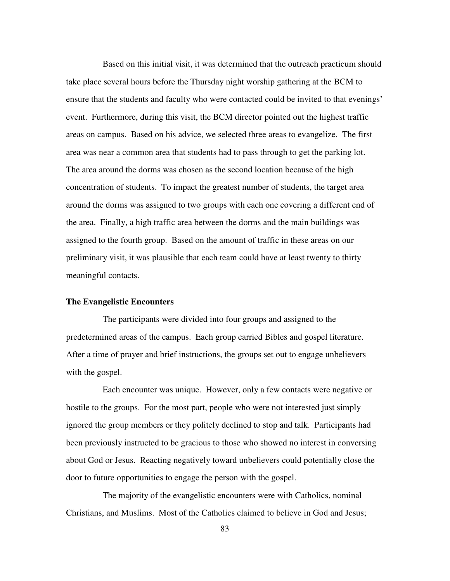Based on this initial visit, it was determined that the outreach practicum should take place several hours before the Thursday night worship gathering at the BCM to ensure that the students and faculty who were contacted could be invited to that evenings' event. Furthermore, during this visit, the BCM director pointed out the highest traffic areas on campus. Based on his advice, we selected three areas to evangelize. The first area was near a common area that students had to pass through to get the parking lot. The area around the dorms was chosen as the second location because of the high concentration of students. To impact the greatest number of students, the target area around the dorms was assigned to two groups with each one covering a different end of the area. Finally, a high traffic area between the dorms and the main buildings was assigned to the fourth group. Based on the amount of traffic in these areas on our preliminary visit, it was plausible that each team could have at least twenty to thirty meaningful contacts.

# **The Evangelistic Encounters**

The participants were divided into four groups and assigned to the predetermined areas of the campus. Each group carried Bibles and gospel literature. After a time of prayer and brief instructions, the groups set out to engage unbelievers with the gospel.

Each encounter was unique. However, only a few contacts were negative or hostile to the groups. For the most part, people who were not interested just simply ignored the group members or they politely declined to stop and talk. Participants had been previously instructed to be gracious to those who showed no interest in conversing about God or Jesus. Reacting negatively toward unbelievers could potentially close the door to future opportunities to engage the person with the gospel.

The majority of the evangelistic encounters were with Catholics, nominal Christians, and Muslims. Most of the Catholics claimed to believe in God and Jesus;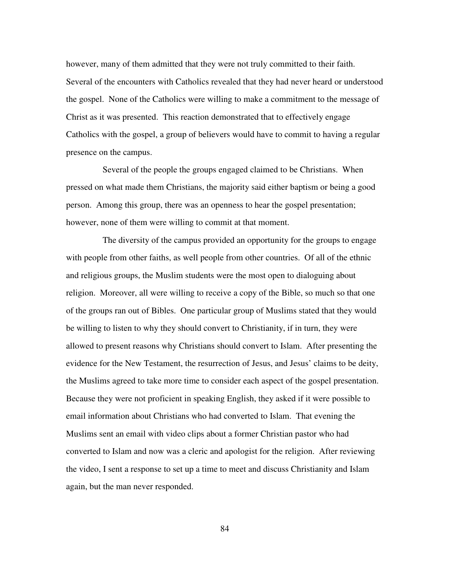however, many of them admitted that they were not truly committed to their faith. Several of the encounters with Catholics revealed that they had never heard or understood the gospel. None of the Catholics were willing to make a commitment to the message of Christ as it was presented. This reaction demonstrated that to effectively engage Catholics with the gospel, a group of believers would have to commit to having a regular presence on the campus.

Several of the people the groups engaged claimed to be Christians. When pressed on what made them Christians, the majority said either baptism or being a good person. Among this group, there was an openness to hear the gospel presentation; however, none of them were willing to commit at that moment.

The diversity of the campus provided an opportunity for the groups to engage with people from other faiths, as well people from other countries. Of all of the ethnic and religious groups, the Muslim students were the most open to dialoguing about religion. Moreover, all were willing to receive a copy of the Bible, so much so that one of the groups ran out of Bibles. One particular group of Muslims stated that they would be willing to listen to why they should convert to Christianity, if in turn, they were allowed to present reasons why Christians should convert to Islam. After presenting the evidence for the New Testament, the resurrection of Jesus, and Jesus' claims to be deity, the Muslims agreed to take more time to consider each aspect of the gospel presentation. Because they were not proficient in speaking English, they asked if it were possible to email information about Christians who had converted to Islam. That evening the Muslims sent an email with video clips about a former Christian pastor who had converted to Islam and now was a cleric and apologist for the religion. After reviewing the video, I sent a response to set up a time to meet and discuss Christianity and Islam again, but the man never responded.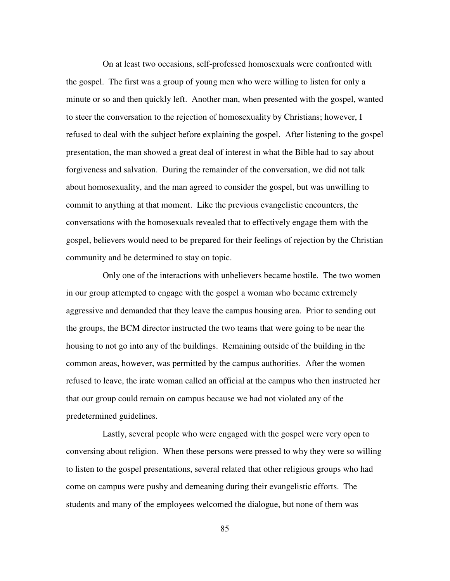On at least two occasions, self-professed homosexuals were confronted with the gospel. The first was a group of young men who were willing to listen for only a minute or so and then quickly left. Another man, when presented with the gospel, wanted to steer the conversation to the rejection of homosexuality by Christians; however, I refused to deal with the subject before explaining the gospel. After listening to the gospel presentation, the man showed a great deal of interest in what the Bible had to say about forgiveness and salvation. During the remainder of the conversation, we did not talk about homosexuality, and the man agreed to consider the gospel, but was unwilling to commit to anything at that moment. Like the previous evangelistic encounters, the conversations with the homosexuals revealed that to effectively engage them with the gospel, believers would need to be prepared for their feelings of rejection by the Christian community and be determined to stay on topic.

Only one of the interactions with unbelievers became hostile. The two women in our group attempted to engage with the gospel a woman who became extremely aggressive and demanded that they leave the campus housing area. Prior to sending out the groups, the BCM director instructed the two teams that were going to be near the housing to not go into any of the buildings. Remaining outside of the building in the common areas, however, was permitted by the campus authorities. After the women refused to leave, the irate woman called an official at the campus who then instructed her that our group could remain on campus because we had not violated any of the predetermined guidelines.

Lastly, several people who were engaged with the gospel were very open to conversing about religion. When these persons were pressed to why they were so willing to listen to the gospel presentations, several related that other religious groups who had come on campus were pushy and demeaning during their evangelistic efforts. The students and many of the employees welcomed the dialogue, but none of them was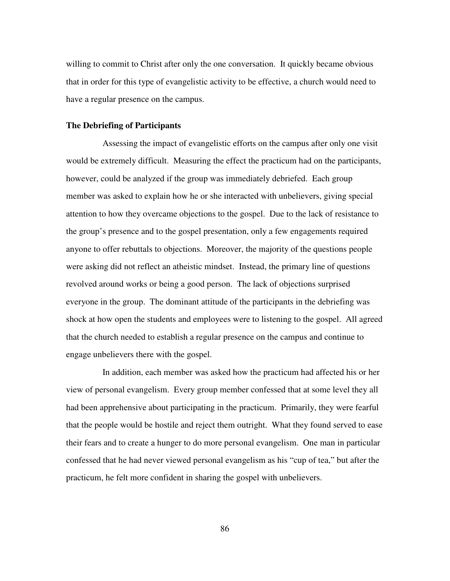willing to commit to Christ after only the one conversation. It quickly became obvious that in order for this type of evangelistic activity to be effective, a church would need to have a regular presence on the campus.

### **The Debriefing of Participants**

Assessing the impact of evangelistic efforts on the campus after only one visit would be extremely difficult. Measuring the effect the practicum had on the participants, however, could be analyzed if the group was immediately debriefed. Each group member was asked to explain how he or she interacted with unbelievers, giving special attention to how they overcame objections to the gospel. Due to the lack of resistance to the group's presence and to the gospel presentation, only a few engagements required anyone to offer rebuttals to objections. Moreover, the majority of the questions people were asking did not reflect an atheistic mindset. Instead, the primary line of questions revolved around works or being a good person. The lack of objections surprised everyone in the group. The dominant attitude of the participants in the debriefing was shock at how open the students and employees were to listening to the gospel. All agreed that the church needed to establish a regular presence on the campus and continue to engage unbelievers there with the gospel.

In addition, each member was asked how the practicum had affected his or her view of personal evangelism. Every group member confessed that at some level they all had been apprehensive about participating in the practicum. Primarily, they were fearful that the people would be hostile and reject them outright. What they found served to ease their fears and to create a hunger to do more personal evangelism. One man in particular confessed that he had never viewed personal evangelism as his "cup of tea," but after the practicum, he felt more confident in sharing the gospel with unbelievers.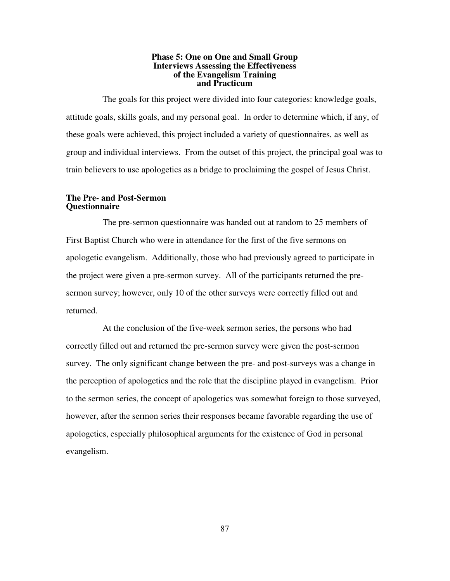## **Phase 5: One on One and Small Group Interviews Assessing the Effectiveness of the Evangelism Training and Practicum**

The goals for this project were divided into four categories: knowledge goals, attitude goals, skills goals, and my personal goal. In order to determine which, if any, of these goals were achieved, this project included a variety of questionnaires, as well as group and individual interviews. From the outset of this project, the principal goal was to train believers to use apologetics as a bridge to proclaiming the gospel of Jesus Christ.

## **The Pre- and Post-Sermon Questionnaire**

The pre-sermon questionnaire was handed out at random to 25 members of First Baptist Church who were in attendance for the first of the five sermons on apologetic evangelism. Additionally, those who had previously agreed to participate in the project were given a pre-sermon survey. All of the participants returned the presermon survey; however, only 10 of the other surveys were correctly filled out and returned.

At the conclusion of the five-week sermon series, the persons who had correctly filled out and returned the pre-sermon survey were given the post-sermon survey. The only significant change between the pre- and post-surveys was a change in the perception of apologetics and the role that the discipline played in evangelism. Prior to the sermon series, the concept of apologetics was somewhat foreign to those surveyed, however, after the sermon series their responses became favorable regarding the use of apologetics, especially philosophical arguments for the existence of God in personal evangelism.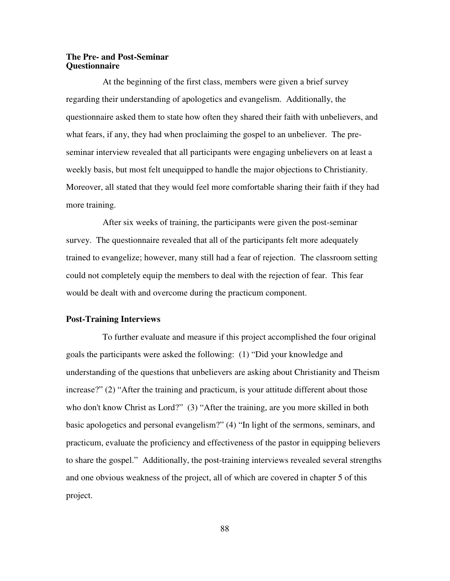# **The Pre- and Post-Seminar Questionnaire**

At the beginning of the first class, members were given a brief survey regarding their understanding of apologetics and evangelism. Additionally, the questionnaire asked them to state how often they shared their faith with unbelievers, and what fears, if any, they had when proclaiming the gospel to an unbeliever. The preseminar interview revealed that all participants were engaging unbelievers on at least a weekly basis, but most felt unequipped to handle the major objections to Christianity. Moreover, all stated that they would feel more comfortable sharing their faith if they had more training.

After six weeks of training, the participants were given the post-seminar survey. The questionnaire revealed that all of the participants felt more adequately trained to evangelize; however, many still had a fear of rejection. The classroom setting could not completely equip the members to deal with the rejection of fear. This fear would be dealt with and overcome during the practicum component.

# **Post-Training Interviews**

To further evaluate and measure if this project accomplished the four original goals the participants were asked the following: (1) "Did your knowledge and understanding of the questions that unbelievers are asking about Christianity and Theism increase?" (2) "After the training and practicum, is your attitude different about those who don't know Christ as Lord?" (3) "After the training, are you more skilled in both basic apologetics and personal evangelism?" (4) "In light of the sermons, seminars, and practicum, evaluate the proficiency and effectiveness of the pastor in equipping believers to share the gospel." Additionally, the post-training interviews revealed several strengths and one obvious weakness of the project, all of which are covered in chapter 5 of this project.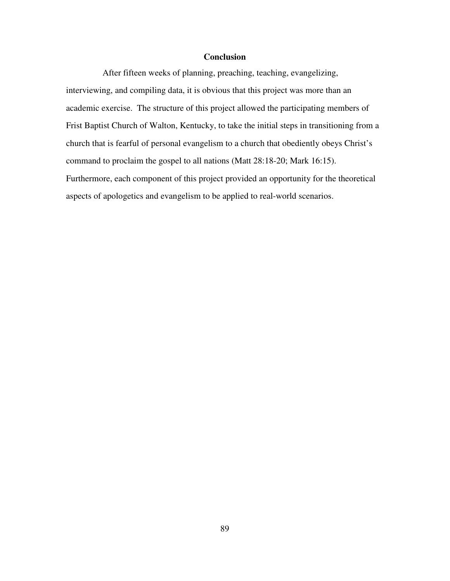# **Conclusion**

After fifteen weeks of planning, preaching, teaching, evangelizing, interviewing, and compiling data, it is obvious that this project was more than an academic exercise. The structure of this project allowed the participating members of Frist Baptist Church of Walton, Kentucky, to take the initial steps in transitioning from a church that is fearful of personal evangelism to a church that obediently obeys Christ's command to proclaim the gospel to all nations (Matt 28:18-20; Mark 16:15). Furthermore, each component of this project provided an opportunity for the theoretical aspects of apologetics and evangelism to be applied to real-world scenarios.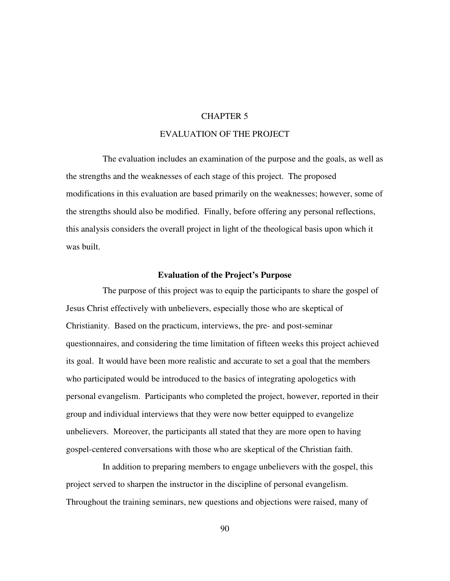# CHAPTER 5

# EVALUATION OF THE PROJECT

The evaluation includes an examination of the purpose and the goals, as well as the strengths and the weaknesses of each stage of this project. The proposed modifications in this evaluation are based primarily on the weaknesses; however, some of the strengths should also be modified. Finally, before offering any personal reflections, this analysis considers the overall project in light of the theological basis upon which it was built.

#### **Evaluation of the Project's Purpose**

The purpose of this project was to equip the participants to share the gospel of Jesus Christ effectively with unbelievers, especially those who are skeptical of Christianity. Based on the practicum, interviews, the pre- and post-seminar questionnaires, and considering the time limitation of fifteen weeks this project achieved its goal. It would have been more realistic and accurate to set a goal that the members who participated would be introduced to the basics of integrating apologetics with personal evangelism. Participants who completed the project, however, reported in their group and individual interviews that they were now better equipped to evangelize unbelievers. Moreover, the participants all stated that they are more open to having gospel-centered conversations with those who are skeptical of the Christian faith.

In addition to preparing members to engage unbelievers with the gospel, this project served to sharpen the instructor in the discipline of personal evangelism. Throughout the training seminars, new questions and objections were raised, many of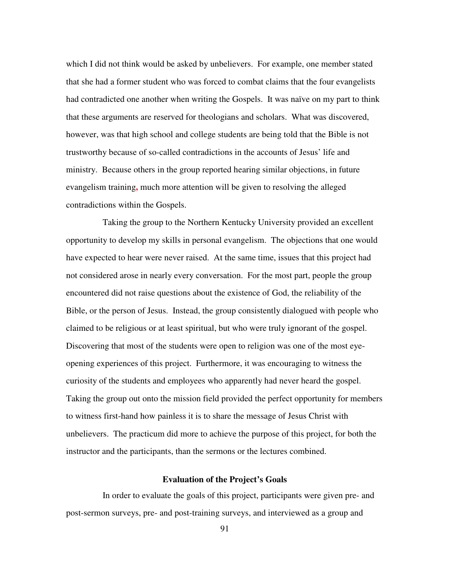which I did not think would be asked by unbelievers. For example, one member stated that she had a former student who was forced to combat claims that the four evangelists had contradicted one another when writing the Gospels. It was naïve on my part to think that these arguments are reserved for theologians and scholars. What was discovered, however, was that high school and college students are being told that the Bible is not trustworthy because of so-called contradictions in the accounts of Jesus' life and ministry. Because others in the group reported hearing similar objections, in future evangelism training**,** much more attention will be given to resolving the alleged contradictions within the Gospels.

Taking the group to the Northern Kentucky University provided an excellent opportunity to develop my skills in personal evangelism. The objections that one would have expected to hear were never raised. At the same time, issues that this project had not considered arose in nearly every conversation. For the most part, people the group encountered did not raise questions about the existence of God, the reliability of the Bible, or the person of Jesus. Instead, the group consistently dialogued with people who claimed to be religious or at least spiritual, but who were truly ignorant of the gospel. Discovering that most of the students were open to religion was one of the most eyeopening experiences of this project. Furthermore, it was encouraging to witness the curiosity of the students and employees who apparently had never heard the gospel. Taking the group out onto the mission field provided the perfect opportunity for members to witness first-hand how painless it is to share the message of Jesus Christ with unbelievers. The practicum did more to achieve the purpose of this project, for both the instructor and the participants, than the sermons or the lectures combined.

## **Evaluation of the Project's Goals**

In order to evaluate the goals of this project, participants were given pre- and post-sermon surveys, pre- and post-training surveys, and interviewed as a group and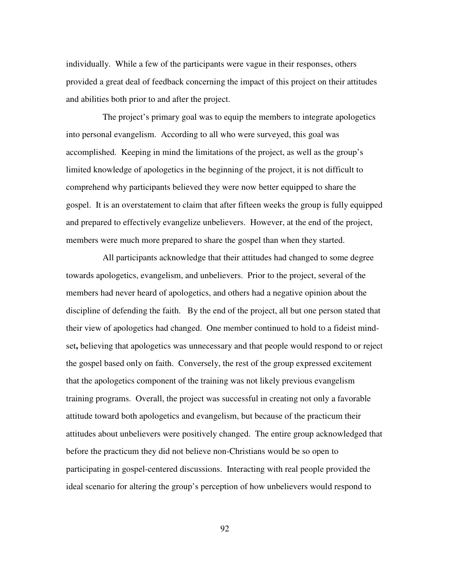individually. While a few of the participants were vague in their responses, others provided a great deal of feedback concerning the impact of this project on their attitudes and abilities both prior to and after the project.

The project's primary goal was to equip the members to integrate apologetics into personal evangelism. According to all who were surveyed, this goal was accomplished. Keeping in mind the limitations of the project, as well as the group's limited knowledge of apologetics in the beginning of the project, it is not difficult to comprehend why participants believed they were now better equipped to share the gospel. It is an overstatement to claim that after fifteen weeks the group is fully equipped and prepared to effectively evangelize unbelievers. However, at the end of the project, members were much more prepared to share the gospel than when they started.

All participants acknowledge that their attitudes had changed to some degree towards apologetics, evangelism, and unbelievers. Prior to the project, several of the members had never heard of apologetics, and others had a negative opinion about the discipline of defending the faith. By the end of the project, all but one person stated that their view of apologetics had changed. One member continued to hold to a fideist mindset**,** believing that apologetics was unnecessary and that people would respond to or reject the gospel based only on faith. Conversely, the rest of the group expressed excitement that the apologetics component of the training was not likely previous evangelism training programs. Overall, the project was successful in creating not only a favorable attitude toward both apologetics and evangelism, but because of the practicum their attitudes about unbelievers were positively changed. The entire group acknowledged that before the practicum they did not believe non-Christians would be so open to participating in gospel-centered discussions. Interacting with real people provided the ideal scenario for altering the group's perception of how unbelievers would respond to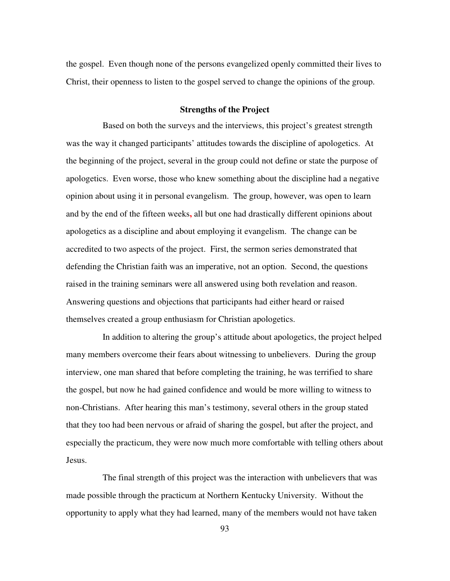the gospel. Even though none of the persons evangelized openly committed their lives to Christ, their openness to listen to the gospel served to change the opinions of the group.

# **Strengths of the Project**

Based on both the surveys and the interviews, this project's greatest strength was the way it changed participants' attitudes towards the discipline of apologetics. At the beginning of the project, several in the group could not define or state the purpose of apologetics. Even worse, those who knew something about the discipline had a negative opinion about using it in personal evangelism. The group, however, was open to learn and by the end of the fifteen weeks**,** all but one had drastically different opinions about apologetics as a discipline and about employing it evangelism. The change can be accredited to two aspects of the project. First, the sermon series demonstrated that defending the Christian faith was an imperative, not an option. Second, the questions raised in the training seminars were all answered using both revelation and reason. Answering questions and objections that participants had either heard or raised themselves created a group enthusiasm for Christian apologetics.

In addition to altering the group's attitude about apologetics, the project helped many members overcome their fears about witnessing to unbelievers. During the group interview, one man shared that before completing the training, he was terrified to share the gospel, but now he had gained confidence and would be more willing to witness to non-Christians. After hearing this man's testimony, several others in the group stated that they too had been nervous or afraid of sharing the gospel, but after the project, and especially the practicum, they were now much more comfortable with telling others about Jesus.

The final strength of this project was the interaction with unbelievers that was made possible through the practicum at Northern Kentucky University. Without the opportunity to apply what they had learned, many of the members would not have taken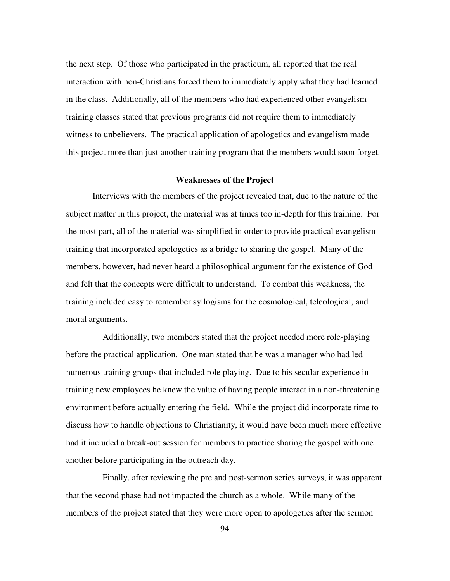the next step. Of those who participated in the practicum, all reported that the real interaction with non-Christians forced them to immediately apply what they had learned in the class. Additionally, all of the members who had experienced other evangelism training classes stated that previous programs did not require them to immediately witness to unbelievers. The practical application of apologetics and evangelism made this project more than just another training program that the members would soon forget.

#### **Weaknesses of the Project**

Interviews with the members of the project revealed that, due to the nature of the subject matter in this project, the material was at times too in-depth for this training. For the most part, all of the material was simplified in order to provide practical evangelism training that incorporated apologetics as a bridge to sharing the gospel. Many of the members, however, had never heard a philosophical argument for the existence of God and felt that the concepts were difficult to understand. To combat this weakness, the training included easy to remember syllogisms for the cosmological, teleological, and moral arguments.

Additionally, two members stated that the project needed more role-playing before the practical application. One man stated that he was a manager who had led numerous training groups that included role playing. Due to his secular experience in training new employees he knew the value of having people interact in a non-threatening environment before actually entering the field. While the project did incorporate time to discuss how to handle objections to Christianity, it would have been much more effective had it included a break-out session for members to practice sharing the gospel with one another before participating in the outreach day.

Finally, after reviewing the pre and post-sermon series surveys, it was apparent that the second phase had not impacted the church as a whole. While many of the members of the project stated that they were more open to apologetics after the sermon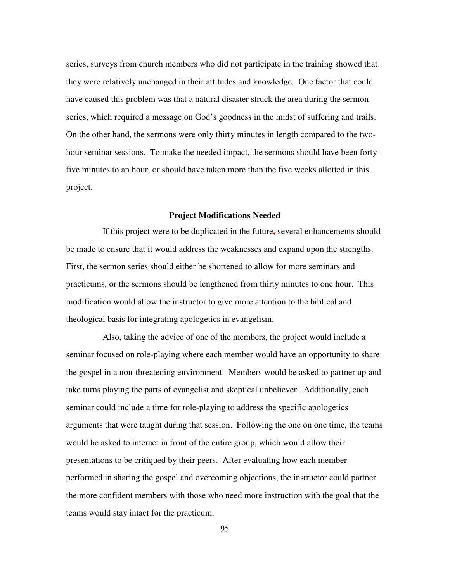series, surveys from church members who did not participate in the training showed that they were relatively unchanged in their attitudes and knowledge. One factor that could have caused this problem was that a natural disaster struck the area during the sermon series, which required a message on God's goodness in the midst of suffering and trails. On the other hand, the sermons were only thirty minutes in length compared to the twohour seminar sessions. To make the needed impact, the sermons should have been fortyfive minutes to an hour, or should have taken more than the five weeks allotted in this project.

## **Project Modifications Needed**

If this project were to be duplicated in the future**,** several enhancements should be made to ensure that it would address the weaknesses and expand upon the strengths. First, the sermon series should either be shortened to allow for more seminars and practicums, or the sermons should be lengthened from thirty minutes to one hour. This modification would allow the instructor to give more attention to the biblical and theological basis for integrating apologetics in evangelism.

Also, taking the advice of one of the members, the project would include a seminar focused on role-playing where each member would have an opportunity to share the gospel in a non-threatening environment. Members would be asked to partner up and take turns playing the parts of evangelist and skeptical unbeliever. Additionally, each seminar could include a time for role-playing to address the specific apologetics arguments that were taught during that session. Following the one on one time, the teams would be asked to interact in front of the entire group, which would allow their presentations to be critiqued by their peers. After evaluating how each member performed in sharing the gospel and overcoming objections, the instructor could partner the more confident members with those who need more instruction with the goal that the teams would stay intact for the practicum.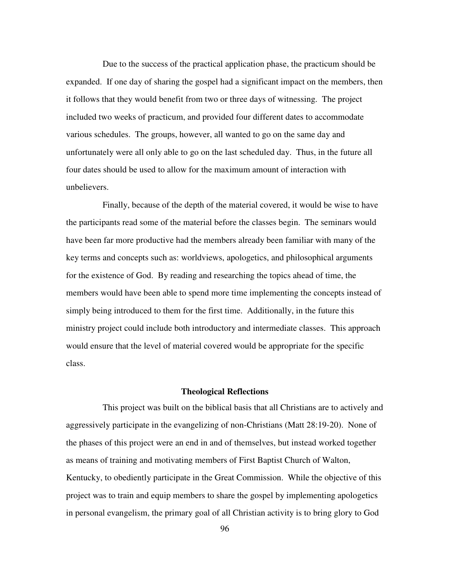Due to the success of the practical application phase, the practicum should be expanded. If one day of sharing the gospel had a significant impact on the members, then it follows that they would benefit from two or three days of witnessing. The project included two weeks of practicum, and provided four different dates to accommodate various schedules. The groups, however, all wanted to go on the same day and unfortunately were all only able to go on the last scheduled day. Thus, in the future all four dates should be used to allow for the maximum amount of interaction with unbelievers.

Finally, because of the depth of the material covered, it would be wise to have the participants read some of the material before the classes begin. The seminars would have been far more productive had the members already been familiar with many of the key terms and concepts such as: worldviews, apologetics, and philosophical arguments for the existence of God. By reading and researching the topics ahead of time, the members would have been able to spend more time implementing the concepts instead of simply being introduced to them for the first time. Additionally, in the future this ministry project could include both introductory and intermediate classes. This approach would ensure that the level of material covered would be appropriate for the specific class.

#### **Theological Reflections**

This project was built on the biblical basis that all Christians are to actively and aggressively participate in the evangelizing of non-Christians (Matt 28:19-20). None of the phases of this project were an end in and of themselves, but instead worked together as means of training and motivating members of First Baptist Church of Walton, Kentucky, to obediently participate in the Great Commission. While the objective of this project was to train and equip members to share the gospel by implementing apologetics in personal evangelism, the primary goal of all Christian activity is to bring glory to God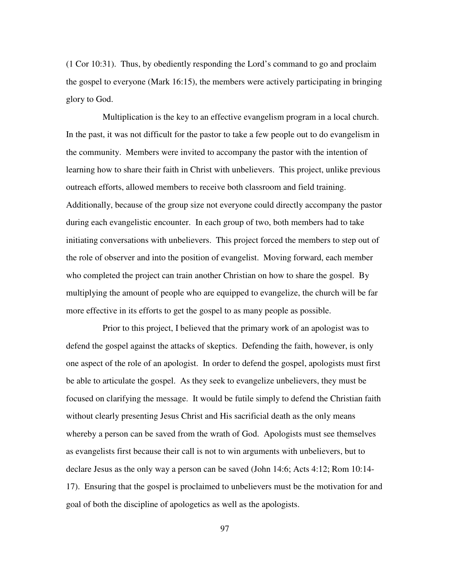(1 Cor 10:31). Thus, by obediently responding the Lord's command to go and proclaim the gospel to everyone (Mark 16:15), the members were actively participating in bringing glory to God.

Multiplication is the key to an effective evangelism program in a local church. In the past, it was not difficult for the pastor to take a few people out to do evangelism in the community. Members were invited to accompany the pastor with the intention of learning how to share their faith in Christ with unbelievers. This project, unlike previous outreach efforts, allowed members to receive both classroom and field training. Additionally, because of the group size not everyone could directly accompany the pastor during each evangelistic encounter. In each group of two, both members had to take initiating conversations with unbelievers. This project forced the members to step out of the role of observer and into the position of evangelist. Moving forward, each member who completed the project can train another Christian on how to share the gospel. By multiplying the amount of people who are equipped to evangelize, the church will be far more effective in its efforts to get the gospel to as many people as possible.

Prior to this project, I believed that the primary work of an apologist was to defend the gospel against the attacks of skeptics. Defending the faith, however, is only one aspect of the role of an apologist. In order to defend the gospel, apologists must first be able to articulate the gospel. As they seek to evangelize unbelievers, they must be focused on clarifying the message. It would be futile simply to defend the Christian faith without clearly presenting Jesus Christ and His sacrificial death as the only means whereby a person can be saved from the wrath of God. Apologists must see themselves as evangelists first because their call is not to win arguments with unbelievers, but to declare Jesus as the only way a person can be saved (John 14:6; Acts 4:12; Rom 10:14- 17). Ensuring that the gospel is proclaimed to unbelievers must be the motivation for and goal of both the discipline of apologetics as well as the apologists.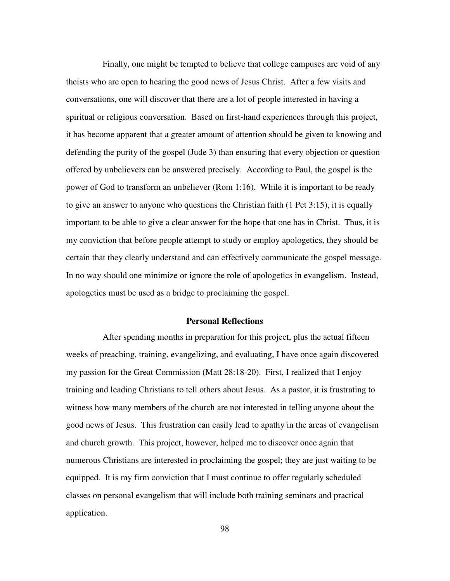Finally, one might be tempted to believe that college campuses are void of any theists who are open to hearing the good news of Jesus Christ. After a few visits and conversations, one will discover that there are a lot of people interested in having a spiritual or religious conversation. Based on first-hand experiences through this project, it has become apparent that a greater amount of attention should be given to knowing and defending the purity of the gospel (Jude 3) than ensuring that every objection or question offered by unbelievers can be answered precisely. According to Paul, the gospel is the power of God to transform an unbeliever (Rom 1:16). While it is important to be ready to give an answer to anyone who questions the Christian faith (1 Pet 3:15), it is equally important to be able to give a clear answer for the hope that one has in Christ. Thus, it is my conviction that before people attempt to study or employ apologetics, they should be certain that they clearly understand and can effectively communicate the gospel message. In no way should one minimize or ignore the role of apologetics in evangelism. Instead, apologetics must be used as a bridge to proclaiming the gospel.

## **Personal Reflections**

After spending months in preparation for this project, plus the actual fifteen weeks of preaching, training, evangelizing, and evaluating, I have once again discovered my passion for the Great Commission (Matt 28:18-20). First, I realized that I enjoy training and leading Christians to tell others about Jesus. As a pastor, it is frustrating to witness how many members of the church are not interested in telling anyone about the good news of Jesus. This frustration can easily lead to apathy in the areas of evangelism and church growth. This project, however, helped me to discover once again that numerous Christians are interested in proclaiming the gospel; they are just waiting to be equipped. It is my firm conviction that I must continue to offer regularly scheduled classes on personal evangelism that will include both training seminars and practical application.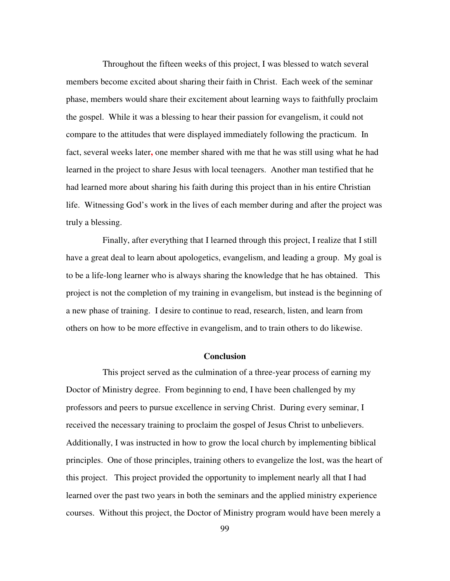Throughout the fifteen weeks of this project, I was blessed to watch several members become excited about sharing their faith in Christ. Each week of the seminar phase, members would share their excitement about learning ways to faithfully proclaim the gospel. While it was a blessing to hear their passion for evangelism, it could not compare to the attitudes that were displayed immediately following the practicum. In fact, several weeks later**,** one member shared with me that he was still using what he had learned in the project to share Jesus with local teenagers. Another man testified that he had learned more about sharing his faith during this project than in his entire Christian life. Witnessing God's work in the lives of each member during and after the project was truly a blessing.

Finally, after everything that I learned through this project, I realize that I still have a great deal to learn about apologetics, evangelism, and leading a group. My goal is to be a life-long learner who is always sharing the knowledge that he has obtained. This project is not the completion of my training in evangelism, but instead is the beginning of a new phase of training. I desire to continue to read, research, listen, and learn from others on how to be more effective in evangelism, and to train others to do likewise.

#### **Conclusion**

This project served as the culmination of a three-year process of earning my Doctor of Ministry degree. From beginning to end, I have been challenged by my professors and peers to pursue excellence in serving Christ. During every seminar, I received the necessary training to proclaim the gospel of Jesus Christ to unbelievers. Additionally, I was instructed in how to grow the local church by implementing biblical principles. One of those principles, training others to evangelize the lost, was the heart of this project. This project provided the opportunity to implement nearly all that I had learned over the past two years in both the seminars and the applied ministry experience courses. Without this project, the Doctor of Ministry program would have been merely a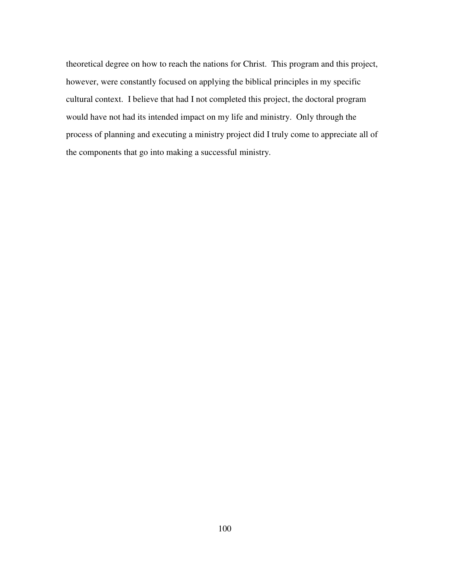theoretical degree on how to reach the nations for Christ. This program and this project, however, were constantly focused on applying the biblical principles in my specific cultural context. I believe that had I not completed this project, the doctoral program would have not had its intended impact on my life and ministry. Only through the process of planning and executing a ministry project did I truly come to appreciate all of the components that go into making a successful ministry.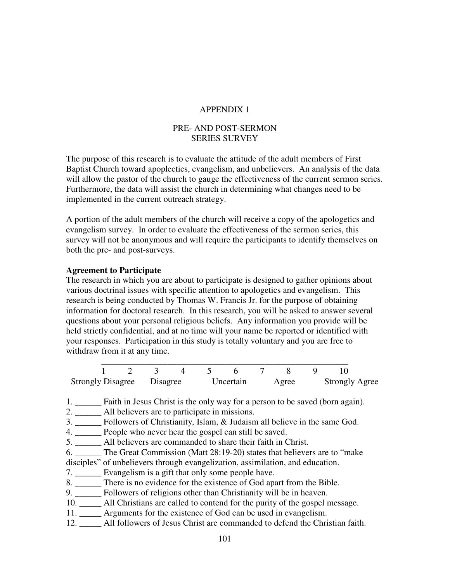# PRE- AND POST-SERMON SERIES SURVEY

The purpose of this research is to evaluate the attitude of the adult members of First Baptist Church toward apoplectics, evangelism, and unbelievers. An analysis of the data will allow the pastor of the church to gauge the effectiveness of the current sermon series. Furthermore, the data will assist the church in determining what changes need to be implemented in the current outreach strategy.

A portion of the adult members of the church will receive a copy of the apologetics and evangelism survey. In order to evaluate the effectiveness of the sermon series, this survey will not be anonymous and will require the participants to identify themselves on both the pre- and post-surveys.

# **Agreement to Participate**

The research in which you are about to participate is designed to gather opinions about various doctrinal issues with specific attention to apologetics and evangelism. This research is being conducted by Thomas W. Francis Jr. for the purpose of obtaining information for doctoral research. In this research, you will be asked to answer several questions about your personal religious beliefs. Any information you provide will be held strictly confidential, and at no time will your name be reported or identified with your responses. Participation in this study is totally voluntary and you are free to withdraw from it at any time.

|                                                           |  |  |  | 1 2 3 4 5 6 7 8 9 10 |  |
|-----------------------------------------------------------|--|--|--|----------------------|--|
| Strongly Disagree Disagree Uncertain Agree Strongly Agree |  |  |  |                      |  |

- 1. \_\_\_\_\_\_ Faith in Jesus Christ is the only way for a person to be saved (born again).
- 2. \_\_\_\_\_\_ All believers are to participate in missions.
- 3. \_\_\_\_\_\_ Followers of Christianity, Islam, & Judaism all believe in the same God.
- 4. \_\_\_\_\_\_ People who never hear the gospel can still be saved.
- 5. \_\_\_\_\_\_ All believers are commanded to share their faith in Christ.
- 6. \_\_\_\_\_\_ The Great Commission (Matt 28:19-20) states that believers are to "make
- disciples" of unbelievers through evangelization, assimilation, and education.
- 7. \_\_\_\_\_\_ Evangelism is a gift that only some people have.
- 8. \_\_\_\_\_\_ There is no evidence for the existence of God apart from the Bible.
- 9. Followers of religions other than Christianity will be in heaven.
- 10. \_\_\_\_\_ All Christians are called to contend for the purity of the gospel message.
- 11. \_\_\_\_\_ Arguments for the existence of God can be used in evangelism.
- 12. \_\_\_\_\_ All followers of Jesus Christ are commanded to defend the Christian faith.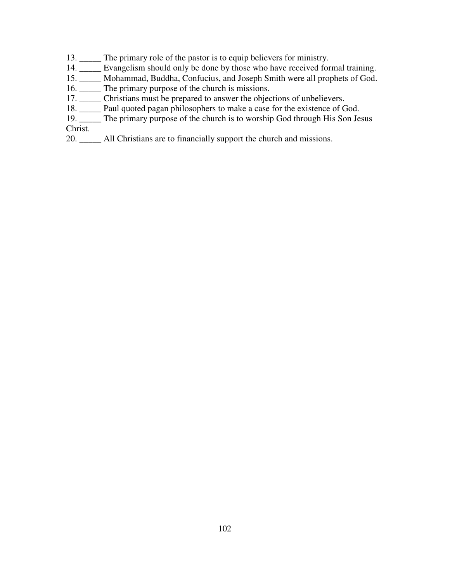- 13. \_\_\_\_\_ The primary role of the pastor is to equip believers for ministry.
- 14. \_\_\_\_\_ Evangelism should only be done by those who have received formal training.
- 15. \_\_\_\_\_ Mohammad, Buddha, Confucius, and Joseph Smith were all prophets of God.
- 16. \_\_\_\_\_ The primary purpose of the church is missions.
- 17. \_\_\_\_\_ Christians must be prepared to answer the objections of unbelievers.
- 18. \_\_\_\_\_ Paul quoted pagan philosophers to make a case for the existence of God.
- 19. \_\_\_\_\_ The primary purpose of the church is to worship God through His Son Jesus Christ.
- 20. \_\_\_\_\_ All Christians are to financially support the church and missions.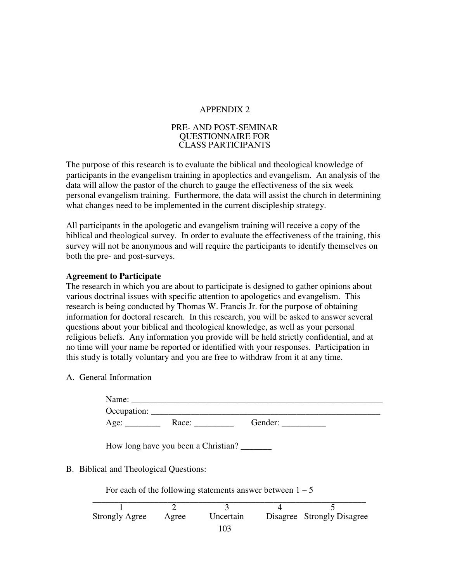### PRE- AND POST-SEMINAR QUESTIONNAIRE FOR CLASS PARTICIPANTS

The purpose of this research is to evaluate the biblical and theological knowledge of participants in the evangelism training in apoplectics and evangelism. An analysis of the data will allow the pastor of the church to gauge the effectiveness of the six week personal evangelism training. Furthermore, the data will assist the church in determining what changes need to be implemented in the current discipleship strategy.

All participants in the apologetic and evangelism training will receive a copy of the biblical and theological survey. In order to evaluate the effectiveness of the training, this survey will not be anonymous and will require the participants to identify themselves on both the pre- and post-surveys.

# **Agreement to Participate**

The research in which you are about to participate is designed to gather opinions about various doctrinal issues with specific attention to apologetics and evangelism. This research is being conducted by Thomas W. Francis Jr. for the purpose of obtaining information for doctoral research. In this research, you will be asked to answer several questions about your biblical and theological knowledge, as well as your personal religious beliefs. Any information you provide will be held strictly confidential, and at no time will your name be reported or identified with your responses. Participation in this study is totally voluntary and you are free to withdraw from it at any time.

A. General Information

|                                        |       | Occupation:                                                 |         |                            |
|----------------------------------------|-------|-------------------------------------------------------------|---------|----------------------------|
| Age: Race:                             |       |                                                             | Gender: |                            |
| B. Biblical and Theological Questions: |       | How long have you been a Christian?                         |         |                            |
|                                        |       |                                                             |         |                            |
|                                        |       | For each of the following statements answer between $1 - 5$ |         |                            |
|                                        |       | 3                                                           |         | 5                          |
| <b>Strongly Agree</b>                  | Agree | Uncertain                                                   |         | Disagree Strongly Disagree |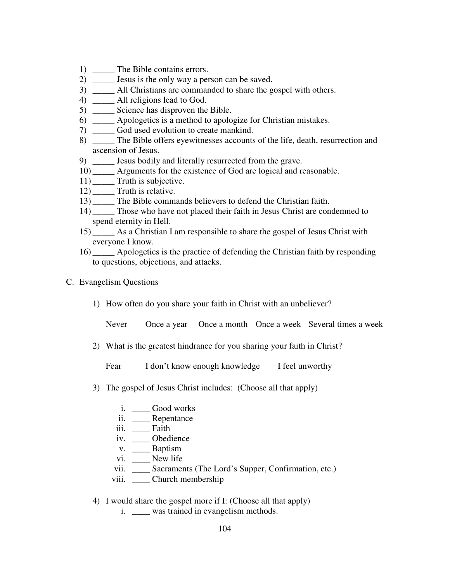- 1) \_\_\_\_\_ The Bible contains errors.
- 2) \_\_\_\_\_ Jesus is the only way a person can be saved.
- 3) All Christians are commanded to share the gospel with others.
- 4) \_\_\_\_\_ All religions lead to God.
- 5) \_\_\_\_\_\_ Science has disproven the Bible.
- 6) \_\_\_\_\_ Apologetics is a method to apologize for Christian mistakes.
- 7) \_\_\_\_\_ God used evolution to create mankind.
- 8) \_\_\_\_\_ The Bible offers eyewitnesses accounts of the life, death, resurrection and ascension of Jesus.
- 9) \_\_\_\_\_ Jesus bodily and literally resurrected from the grave.
- 10) \_\_\_\_\_ Arguments for the existence of God are logical and reasonable.
- 11) \_\_\_\_\_ Truth is subjective.
- 12) \_\_\_\_\_ Truth is relative.
- 13) \_\_\_\_\_ The Bible commands believers to defend the Christian faith.
- 14) Those who have not placed their faith in Jesus Christ are condemned to spend eternity in Hell.
- 15) \_\_\_\_\_ As a Christian I am responsible to share the gospel of Jesus Christ with everyone I know.
- 16) \_\_\_\_\_ Apologetics is the practice of defending the Christian faith by responding to questions, objections, and attacks.
- C. Evangelism Questions
	- 1) How often do you share your faith in Christ with an unbeliever?

Never Once a year Once a month Once a week Several times a week

2) What is the greatest hindrance for you sharing your faith in Christ?

Fear I don't know enough knowledge I feel unworthy

- 3) The gospel of Jesus Christ includes: (Choose all that apply)
	- i. Good works
	- ii. \_\_\_\_ Repentance
	- iii. Faith
	- iv. Obedience
	- v. \_\_\_\_ Baptism
	- vi. \_\_\_\_\_ New life
	- vii. \_\_\_\_ Sacraments (The Lord's Supper, Confirmation, etc.)
	- viii. \_\_\_\_ Church membership
- 4) I would share the gospel more if I: (Choose all that apply)
	- i. was trained in evangelism methods.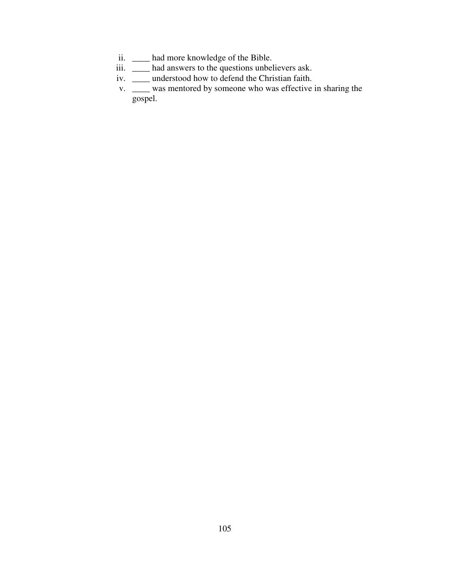- ii. \_\_\_\_ had more knowledge of the Bible.
- iii. <u>\_\_\_\_</u> had answers to the questions unbelievers ask.
- iv. \_\_\_\_ understood how to defend the Christian faith.
- v. \_\_\_\_ was mentored by someone who was effective in sharing the gospel.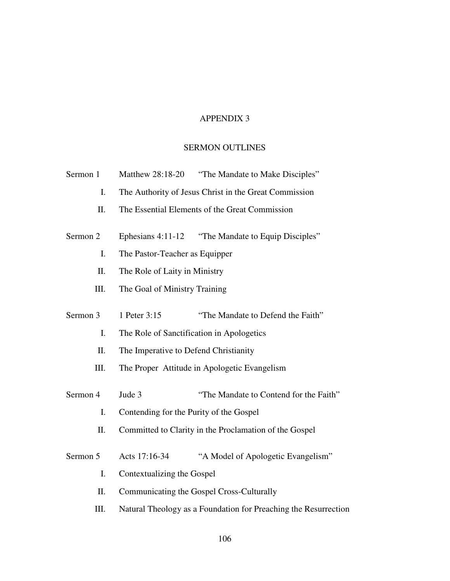# SERMON OUTLINES

| Sermon 1            | Matthew 28:18-20                                                | "The Mandate to Make Disciples"                        |  |  |  |
|---------------------|-----------------------------------------------------------------|--------------------------------------------------------|--|--|--|
| Ι.                  | The Authority of Jesus Christ in the Great Commission           |                                                        |  |  |  |
| Π.                  | The Essential Elements of the Great Commission                  |                                                        |  |  |  |
| Sermon <sub>2</sub> |                                                                 | Ephesians 4:11-12 "The Mandate to Equip Disciples"     |  |  |  |
| I.                  | The Pastor-Teacher as Equipper                                  |                                                        |  |  |  |
| Π.                  | The Role of Laity in Ministry                                   |                                                        |  |  |  |
| Ш.                  | The Goal of Ministry Training                                   |                                                        |  |  |  |
| Sermon <sub>3</sub> | 1 Peter 3:15                                                    | "The Mandate to Defend the Faith"                      |  |  |  |
| I.                  | The Role of Sanctification in Apologetics                       |                                                        |  |  |  |
| Π.                  | The Imperative to Defend Christianity                           |                                                        |  |  |  |
| Ш.                  |                                                                 | The Proper Attitude in Apologetic Evangelism           |  |  |  |
| Sermon 4            | Jude 3                                                          | "The Mandate to Contend for the Faith"                 |  |  |  |
| I.                  | Contending for the Purity of the Gospel                         |                                                        |  |  |  |
| Π.                  |                                                                 | Committed to Clarity in the Proclamation of the Gospel |  |  |  |
| Sermon 5            | Acts 17:16-34                                                   | "A Model of Apologetic Evangelism"                     |  |  |  |
| I.                  | Contextualizing the Gospel                                      |                                                        |  |  |  |
| Π.                  | Communicating the Gospel Cross-Culturally                       |                                                        |  |  |  |
| Ш.                  | Natural Theology as a Foundation for Preaching the Resurrection |                                                        |  |  |  |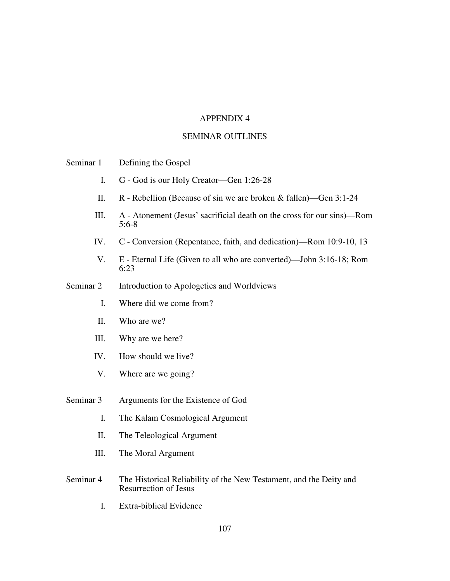### SEMINAR OUTLINES

| Seminar 1 | Defining the Gospel |  |
|-----------|---------------------|--|
|           |                     |  |

- I. G God is our Holy Creator—Gen 1:26-28
- II. R Rebellion (Because of sin we are broken & fallen)—Gen 3:1-24
- III. A Atonement (Jesus' sacrificial death on the cross for our sins)—Rom 5:6-8
- IV. C Conversion (Repentance, faith, and dedication)—Rom 10:9-10, 13
- V. E Eternal Life (Given to all who are converted)—John 3:16-18; Rom 6:23
- Seminar 2 Introduction to Apologetics and Worldviews
	- I. Where did we come from?
	- II. Who are we?
	- III. Why are we here?
	- IV. How should we live?
	- V. Where are we going?
- Seminar 3 Arguments for the Existence of God
	- I. The Kalam Cosmological Argument
	- II. The Teleological Argument
	- III. The Moral Argument
- Seminar 4 The Historical Reliability of the New Testament, and the Deity and Resurrection of Jesus
	- I. Extra-biblical Evidence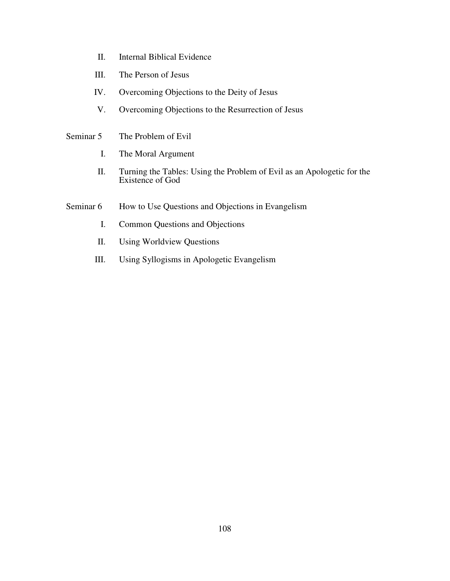- II. Internal Biblical Evidence
- III. The Person of Jesus
- IV. Overcoming Objections to the Deity of Jesus
- V. Overcoming Objections to the Resurrection of Jesus
- Seminar 5 The Problem of Evil
	- I. The Moral Argument
	- II. Turning the Tables: Using the Problem of Evil as an Apologetic for the Existence of God
- Seminar 6 How to Use Questions and Objections in Evangelism
	- I. Common Questions and Objections
	- II. Using Worldview Questions
	- III. Using Syllogisms in Apologetic Evangelism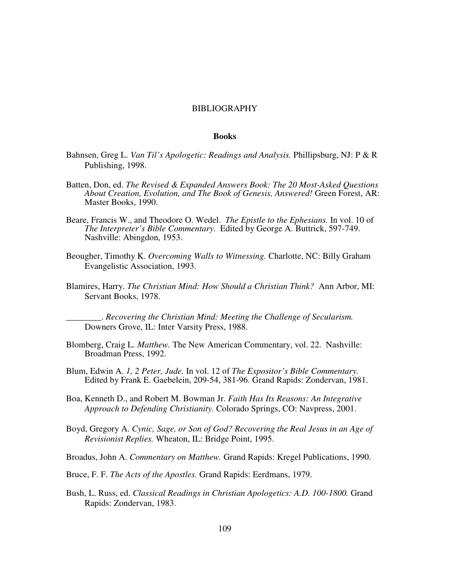### BIBLIOGRAPHY

### **Books**

- Bahnsen, Greg L. *Van Til's Apologetic: Readings and Analysis.* Phillipsburg, NJ: P & R Publishing, 1998.
- Batten, Don, ed. *The Revised & Expanded Answers Book: The 20 Most-Asked Questions About Creation, Evolution, and The Book of Genesis, Answered!* Green Forest, AR: Master Books, 1990.
- Beare, Francis W., and Theodore O. Wedel. *The Epistle to the Ephesians.* In vol. 10 of *The Interpreter's Bible Commentary.* Edited by George A. Buttrick, 597-749. Nashville: Abingdon, 1953.
- Beougher, Timothy K. *Overcoming Walls to Witnessing.* Charlotte, NC: Billy Graham Evangelistic Association, 1993.
- Blamires, Harry. *The Christian Mind: How Should a Christian Think?* Ann Arbor, MI: Servant Books, 1978.

\_\_\_\_\_\_\_\_. *Recovering the Christian Mind: Meeting the Challenge of Secularism.*  Downers Grove, IL: Inter Varsity Press, 1988.

- Blomberg, Craig L. *Matthew.* The New American Commentary, vol. 22. Nashville: Broadman Press, 1992.
- Blum, Edwin A. *1, 2 Peter, Jude.* In vol. 12 of *The Expositor's Bible Commentary.* Edited by Frank E. Gaebelein, 209-54, 381-96. Grand Rapids: Zondervan, 1981.
- Boa, Kenneth D., and Robert M. Bowman Jr. *Faith Has Its Reasons: An Integrative Approach to Defending Christianity.* Colorado Springs, CO: Navpress, 2001.
- Boyd, Gregory A. *Cynic, Sage, or Son of God? Recovering the Real Jesus in an Age of Revisionist Replies.* Wheaton, IL: Bridge Point, 1995.
- Broadus, John A. *Commentary on Matthew.* Grand Rapids: Kregel Publications, 1990.
- Bruce, F. F. *The Acts of the Apostles.* Grand Rapids: Eerdmans, 1979.
- Bush, L. Russ, ed. *Classical Readings in Christian Apologetics: A.D. 100-1800.* Grand Rapids: Zondervan, 1983.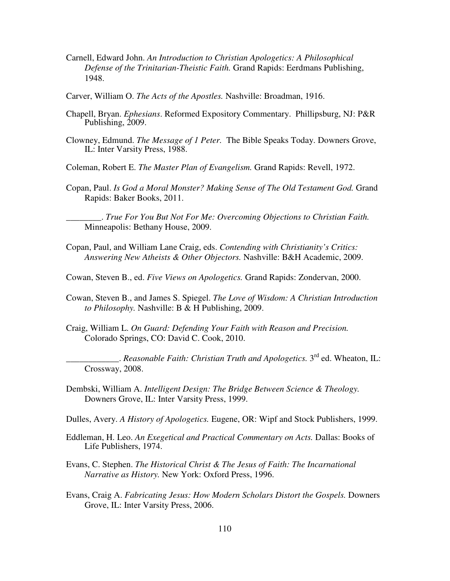Carnell, Edward John. *An Introduction to Christian Apologetics: A Philosophical Defense of the Trinitarian-Theistic Faith.* Grand Rapids: Eerdmans Publishing, 1948.

Carver, William O. *The Acts of the Apostles.* Nashville: Broadman, 1916.

- Chapell, Bryan. *Ephesians*. Reformed Expository Commentary. Phillipsburg, NJ: P&R Publishing, 2009.
- Clowney, Edmund. *The Message of 1 Peter.* The Bible Speaks Today. Downers Grove, IL: Inter Varsity Press, 1988.
- Coleman, Robert E. *The Master Plan of Evangelism.* Grand Rapids: Revell, 1972.
- Copan, Paul. *Is God a Moral Monster? Making Sense of The Old Testament God.* Grand Rapids: Baker Books, 2011.

\_\_\_\_\_\_\_\_. *True For You But Not For Me: Overcoming Objections to Christian Faith.* Minneapolis: Bethany House, 2009.

- Copan, Paul, and William Lane Craig, eds. *Contending with Christianity's Critics: Answering New Atheists & Other Objectors.* Nashville: B&H Academic, 2009.
- Cowan, Steven B., ed. *Five Views on Apologetics.* Grand Rapids: Zondervan, 2000.
- Cowan, Steven B., and James S. Spiegel. *The Love of Wisdom: A Christian Introduction to Philosophy.* Nashville: B & H Publishing, 2009.
- Craig, William L. *On Guard: Defending Your Faith with Reason and Precision.*  Colorado Springs, CO: David C. Cook, 2010.

\_\_\_\_\_\_\_\_\_\_\_\_. *Reasonable Faith: Christian Truth and Apologetics.* 3 rd ed. Wheaton, IL: Crossway, 2008.

- Dembski, William A. *Intelligent Design: The Bridge Between Science & Theology.* Downers Grove, IL: Inter Varsity Press, 1999.
- Dulles, Avery. *A History of Apologetics.* Eugene, OR: Wipf and Stock Publishers, 1999.
- Eddleman, H. Leo. *An Exegetical and Practical Commentary on Acts.* Dallas: Books of Life Publishers, 1974.
- Evans, C. Stephen. *The Historical Christ & The Jesus of Faith: The Incarnational Narrative as History.* New York: Oxford Press, 1996.
- Evans, Craig A. *Fabricating Jesus: How Modern Scholars Distort the Gospels.* Downers Grove, IL: Inter Varsity Press, 2006.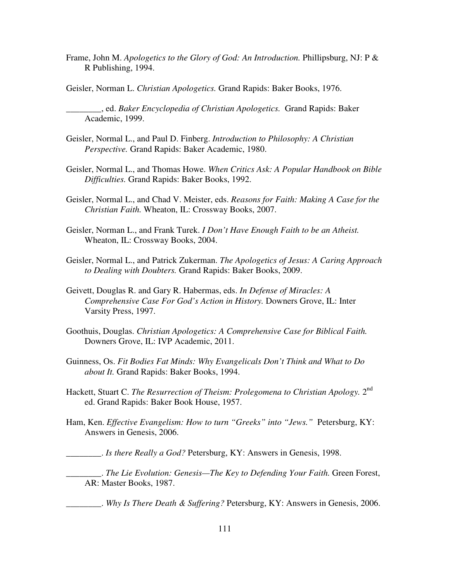Frame, John M. *Apologetics to the Glory of God: An Introduction.* Phillipsburg, NJ: P & R Publishing, 1994.

Geisler, Norman L. *Christian Apologetics.* Grand Rapids: Baker Books, 1976.

\_\_\_\_\_\_\_\_, ed. *Baker Encyclopedia of Christian Apologetics.* Grand Rapids: Baker Academic, 1999.

- Geisler, Normal L., and Paul D. Finberg. *Introduction to Philosophy: A Christian Perspective.* Grand Rapids: Baker Academic, 1980.
- Geisler, Normal L., and Thomas Howe. *When Critics Ask: A Popular Handbook on Bible Difficulties.* Grand Rapids: Baker Books, 1992.
- Geisler, Normal L., and Chad V. Meister, eds. *Reasons for Faith: Making A Case for the Christian Faith.* Wheaton, IL: Crossway Books, 2007.
- Geisler, Norman L., and Frank Turek. *I Don't Have Enough Faith to be an Atheist.*  Wheaton, IL: Crossway Books, 2004.
- Geisler, Normal L., and Patrick Zukerman. *The Apologetics of Jesus: A Caring Approach to Dealing with Doubters.* Grand Rapids: Baker Books, 2009.
- Geivett, Douglas R. and Gary R. Habermas, eds. *In Defense of Miracles: A Comprehensive Case For God's Action in History.* Downers Grove, IL: Inter Varsity Press, 1997.
- Goothuis, Douglas. *Christian Apologetics: A Comprehensive Case for Biblical Faith.* Downers Grove, IL: IVP Academic, 2011.
- Guinness, Os. *Fit Bodies Fat Minds: Why Evangelicals Don't Think and What to Do about It.* Grand Rapids: Baker Books, 1994.
- Hackett, Stuart C. *The Resurrection of Theism: Prolegomena to Christian Apology*. 2<sup>nd</sup> ed. Grand Rapids: Baker Book House, 1957.
- Ham, Ken. *Effective Evangelism: How to turn "Greeks" into "Jews."* Petersburg, KY: Answers in Genesis, 2006.

\_\_\_\_\_\_\_\_. *Is there Really a God?* Petersburg, KY: Answers in Genesis, 1998.

\_\_\_\_\_\_\_\_. *The Lie Evolution: Genesis—The Key to Defending Your Faith.* Green Forest, AR: Master Books, 1987.

\_\_\_\_\_\_\_\_. *Why Is There Death & Suffering?* Petersburg, KY: Answers in Genesis, 2006.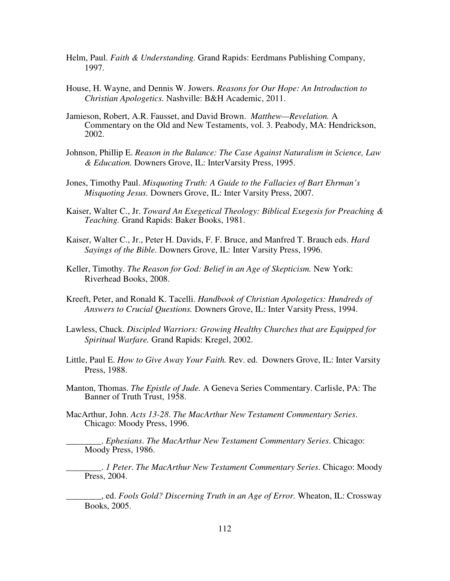- Helm, Paul. *Faith & Understanding.* Grand Rapids: Eerdmans Publishing Company, 1997.
- House, H. Wayne, and Dennis W. Jowers. *Reasons for Our Hope: An Introduction to Christian Apologetics.* Nashville: B&H Academic, 2011.
- Jamieson, Robert, A.R. Fausset, and David Brown. *Matthew—Revelation.* A Commentary on the Old and New Testaments, vol. 3. Peabody, MA: Hendrickson, 2002.
- Johnson, Phillip E. *Reason in the Balance: The Case Against Naturalism in Science, Law & Education.* Downers Grove, IL: InterVarsity Press, 1995.
- Jones, Timothy Paul. *Misquoting Truth: A Guide to the Fallacies of Bart Ehrman's Misquoting Jesus.* Downers Grove, IL: Inter Varsity Press, 2007.
- Kaiser, Walter C., Jr. *Toward An Exegetical Theology: Biblical Exegesis for Preaching & Teaching.* Grand Rapids: Baker Books, 1981.
- Kaiser, Walter C., Jr., Peter H. Davids, F. F. Bruce, and Manfred T. Brauch eds. *Hard Sayings of the Bible.* Downers Grove, IL: Inter Varsity Press, 1996.
- Keller, Timothy. *The Reason for God: Belief in an Age of Skepticism.* New York: Riverhead Books, 2008.
- Kreeft, Peter, and Ronald K. Tacelli. *Handbook of Christian Apologetics: Hundreds of Answers to Crucial Questions.* Downers Grove, IL: Inter Varsity Press, 1994.
- Lawless, Chuck. *Discipled Warriors: Growing Healthy Churches that are Equipped for Spiritual Warfare.* Grand Rapids: Kregel, 2002.
- Little, Paul E. *How to Give Away Your Faith.* Rev. ed. Downers Grove, IL: Inter Varsity Press, 1988.
- Manton, Thomas. *The Epistle of Jude.* A Geneva Series Commentary. Carlisle, PA: The Banner of Truth Trust, 1958.
- MacArthur, John. *Acts 13-28*. *The MacArthur New Testament Commentary Series*. Chicago: Moody Press, 1996.

\_\_\_\_\_\_\_\_. *Ephesians*. *The MacArthur New Testament Commentary Series*. Chicago: Moody Press, 1986.

\_\_\_\_\_\_\_\_. *1 Peter*. *The MacArthur New Testament Commentary Series*. Chicago: Moody Press, 2004.

\_\_\_\_\_\_\_\_, ed. *Fools Gold? Discerning Truth in an Age of Error.* Wheaton, IL: Crossway Books, 2005.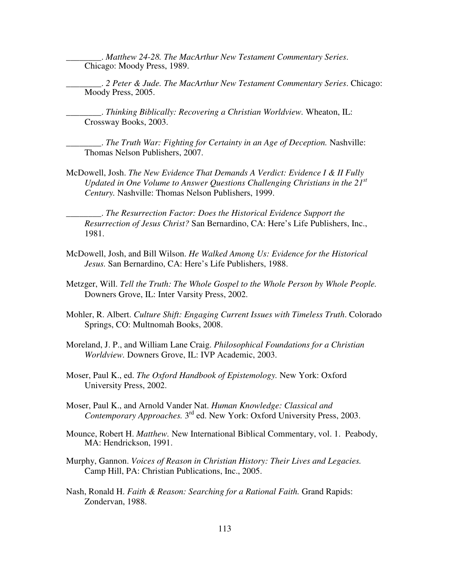\_\_\_\_\_\_\_\_. *Matthew 24-28. The MacArthur New Testament Commentary Series*. Chicago: Moody Press, 1989.

\_\_\_\_\_\_\_\_. *2 Peter & Jude. The MacArthur New Testament Commentary Series*. Chicago: Moody Press, 2005.

\_\_\_\_\_\_\_\_. *Thinking Biblically: Recovering a Christian Worldview.* Wheaton, IL: Crossway Books, 2003.

\_\_\_\_\_\_\_\_. *The Truth War: Fighting for Certainty in an Age of Deception.* Nashville: Thomas Nelson Publishers, 2007.

McDowell, Josh. *The New Evidence That Demands A Verdict: Evidence I & II Fully Updated in One Volume to Answer Questions Challenging Christians in the 21st Century.* Nashville: Thomas Nelson Publishers, 1999.

\_\_\_\_\_\_\_\_. *The Resurrection Factor: Does the Historical Evidence Support the Resurrection of Jesus Christ?* San Bernardino, CA: Here's Life Publishers, Inc., 1981.

- McDowell, Josh, and Bill Wilson. *He Walked Among Us: Evidence for the Historical Jesus.* San Bernardino, CA: Here's Life Publishers, 1988.
- Metzger, Will. *Tell the Truth: The Whole Gospel to the Whole Person by Whole People.*  Downers Grove, IL: Inter Varsity Press, 2002.
- Mohler, R. Albert. *Culture Shift: Engaging Current Issues with Timeless Truth*. Colorado Springs, CO: Multnomah Books, 2008.
- Moreland, J. P., and William Lane Craig. *Philosophical Foundations for a Christian Worldview.* Downers Grove, IL: IVP Academic, 2003.
- Moser, Paul K., ed. *The Oxford Handbook of Epistemology.* New York: Oxford University Press, 2002.
- Moser, Paul K., and Arnold Vander Nat. *Human Knowledge: Classical and*  Contemporary Approaches. 3<sup>rd</sup> ed. New York: Oxford University Press, 2003.
- Mounce, Robert H. *Matthew.* New International Biblical Commentary, vol. 1. Peabody, MA: Hendrickson, 1991.
- Murphy, Gannon. *Voices of Reason in Christian History: Their Lives and Legacies.*  Camp Hill, PA: Christian Publications, Inc., 2005.
- Nash, Ronald H. *Faith & Reason: Searching for a Rational Faith.* Grand Rapids: Zondervan, 1988.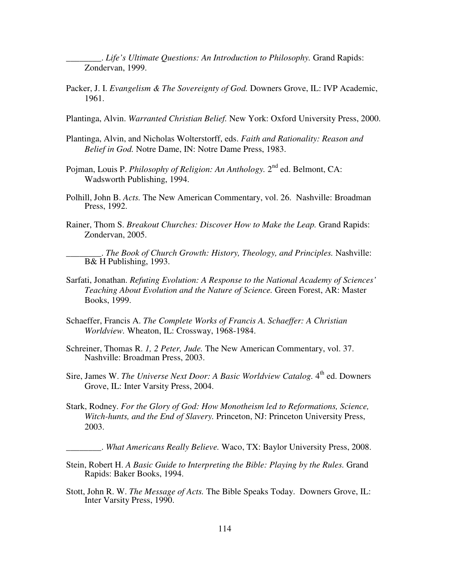\_\_\_\_\_\_\_\_. *Life's Ultimate Questions: An Introduction to Philosophy.* Grand Rapids: Zondervan, 1999.

- Packer, J. I. *Evangelism & The Sovereignty of God.* Downers Grove, IL: IVP Academic, 1961.
- Plantinga, Alvin. *Warranted Christian Belief.* New York: Oxford University Press, 2000.
- Plantinga, Alvin, and Nicholas Wolterstorff, eds. *Faith and Rationality: Reason and Belief in God.* Notre Dame, IN: Notre Dame Press, 1983.
- Pojman, Louis P. *Philosophy of Religion: An Anthology*. 2<sup>nd</sup> ed. Belmont, CA: Wadsworth Publishing, 1994.
- Polhill, John B. *Acts.* The New American Commentary, vol. 26. Nashville: Broadman Press, 1992.
- Rainer, Thom S. *Breakout Churches: Discover How to Make the Leap.* Grand Rapids: Zondervan, 2005.

\_\_\_\_\_\_\_\_. *The Book of Church Growth: History, Theology, and Principles.* Nashville: B& H Publishing, 1993.

- Sarfati, Jonathan. *Refuting Evolution: A Response to the National Academy of Sciences' Teaching About Evolution and the Nature of Science.* Green Forest, AR: Master Books, 1999.
- Schaeffer, Francis A. *The Complete Works of Francis A. Schaeffer: A Christian Worldview.* Wheaton, IL: Crossway, 1968-1984.
- Schreiner, Thomas R. *1, 2 Peter, Jude.* The New American Commentary, vol. 37. Nashville: Broadman Press, 2003.
- Sire, James W. *The Universe Next Door: A Basic Worldview Catalog.* 4<sup>th</sup> ed. Downers Grove, IL: Inter Varsity Press, 2004.
- Stark, Rodney. *For the Glory of God: How Monotheism led to Reformations, Science, Witch-hunts, and the End of Slavery.* Princeton, NJ: Princeton University Press, 2003.

\_\_\_\_\_\_\_\_. *What Americans Really Believe.* Waco, TX: Baylor University Press, 2008.

- Stein, Robert H. *A Basic Guide to Interpreting the Bible: Playing by the Rules.* Grand Rapids: Baker Books, 1994.
- Stott, John R. W. *The Message of Acts.* The Bible Speaks Today. Downers Grove, IL: Inter Varsity Press, 1990.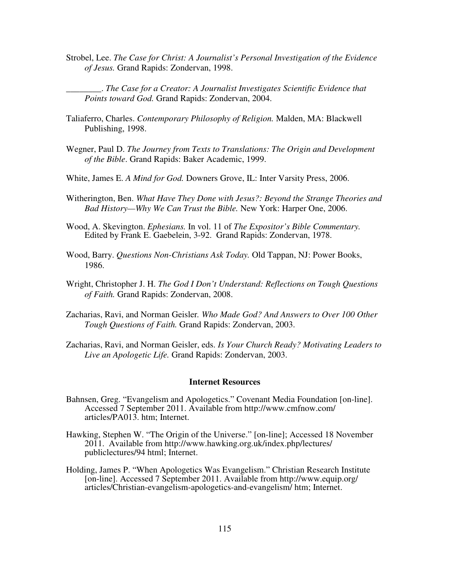Strobel, Lee. *The Case for Christ: A Journalist's Personal Investigation of the Evidence of Jesus.* Grand Rapids: Zondervan, 1998.

\_\_\_\_\_\_\_\_. *The Case for a Creator: A Journalist Investigates Scientific Evidence that Points toward God.* Grand Rapids: Zondervan, 2004.

- Taliaferro, Charles. *Contemporary Philosophy of Religion.* Malden, MA: Blackwell Publishing, 1998.
- Wegner, Paul D. *The Journey from Texts to Translations: The Origin and Development of the Bible*. Grand Rapids: Baker Academic, 1999.
- White, James E. *A Mind for God.* Downers Grove, IL: Inter Varsity Press, 2006.
- Witherington, Ben. *What Have They Done with Jesus?: Beyond the Strange Theories and Bad History—Why We Can Trust the Bible.* New York: Harper One, 2006.
- Wood, A. Skevington. *Ephesians.* In vol. 11 of *The Expositor's Bible Commentary.* Edited by Frank E. Gaebelein, 3-92. Grand Rapids: Zondervan, 1978.
- Wood, Barry. *Questions Non-Christians Ask Today.* Old Tappan, NJ: Power Books, 1986.
- Wright, Christopher J. H. *The God I Don't Understand: Reflections on Tough Questions of Faith.* Grand Rapids: Zondervan, 2008.
- Zacharias, Ravi, and Norman Geisler*. Who Made God? And Answers to Over 100 Other Tough Questions of Faith.* Grand Rapids: Zondervan, 2003.
- Zacharias, Ravi, and Norman Geisler, eds. *Is Your Church Ready? Motivating Leaders to Live an Apologetic Life.* Grand Rapids: Zondervan, 2003.

#### **Internet Resources**

- Bahnsen, Greg. "Evangelism and Apologetics." Covenant Media Foundation [on-line]. Accessed 7 September 2011. Available from http://www.cmfnow.com/ articles/PA013. htm; Internet.
- Hawking, Stephen W. "The Origin of the Universe." [on-line]; Accessed 18 November 2011. Available from http://www.hawking.org.uk/index.php/lectures/ publiclectures/94 html; Internet.
- Holding, James P. "When Apologetics Was Evangelism." Christian Research Institute [on-line]. Accessed 7 September 2011. Available from http://www.equip.org/ articles/Christian-evangelism-apologetics-and-evangelism/ htm; Internet.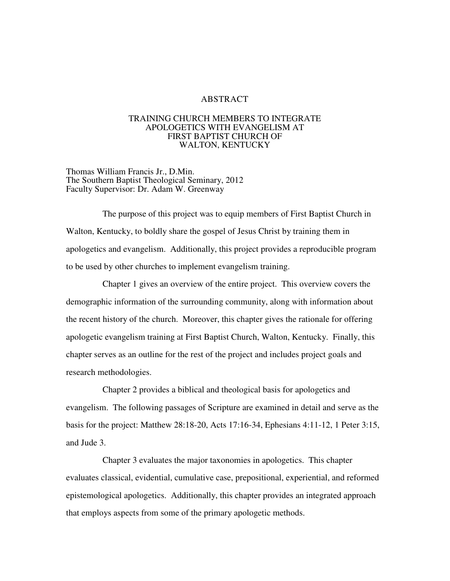# ABSTRACT

### TRAINING CHURCH MEMBERS TO INTEGRATE APOLOGETICS WITH EVANGELISM AT FIRST BAPTIST CHURCH OF WALTON, KENTUCKY

Thomas William Francis Jr., D.Min. The Southern Baptist Theological Seminary, 2012 Faculty Supervisor: Dr. Adam W. Greenway

The purpose of this project was to equip members of First Baptist Church in Walton, Kentucky, to boldly share the gospel of Jesus Christ by training them in apologetics and evangelism. Additionally, this project provides a reproducible program to be used by other churches to implement evangelism training.

Chapter 1 gives an overview of the entire project. This overview covers the demographic information of the surrounding community, along with information about the recent history of the church. Moreover, this chapter gives the rationale for offering apologetic evangelism training at First Baptist Church, Walton, Kentucky. Finally, this chapter serves as an outline for the rest of the project and includes project goals and research methodologies.

Chapter 2 provides a biblical and theological basis for apologetics and evangelism. The following passages of Scripture are examined in detail and serve as the basis for the project: Matthew 28:18-20, Acts 17:16-34, Ephesians 4:11-12, 1 Peter 3:15, and Jude 3.

Chapter 3 evaluates the major taxonomies in apologetics. This chapter evaluates classical, evidential, cumulative case, prepositional, experiential, and reformed epistemological apologetics. Additionally, this chapter provides an integrated approach that employs aspects from some of the primary apologetic methods.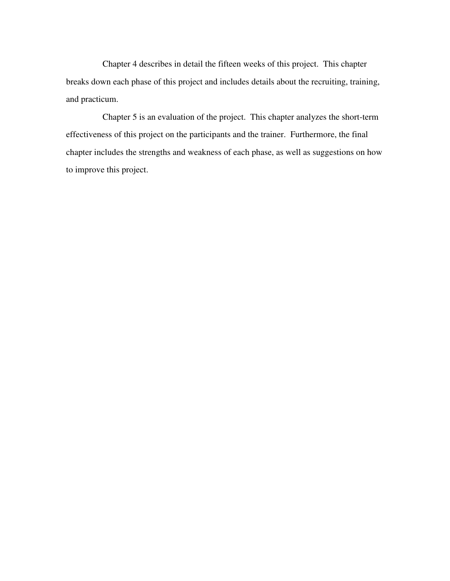Chapter 4 describes in detail the fifteen weeks of this project. This chapter breaks down each phase of this project and includes details about the recruiting, training, and practicum.

Chapter 5 is an evaluation of the project. This chapter analyzes the short-term effectiveness of this project on the participants and the trainer. Furthermore, the final chapter includes the strengths and weakness of each phase, as well as suggestions on how to improve this project.